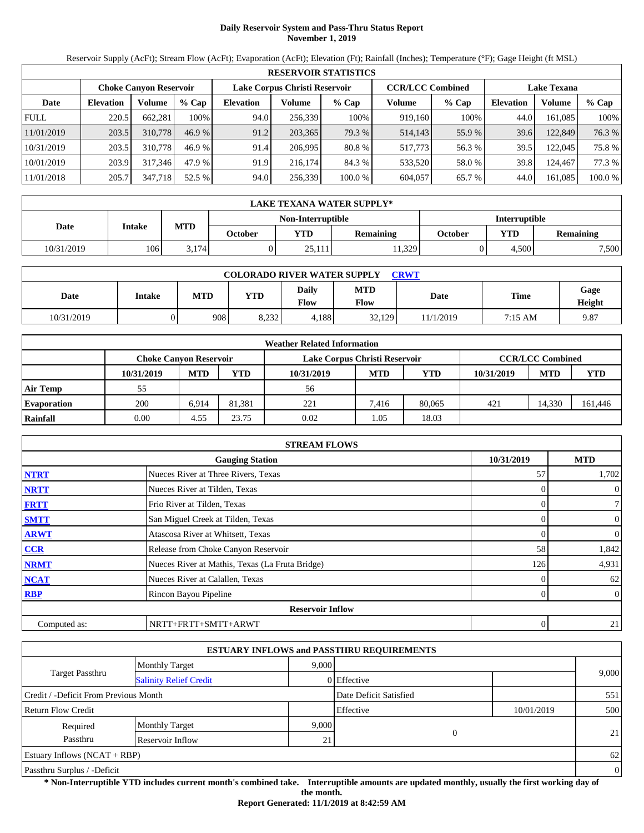# **Daily Reservoir System and Pass-Thru Status Report November 1, 2019**

Reservoir Supply (AcFt); Stream Flow (AcFt); Evaporation (AcFt); Elevation (Ft); Rainfall (Inches); Temperature (°F); Gage Height (ft MSL)

|             | <b>RESERVOIR STATISTICS</b> |                               |         |                               |         |                                               |         |         |                  |         |         |  |
|-------------|-----------------------------|-------------------------------|---------|-------------------------------|---------|-----------------------------------------------|---------|---------|------------------|---------|---------|--|
|             |                             | <b>Choke Canvon Reservoir</b> |         | Lake Corpus Christi Reservoir |         | <b>CCR/LCC Combined</b><br><b>Lake Texana</b> |         |         |                  |         |         |  |
| Date        | <b>Elevation</b>            | Volume                        | $%$ Cap | <b>Elevation</b>              | Volume  | $%$ Cap                                       | Volume  | $%$ Cap | <b>Elevation</b> | Volume  | $%$ Cap |  |
| <b>FULL</b> | 220.5                       | 662.281                       | 100%    | 94.0                          | 256,339 | 100%                                          | 919,160 | 100%    | 44.0             | 161.085 | 100%    |  |
| 11/01/2019  | 203.5                       | 310,778                       | 46.9%   | 91.2                          | 203,365 | 79.3 %                                        | 514,143 | 55.9 %  | 39.6             | 122.849 | 76.3 %  |  |
| 10/31/2019  | 203.5                       | 310,778                       | 46.9%   | 91.4                          | 206.995 | 80.8 %                                        | 517.773 | 56.3 %  | 39.5             | 122.045 | 75.8 %  |  |
| 10/01/2019  | 203.9                       | 317.346                       | 47.9 %  | 91.9                          | 216,174 | 84.3 %                                        | 533,520 | 58.0 %  | 39.8             | 124.467 | 77.3 %  |  |
| 11/01/2018  | 205.7                       | 347,718                       | 52.5 %  | 94.0                          | 256,339 | 100.0%                                        | 604,057 | 65.7 %  | 44.0             | 161,085 | 100.0 % |  |

|                                           | LAKE TEXANA WATER SUPPLY* |            |         |            |           |         |       |                  |  |  |  |
|-------------------------------------------|---------------------------|------------|---------|------------|-----------|---------|-------|------------------|--|--|--|
| Non-Interruptible<br><b>Interruptible</b> |                           |            |         |            |           |         |       |                  |  |  |  |
| Date                                      | Intake                    | <b>MTD</b> | October | <b>YTD</b> | Remaining | October | YTD   | <b>Remaining</b> |  |  |  |
| 10/31/2019                                | 106                       | 3.174      |         | 25,111     | 1.329     |         | 4.500 | 7,500            |  |  |  |

| <b>COLORADO RIVER WATER SUPPLY</b><br>CRWT |        |            |            |                      |                    |           |         |                |  |  |
|--------------------------------------------|--------|------------|------------|----------------------|--------------------|-----------|---------|----------------|--|--|
| Date                                       | Intake | <b>MTD</b> | <b>YTD</b> | Daily<br><b>Flow</b> | <b>MTD</b><br>Flow | Date      | Time    | Gage<br>Height |  |  |
| 10/31/2019                                 |        | 908        | 8,232      | 4,188                | 32.129             | 11/1/2019 | 7:15 AM | 9.87           |  |  |

|                    |                               |            |        | <b>Weather Related Information</b> |            |            |            |                         |         |
|--------------------|-------------------------------|------------|--------|------------------------------------|------------|------------|------------|-------------------------|---------|
|                    | <b>Choke Canvon Reservoir</b> |            |        | Lake Corpus Christi Reservoir      |            |            |            | <b>CCR/LCC Combined</b> |         |
|                    | 10/31/2019                    | <b>MTD</b> | YTD    | 10/31/2019                         | <b>MTD</b> | <b>YTD</b> | 10/31/2019 | <b>MTD</b>              | YTD     |
| <b>Air Temp</b>    | 55                            |            |        | 56                                 |            |            |            |                         |         |
| <b>Evaporation</b> | 200                           | 6.914      | 81.381 | 221                                | 7.416      | 80,065     | 421        | 14.330                  | 161,446 |
| Rainfall           | 0.00                          | 4.55       | 23.75  | 0.02                               | 1.05       | 18.03      |            |                         |         |

|              | <b>STREAM FLOWS</b>                             |            |                |
|--------------|-------------------------------------------------|------------|----------------|
|              | <b>Gauging Station</b>                          | 10/31/2019 | <b>MTD</b>     |
| <b>NTRT</b>  | Nueces River at Three Rivers, Texas             | 57         | 1,702          |
| <b>NRTT</b>  | Nueces River at Tilden, Texas                   |            | $\mathbf{0}$   |
| <b>FRTT</b>  | Frio River at Tilden, Texas                     | 0          | $\tau$         |
| <b>SMTT</b>  | San Miguel Creek at Tilden, Texas               |            | $\mathbf{0}$   |
| <b>ARWT</b>  | Atascosa River at Whitsett, Texas               |            | $\mathbf{0}$   |
| CCR          | Release from Choke Canyon Reservoir             | 58         | 1,842          |
| <b>NRMT</b>  | Nueces River at Mathis, Texas (La Fruta Bridge) | 126        | 4,931          |
| <b>NCAT</b>  | Nueces River at Calallen, Texas                 |            | 62             |
| <b>RBP</b>   | Rincon Bayou Pipeline                           | 0          | $\overline{0}$ |
|              | <b>Reservoir Inflow</b>                         |            |                |
| Computed as: | NRTT+FRTT+SMTT+ARWT                             | 0          | 21             |

|                                       |                               |       | <b>ESTUARY INFLOWS and PASSTHRU REQUIREMENTS</b> |            |                |
|---------------------------------------|-------------------------------|-------|--------------------------------------------------|------------|----------------|
|                                       | <b>Monthly Target</b>         | 9.000 |                                                  |            |                |
| <b>Target Passthru</b>                | <b>Salinity Relief Credit</b> |       | 0 Effective                                      |            | 9,000          |
| Credit / -Deficit From Previous Month |                               |       | Date Deficit Satisfied                           |            | 551            |
| <b>Return Flow Credit</b>             |                               |       | Effective                                        | 10/01/2019 | 500            |
| Required                              | <b>Monthly Target</b>         | 9,000 |                                                  |            |                |
| Passthru                              | Reservoir Inflow              | 21    | $\overline{0}$                                   |            | 21             |
| <b>Estuary Inflows (NCAT + RBP)</b>   |                               |       |                                                  |            | 62             |
| Passthru Surplus / -Deficit           |                               |       |                                                  |            | $\overline{0}$ |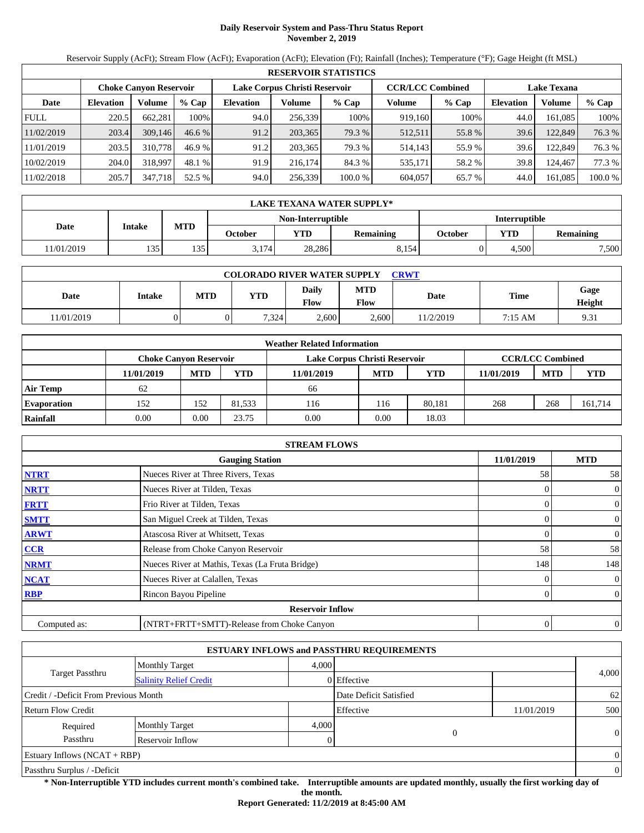# **Daily Reservoir System and Pass-Thru Status Report November 2, 2019**

Reservoir Supply (AcFt); Stream Flow (AcFt); Evaporation (AcFt); Elevation (Ft); Rainfall (Inches); Temperature (°F); Gage Height (ft MSL)

|             | <b>RESERVOIR STATISTICS</b>                                    |         |         |                  |         |         |         |                                               |                  |         |         |  |
|-------------|----------------------------------------------------------------|---------|---------|------------------|---------|---------|---------|-----------------------------------------------|------------------|---------|---------|--|
|             | Lake Corpus Christi Reservoir<br><b>Choke Canvon Reservoir</b> |         |         |                  |         |         |         | <b>CCR/LCC Combined</b><br><b>Lake Texana</b> |                  |         |         |  |
| Date        | <b>Elevation</b>                                               | Volume  | $%$ Cap | <b>Elevation</b> | Volume  | $%$ Cap | Volume  | $%$ Cap                                       | <b>Elevation</b> | Volume  | $%$ Cap |  |
| <b>FULL</b> | 220.5                                                          | 662.281 | 100%    | 94.0             | 256,339 | 100%    | 919,160 | 100%                                          | 44.0             | 161.085 | 100%    |  |
| 11/02/2019  | 203.4                                                          | 309,146 | 46.6%   | 91.2             | 203,365 | 79.3 %  | 512,511 | 55.8 %                                        | 39.6             | 122.849 | 76.3 %  |  |
| 11/01/2019  | 203.5                                                          | 310,778 | 46.9%   | 91.2             | 203.365 | 79.3 %  | 514.143 | 55.9 %                                        | 39.6             | 122.849 | 76.3 %  |  |
| 10/02/2019  | 204.0                                                          | 318,997 | 48.1 %  | 91.9             | 216,174 | 84.3 %  | 535,171 | 58.2 %                                        | 39.8             | 124.467 | 77.3 %  |  |
| 11/02/2018  | 205.7                                                          | 347,718 | 52.5 %  | 94.0             | 256,339 | 100.0%  | 604,057 | 65.7 %                                        | 44.0             | 161,085 | 100.0 % |  |

|            | LAKE TEXANA WATER SUPPLY*                        |            |         |            |                  |         |       |                  |  |  |  |
|------------|--------------------------------------------------|------------|---------|------------|------------------|---------|-------|------------------|--|--|--|
|            | <b>Non-Interruptible</b><br><b>Interruptible</b> |            |         |            |                  |         |       |                  |  |  |  |
| Date       | Intake                                           | <b>MTD</b> | October | <b>YTD</b> | <b>Remaining</b> | October | YTD   | <b>Remaining</b> |  |  |  |
| 11/01/2019 | 135                                              | 135        | 3.174   | 28.286     | 8.154            |         | 4.500 | 7,500            |  |  |  |

| <b>COLORADO RIVER WATER SUPPLY</b><br><b>CRWT</b> |        |     |            |                      |                    |          |             |                |  |  |
|---------------------------------------------------|--------|-----|------------|----------------------|--------------------|----------|-------------|----------------|--|--|
| Date                                              | Intake | MTD | <b>YTD</b> | <b>Daily</b><br>Flow | <b>MTD</b><br>Flow | Date     | <b>Time</b> | Gage<br>Height |  |  |
| 1/01/2019                                         |        |     | 7.324      | 2,600                | 2.600              | 1/2/2019 | 7:15 AM     | 9.31           |  |  |

|                    |                               |            |        | <b>Weather Related Information</b> |            |            |            |                         |            |
|--------------------|-------------------------------|------------|--------|------------------------------------|------------|------------|------------|-------------------------|------------|
|                    | <b>Choke Canvon Reservoir</b> |            |        | Lake Corpus Christi Reservoir      |            |            |            | <b>CCR/LCC Combined</b> |            |
|                    | 11/01/2019                    | <b>MTD</b> | YTD    | 11/01/2019                         | <b>MTD</b> | <b>YTD</b> | 11/01/2019 | <b>MTD</b>              | <b>YTD</b> |
| <b>Air Temp</b>    | 62                            |            |        | 66                                 |            |            |            |                         |            |
| <b>Evaporation</b> | 152                           | 152        | 81.533 | 116                                | 116        | 80.181     | 268        | 268                     | 161,714    |
| Rainfall           | 0.00                          | 0.00       | 23.75  | 0.00                               | 0.00       | 18.03      |            |                         |            |

|              | <b>STREAM FLOWS</b>                             |            |                |
|--------------|-------------------------------------------------|------------|----------------|
|              | <b>Gauging Station</b>                          | 11/01/2019 | <b>MTD</b>     |
| <b>NTRT</b>  | Nueces River at Three Rivers, Texas             | 58         | 58             |
| <b>NRTT</b>  | Nueces River at Tilden, Texas                   |            | $\overline{0}$ |
| <b>FRTT</b>  | Frio River at Tilden, Texas                     |            | $\overline{0}$ |
| <b>SMTT</b>  | San Miguel Creek at Tilden, Texas               | 0          | $\mathbf{0}$   |
| <b>ARWT</b>  | Atascosa River at Whitsett, Texas               | $\theta$   | $\overline{0}$ |
| CCR          | Release from Choke Canyon Reservoir             | 58         | 58             |
| <b>NRMT</b>  | Nueces River at Mathis, Texas (La Fruta Bridge) | 148        | 148            |
| <b>NCAT</b>  | Nueces River at Calallen, Texas                 |            | $\overline{0}$ |
| <b>RBP</b>   | Rincon Bayou Pipeline                           | 0          | $\overline{0}$ |
|              | <b>Reservoir Inflow</b>                         |            |                |
| Computed as: | (NTRT+FRTT+SMTT)-Release from Choke Canyon      | 0          | $\overline{0}$ |

|                                                  |                       |                        | <b>ESTUARY INFLOWS and PASSTHRU REQUIREMENTS</b> |                |                |
|--------------------------------------------------|-----------------------|------------------------|--------------------------------------------------|----------------|----------------|
|                                                  | <b>Monthly Target</b> | 4.000                  |                                                  |                |                |
| Target Passthru<br><b>Salinity Relief Credit</b> |                       |                        | 0 Effective                                      |                | 4,000          |
| Credit / -Deficit From Previous Month            |                       | Date Deficit Satisfied |                                                  | 62             |                |
| <b>Return Flow Credit</b>                        |                       |                        | Effective                                        | 11/01/2019     | 500            |
| Required                                         | <b>Monthly Target</b> | 4,000                  | $\Omega$                                         |                |                |
| Passthru                                         | Reservoir Inflow      |                        |                                                  |                | $\overline{0}$ |
| Estuary Inflows $(NCAT + RBP)$                   |                       |                        |                                                  |                | $\overline{0}$ |
| Passthru Surplus / -Deficit                      |                       |                        |                                                  | $\overline{0}$ |                |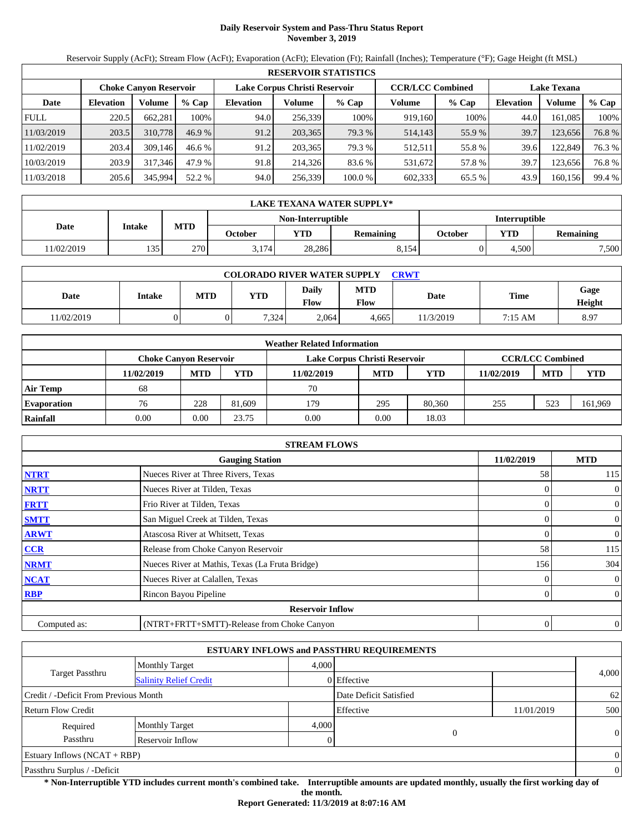# **Daily Reservoir System and Pass-Thru Status Report November 3, 2019**

Reservoir Supply (AcFt); Stream Flow (AcFt); Evaporation (AcFt); Elevation (Ft); Rainfall (Inches); Temperature (°F); Gage Height (ft MSL)

|             | <b>RESERVOIR STATISTICS</b> |                               |         |                  |                               |         |                         |         |                    |         |        |  |
|-------------|-----------------------------|-------------------------------|---------|------------------|-------------------------------|---------|-------------------------|---------|--------------------|---------|--------|--|
|             |                             | <b>Choke Canvon Reservoir</b> |         |                  | Lake Corpus Christi Reservoir |         | <b>CCR/LCC Combined</b> |         | <b>Lake Texana</b> |         |        |  |
| Date        | <b>Elevation</b>            | <b>Volume</b>                 | $%$ Cap | <b>Elevation</b> | Volume                        | $%$ Cap | Volume                  | $%$ Cap | <b>Elevation</b>   | Volume  | % Cap  |  |
| <b>FULL</b> | 220.5                       | 662.281                       | 100%    | 94.0             | 256,339                       | 100%    | 919,160                 | 100%    | 44.0               | 161.085 | 100%   |  |
| 11/03/2019  | 203.5                       | 310,778                       | 46.9%   | 91.2             | 203,365                       | 79.3 %  | 514,143                 | 55.9%   | 39.7               | 123,656 | 76.8%  |  |
| 11/02/2019  | 203.4                       | 309.146                       | 46.6%   | 91.2             | 203.365                       | 79.3 %  | 512,511                 | 55.8%   | 39.6               | 122,849 | 76.3 % |  |
| 10/03/2019  | 203.9                       | 317,346                       | 47.9 %  | 91.8             | 214.326                       | 83.6 %  | 531,672                 | 57.8%   | 39.7               | 123.656 | 76.8%  |  |
| 11/03/2018  | 205.6                       | 345,994                       | 52.2 %  | 94.0             | 256,339                       | 100.0 % | 602,333                 | 65.5 %  | 43.9               | 160,156 | 99.4 % |  |

|            | LAKE TEXANA WATER SUPPLY* |            |         |                          |                  |                      |            |                  |  |  |  |
|------------|---------------------------|------------|---------|--------------------------|------------------|----------------------|------------|------------------|--|--|--|
|            |                           |            |         | <b>Non-Interruptible</b> |                  | <b>Interruptible</b> |            |                  |  |  |  |
| Date       | Intake                    | <b>MTD</b> | October | <b>YTD</b>               | <b>Remaining</b> | October              | <b>YTD</b> | <b>Remaining</b> |  |  |  |
| 11/02/2019 | 135                       | 270        | 3.174   | 28,286                   | 8.154            |                      | 4.500      | 7,500            |  |  |  |

| <b>COLORADO RIVER WATER SUPPLY</b><br><b>CRWT</b> |        |     |       |               |                    |          |             |                |  |  |
|---------------------------------------------------|--------|-----|-------|---------------|--------------------|----------|-------------|----------------|--|--|
| Date                                              | Intake | MTD | YTD   | Daily<br>Flow | <b>MTD</b><br>Flow | Date     | <b>Time</b> | Gage<br>Height |  |  |
| 1/02/2019                                         |        |     | 7,324 | 2.064         | 4.665              | 1/3/2019 | 7:15 AM     | 8.97           |  |  |

|                    |                               |            |        | <b>Weather Related Information</b> |            |            |            |                         |            |
|--------------------|-------------------------------|------------|--------|------------------------------------|------------|------------|------------|-------------------------|------------|
|                    | <b>Choke Canvon Reservoir</b> |            |        | Lake Corpus Christi Reservoir      |            |            |            | <b>CCR/LCC Combined</b> |            |
|                    | 11/02/2019                    | <b>MTD</b> | YTD    | 11/02/2019                         | <b>MTD</b> | <b>YTD</b> | 11/02/2019 | <b>MTD</b>              | <b>YTD</b> |
| <b>Air Temp</b>    | 68                            |            |        | 70                                 |            |            |            |                         |            |
| <b>Evaporation</b> | 76                            | 228        | 81,609 | 179                                | 295        | 80.360     | 255        | 523                     | 161,969    |
| Rainfall           | 0.00                          | 0.00       | 23.75  | 0.00                               | 0.00       | 18.03      |            |                         |            |

|              | <b>STREAM FLOWS</b>                             |            |                |
|--------------|-------------------------------------------------|------------|----------------|
|              | <b>Gauging Station</b>                          | 11/02/2019 | <b>MTD</b>     |
| <b>NTRT</b>  | Nueces River at Three Rivers, Texas             | 58         | 115            |
| <b>NRTT</b>  | Nueces River at Tilden, Texas                   |            | $\overline{0}$ |
| <b>FRTT</b>  | Frio River at Tilden, Texas                     |            | $\overline{0}$ |
| <b>SMTT</b>  | San Miguel Creek at Tilden, Texas               | 0          | $\overline{0}$ |
| <b>ARWT</b>  | Atascosa River at Whitsett, Texas               | 0          | $\overline{0}$ |
| CCR          | Release from Choke Canyon Reservoir             | 58         | 115            |
| <b>NRMT</b>  | Nueces River at Mathis, Texas (La Fruta Bridge) | 156        | 304            |
| <b>NCAT</b>  | Nueces River at Calallen, Texas                 |            | $\overline{0}$ |
| <b>RBP</b>   | Rincon Bayou Pipeline                           | 0          | $\overline{0}$ |
|              | <b>Reservoir Inflow</b>                         |            |                |
| Computed as: | (NTRT+FRTT+SMTT)-Release from Choke Canyon      | 0          | $\overline{0}$ |

|                                       |                               |       | <b>ESTUARY INFLOWS and PASSTHRU REQUIREMENTS</b> |            |                |
|---------------------------------------|-------------------------------|-------|--------------------------------------------------|------------|----------------|
|                                       | <b>Monthly Target</b>         | 4.000 |                                                  |            |                |
| Target Passthru                       | <b>Salinity Relief Credit</b> |       | 0 Effective                                      |            | 4,000          |
| Credit / -Deficit From Previous Month |                               |       | Date Deficit Satisfied                           |            | 62             |
| Return Flow Credit                    |                               |       | Effective                                        | 11/01/2019 | 500            |
| Required                              | <b>Monthly Target</b>         | 4,000 |                                                  |            |                |
| Passthru                              | Reservoir Inflow              | 0     | $\Omega$                                         |            | $\overline{0}$ |
| Estuary Inflows $(NCAT + RBP)$        |                               |       |                                                  |            | $\overline{0}$ |
| Passthru Surplus / -Deficit           |                               |       |                                                  |            | $\overline{0}$ |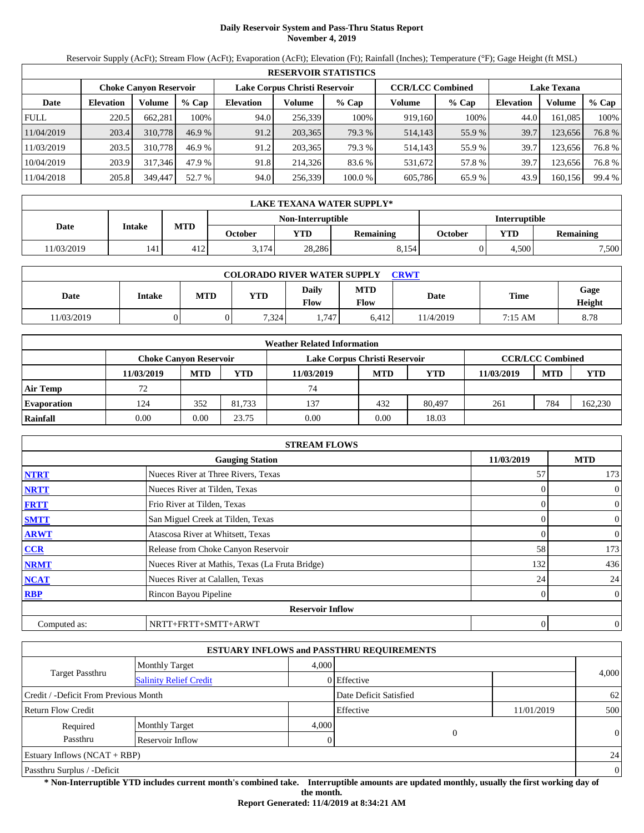# **Daily Reservoir System and Pass-Thru Status Report November 4, 2019**

Reservoir Supply (AcFt); Stream Flow (AcFt); Evaporation (AcFt); Elevation (Ft); Rainfall (Inches); Temperature (°F); Gage Height (ft MSL)

|             | <b>RESERVOIR STATISTICS</b> |                               |         |                  |                               |         |                         |         |                    |         |        |  |
|-------------|-----------------------------|-------------------------------|---------|------------------|-------------------------------|---------|-------------------------|---------|--------------------|---------|--------|--|
|             |                             | <b>Choke Canvon Reservoir</b> |         |                  | Lake Corpus Christi Reservoir |         | <b>CCR/LCC Combined</b> |         | <b>Lake Texana</b> |         |        |  |
| Date        | <b>Elevation</b>            | <b>Volume</b>                 | $%$ Cap | <b>Elevation</b> | Volume                        | $%$ Cap | Volume                  | $%$ Cap | <b>Elevation</b>   | Volume  | % Cap  |  |
| <b>FULL</b> | 220.5                       | 662,281                       | 100%    | 94.0             | 256,339                       | 100%    | 919,160                 | 100%    | 44.0               | 161.085 | 100%   |  |
| 11/04/2019  | 203.4                       | 310,778                       | 46.9%   | 91.2             | 203,365                       | 79.3 %  | 514,143                 | 55.9%   | 39.7               | 123,656 | 76.8%  |  |
| 11/03/2019  | 203.5                       | 310,778                       | 46.9%   | 91.2             | 203.365                       | 79.3 %  | 514,143                 | 55.9%   | 39.7               | 123.656 | 76.8%  |  |
| 10/04/2019  | 203.9                       | 317,346                       | 47.9 %  | 91.8             | 214.326                       | 83.6 %  | 531,672                 | 57.8%   | 39.7               | 123.656 | 76.8%  |  |
| 11/04/2018  | 205.8                       | 349,447                       | 52.7 %  | 94.0             | 256,339                       | 100.0 % | 605,786                 | 65.9%   | 43.9               | 160,156 | 99.4 % |  |

|            | LAKE TEXANA WATER SUPPLY* |            |         |                   |                  |                      |            |           |  |  |
|------------|---------------------------|------------|---------|-------------------|------------------|----------------------|------------|-----------|--|--|
|            |                           |            |         | Non-Interruptible |                  | <b>Interruptible</b> |            |           |  |  |
| Date       | Intake                    | <b>MTD</b> | October | <b>YTD</b>        | <b>Remaining</b> | October              | <b>YTD</b> | Remaining |  |  |
| 11/03/2019 | 141                       | 412        | 3.174   | 28.286            | 8.154            |                      | 4.500      | 7,500     |  |  |

| <b>COLORADO RIVER WATER SUPPLY</b><br><b>CRWT</b> |        |            |       |                      |                    |          |             |                |  |  |
|---------------------------------------------------|--------|------------|-------|----------------------|--------------------|----------|-------------|----------------|--|--|
| Date                                              | Intake | <b>MTD</b> | VTD   | Daily<br><b>Flow</b> | <b>MTD</b><br>Flow | Date     | <b>Time</b> | Gage<br>Height |  |  |
| 1/03/2019                                         |        |            | 7.324 | 1.747                | 6.412              | 1/4/2019 | 7:15 AM     | 8.78           |  |  |

|                    |            |                               |        | <b>Weather Related Information</b> |            |            |            |                         |            |
|--------------------|------------|-------------------------------|--------|------------------------------------|------------|------------|------------|-------------------------|------------|
|                    |            | <b>Choke Canvon Reservoir</b> |        | Lake Corpus Christi Reservoir      |            |            |            | <b>CCR/LCC Combined</b> |            |
|                    | 11/03/2019 | <b>MTD</b>                    | YTD    | 11/03/2019                         | <b>MTD</b> | <b>YTD</b> | 11/03/2019 | <b>MTD</b>              | <b>YTD</b> |
| <b>Air Temp</b>    | 72         |                               |        | 74                                 |            |            |            |                         |            |
| <b>Evaporation</b> | 124        | 352                           | 81.733 | 137                                | 432        | 80,497     | 261        | 784                     | 162,230    |
| Rainfall           | 0.00       | 0.00                          | 23.75  | 0.00                               | 0.00       | 18.03      |            |                         |            |

|              | <b>STREAM FLOWS</b>                             |            |                |
|--------------|-------------------------------------------------|------------|----------------|
|              | <b>Gauging Station</b>                          | 11/03/2019 | <b>MTD</b>     |
| <b>NTRT</b>  | Nueces River at Three Rivers, Texas             | 57         | 173            |
| <b>NRTT</b>  | Nueces River at Tilden, Texas                   |            | $\mathbf{0}$   |
| <b>FRTT</b>  | Frio River at Tilden, Texas                     | 0          | $\mathbf{0}$   |
| <b>SMTT</b>  | San Miguel Creek at Tilden, Texas               |            | $\mathbf{0}$   |
| <b>ARWT</b>  | Atascosa River at Whitsett, Texas               |            | $\mathbf{0}$   |
| CCR          | Release from Choke Canyon Reservoir             | 58         | 173            |
| <b>NRMT</b>  | Nueces River at Mathis, Texas (La Fruta Bridge) | 132        | 436            |
| <b>NCAT</b>  | Nueces River at Calallen, Texas                 | 24         | 24             |
| <b>RBP</b>   | Rincon Bayou Pipeline                           | 0          | $\overline{0}$ |
|              | <b>Reservoir Inflow</b>                         |            |                |
| Computed as: | NRTT+FRTT+SMTT+ARWT                             | 0          | $\mathbf{0}$   |

|                                       |                               |       | <b>ESTUARY INFLOWS and PASSTHRU REQUIREMENTS</b> |            |                |
|---------------------------------------|-------------------------------|-------|--------------------------------------------------|------------|----------------|
|                                       | <b>Monthly Target</b>         | 4.000 |                                                  |            |                |
| Target Passthru                       | <b>Salinity Relief Credit</b> |       | 0 Effective                                      |            | 4,000          |
| Credit / -Deficit From Previous Month |                               |       | Date Deficit Satisfied                           |            | 62             |
| <b>Return Flow Credit</b>             |                               |       | Effective                                        | 11/01/2019 | 500            |
| Required                              | <b>Monthly Target</b>         | 4,000 |                                                  |            |                |
| Passthru                              | Reservoir Inflow              |       | $\overline{0}$                                   |            | $\Omega$       |
| <b>Estuary Inflows (NCAT + RBP)</b>   |                               |       |                                                  |            | 24             |
| Passthru Surplus / -Deficit           |                               |       |                                                  |            | $\overline{0}$ |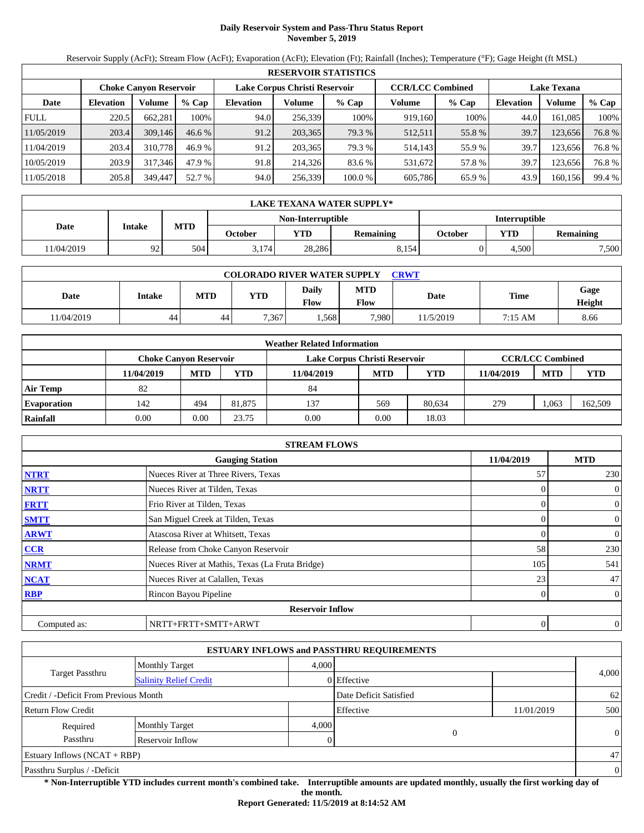# **Daily Reservoir System and Pass-Thru Status Report November 5, 2019**

Reservoir Supply (AcFt); Stream Flow (AcFt); Evaporation (AcFt); Elevation (Ft); Rainfall (Inches); Temperature (°F); Gage Height (ft MSL)

|             | <b>RESERVOIR STATISTICS</b> |                               |          |                               |         |         |                         |         |                    |         |        |  |  |
|-------------|-----------------------------|-------------------------------|----------|-------------------------------|---------|---------|-------------------------|---------|--------------------|---------|--------|--|--|
|             |                             | <b>Choke Canyon Reservoir</b> |          | Lake Corpus Christi Reservoir |         |         | <b>CCR/LCC Combined</b> |         | <b>Lake Texana</b> |         |        |  |  |
| Date        | <b>Elevation</b>            | Volume                        | $%$ Cap  | <b>Elevation</b>              | Volume  | $%$ Cap | Volume                  | $%$ Cap | <b>Elevation</b>   | Volume  | % Cap  |  |  |
| <b>FULL</b> | 220.5                       | 662.281                       | 100%     | 94.0                          | 256,339 | 100%    | 919,160                 | 100%    | 44.0               | 161.085 | 100%   |  |  |
| 11/05/2019  | 203.4                       | 309,146                       | $46.6\%$ | 91.2                          | 203,365 | 79.3 %  | 512,511                 | 55.8%   | 39.7               | 123,656 | 76.8%  |  |  |
| 11/04/2019  | 203.4                       | 310,778                       | 46.9 %   | 91.2                          | 203.365 | 79.3 %  | 514,143                 | 55.9%   | 39.7               | 123.656 | 76.8%  |  |  |
| 10/05/2019  | 203.9                       | 317.346                       | 47.9 %   | 91.8                          | 214,326 | 83.6 %  | 531,672                 | 57.8 %  | 39.7               | 123.656 | 76.8%  |  |  |
| 11/05/2018  | 205.8                       | 349,447                       | 52.7 %   | 94.0                          | 256,339 | 100.0%  | 605,786                 | 65.9%   | 43.9               | 160,156 | 99.4 % |  |  |

|            | LAKE TEXANA WATER SUPPLY* |            |         |                   |                  |         |                      |           |  |  |  |
|------------|---------------------------|------------|---------|-------------------|------------------|---------|----------------------|-----------|--|--|--|
|            |                           |            |         | Non-Interruptible |                  |         | <b>Interruptible</b> |           |  |  |  |
| Date       | Intake                    | <b>MTD</b> | October | <b>YTD</b>        | <b>Remaining</b> | October | <b>YTD</b>           | Remaining |  |  |  |
| 11/04/2019 | 92                        | 504        | 3.174   | 28.286            | 8.154            |         | 4.500                | 7,500     |  |  |  |

| <b>COLORADO RIVER WATER SUPPLY</b><br><b>CRWT</b> |        |     |       |               |                    |          |             |                |  |  |  |
|---------------------------------------------------|--------|-----|-------|---------------|--------------------|----------|-------------|----------------|--|--|--|
| Date                                              | Intake | MTD | YTD   | Daily<br>Flow | <b>MTD</b><br>Flow | Date     | <b>Time</b> | Gage<br>Height |  |  |  |
| 1/04/2019                                         | 44     | 44  | 7,367 | .568          | 7.980              | 1/5/2019 | 7:15 AM     | 8.66           |  |  |  |

|                    |                               |            |        | <b>Weather Related Information</b> |            |            |            |                         |            |
|--------------------|-------------------------------|------------|--------|------------------------------------|------------|------------|------------|-------------------------|------------|
|                    | <b>Choke Canvon Reservoir</b> |            |        | Lake Corpus Christi Reservoir      |            |            |            | <b>CCR/LCC Combined</b> |            |
|                    | 11/04/2019                    | <b>MTD</b> | YTD    | 11/04/2019                         | <b>MTD</b> | <b>YTD</b> | 11/04/2019 | <b>MTD</b>              | <b>YTD</b> |
| <b>Air Temp</b>    | 82                            |            |        | 84                                 |            |            |            |                         |            |
| <b>Evaporation</b> | 142                           | 494        | 81.875 | 137                                | 569        | 80.634     | 279        | .063                    | 162,509    |
| Rainfall           | 0.00                          | 0.00       | 23.75  | 0.00                               | 0.00       | 18.03      |            |                         |            |

|              | <b>STREAM FLOWS</b>                             |                |                |
|--------------|-------------------------------------------------|----------------|----------------|
|              | <b>Gauging Station</b>                          | 11/04/2019     | <b>MTD</b>     |
| <b>NTRT</b>  | Nueces River at Three Rivers, Texas             | 57             | 230            |
| <b>NRTT</b>  | Nueces River at Tilden, Texas                   | $\Omega$       | $\mathbf{0}$   |
| <b>FRTT</b>  | Frio River at Tilden, Texas                     | 0              | $\mathbf{0}$   |
| <b>SMTT</b>  | San Miguel Creek at Tilden, Texas               | $\Omega$       | $\mathbf{0}$   |
| <b>ARWT</b>  | Atascosa River at Whitsett, Texas               | 0              | $\mathbf{0}$   |
| CCR          | Release from Choke Canyon Reservoir             | 58             | 230            |
| <b>NRMT</b>  | Nueces River at Mathis, Texas (La Fruta Bridge) | 105            | 541            |
| <b>NCAT</b>  | Nueces River at Calallen, Texas                 | 23             | 47             |
| <b>RBP</b>   | Rincon Bayou Pipeline                           | $\overline{0}$ | $\overline{0}$ |
|              | <b>Reservoir Inflow</b>                         |                |                |
| Computed as: | NRTT+FRTT+SMTT+ARWT                             | 0              | $\theta$       |

|                                       |                               |       | <b>ESTUARY INFLOWS and PASSTHRU REQUIREMENTS</b> |            |                |
|---------------------------------------|-------------------------------|-------|--------------------------------------------------|------------|----------------|
|                                       | <b>Monthly Target</b>         | 4.000 |                                                  |            |                |
| Target Passthru                       | <b>Salinity Relief Credit</b> |       | 0 Effective                                      |            | 4,000          |
| Credit / -Deficit From Previous Month |                               |       | Date Deficit Satisfied                           |            | 62             |
| <b>Return Flow Credit</b>             |                               |       | Effective                                        | 11/01/2019 | 500            |
| Required                              | <b>Monthly Target</b>         | 4,000 |                                                  |            |                |
| Passthru                              | Reservoir Inflow              |       | $\overline{0}$                                   |            | $\Omega$       |
| <b>Estuary Inflows (NCAT + RBP)</b>   |                               |       |                                                  |            | 47             |
| Passthru Surplus / -Deficit           |                               |       |                                                  |            | $\overline{0}$ |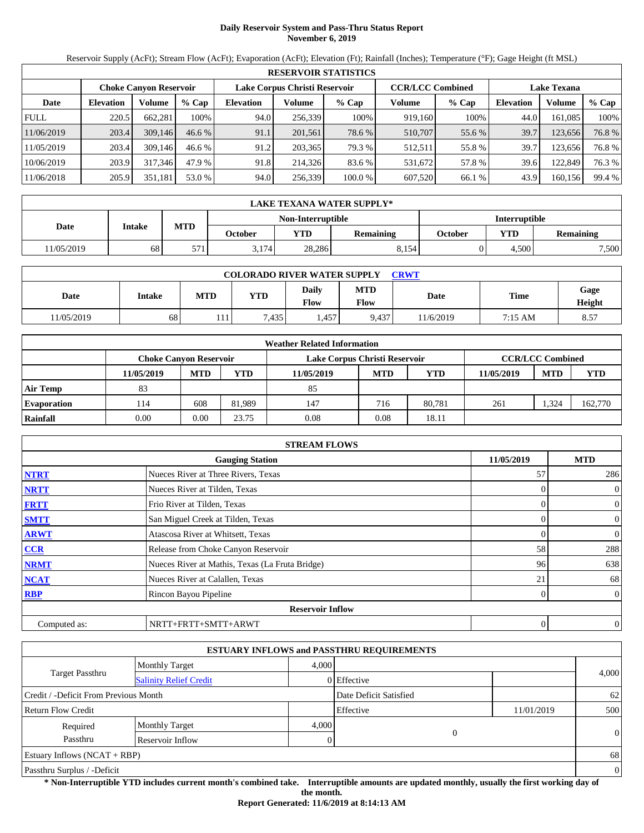# **Daily Reservoir System and Pass-Thru Status Report November 6, 2019**

Reservoir Supply (AcFt); Stream Flow (AcFt); Evaporation (AcFt); Elevation (Ft); Rainfall (Inches); Temperature (°F); Gage Height (ft MSL)

|             | <b>RESERVOIR STATISTICS</b> |                               |          |                  |                               |         |                         |         |                    |         |        |  |  |
|-------------|-----------------------------|-------------------------------|----------|------------------|-------------------------------|---------|-------------------------|---------|--------------------|---------|--------|--|--|
|             |                             | <b>Choke Canyon Reservoir</b> |          |                  | Lake Corpus Christi Reservoir |         | <b>CCR/LCC Combined</b> |         | <b>Lake Texana</b> |         |        |  |  |
| Date        | <b>Elevation</b>            | Volume                        | $%$ Cap  | <b>Elevation</b> | Volume                        | $%$ Cap | Volume                  | $%$ Cap | <b>Elevation</b>   | Volume  | % Cap  |  |  |
| <b>FULL</b> | 220.5                       | 662.281                       | 100%     | 94.0             | 256,339                       | 100%    | 919,160                 | 100%    | 44.0               | 161.085 | 100%   |  |  |
| 11/06/2019  | 203.4                       | 309,146                       | $46.6\%$ | 91.1             | 201,561                       | 78.6 %  | 510,707                 | 55.6 %  | 39.7               | 123,656 | 76.8%  |  |  |
| 11/05/2019  | 203.4                       | 309.146                       | 46.6%    | 91.2             | 203.365                       | 79.3 %  | 512,511                 | 55.8%   | 39.7               | 123.656 | 76.8%  |  |  |
| 10/06/2019  | 203.9                       | 317.346                       | 47.9 %   | 91.8             | 214,326                       | 83.6 %  | 531,672                 | 57.8 %  | 39.6               | 122,849 | 76.3 % |  |  |
| 11/06/2018  | 205.9                       | 351,181                       | 53.0 %   | 94.0             | 256,339                       | 100.0%  | 607.520                 | 66.1 %  | 43.9               | 160,156 | 99.4 % |  |  |

|            | LAKE TEXANA WATER SUPPLY* |            |         |                   |                  |         |                      |           |  |  |  |
|------------|---------------------------|------------|---------|-------------------|------------------|---------|----------------------|-----------|--|--|--|
|            |                           |            |         | Non-Interruptible |                  |         | <b>Interruptible</b> |           |  |  |  |
| Date       | Intake                    | <b>MTD</b> | October | <b>YTD</b>        | <b>Remaining</b> | October | <b>YTD</b>           | Remaining |  |  |  |
| 11/05/2019 | 68                        | E/T        | 3.174   | 28.286            | 8.154            |         | 4.500                | 7,500     |  |  |  |

| <b>COLORADO RIVER WATER SUPPLY</b><br><b>CRWT</b> |        |     |      |               |                    |          |             |                |  |  |  |
|---------------------------------------------------|--------|-----|------|---------------|--------------------|----------|-------------|----------------|--|--|--|
| Date                                              | Intake | MTD | YTD  | Daily<br>Flow | <b>MTD</b><br>Flow | Date     | <b>Time</b> | Gage<br>Height |  |  |  |
| 1/05/2019                                         | 68     | 111 | .435 | .457          | 9.437              | 1/6/2019 | 7:15 AM     | 8.57           |  |  |  |

|                    |                               |            |        | <b>Weather Related Information</b> |            |            |            |                         |            |
|--------------------|-------------------------------|------------|--------|------------------------------------|------------|------------|------------|-------------------------|------------|
|                    | <b>Choke Canvon Reservoir</b> |            |        | Lake Corpus Christi Reservoir      |            |            |            | <b>CCR/LCC Combined</b> |            |
|                    | 11/05/2019                    | <b>MTD</b> | YTD    | 11/05/2019                         | <b>MTD</b> | <b>YTD</b> | 11/05/2019 | <b>MTD</b>              | <b>YTD</b> |
| <b>Air Temp</b>    | 83                            |            |        | 85                                 |            |            |            |                         |            |
| <b>Evaporation</b> | l 14                          | 608        | 81.989 | 147                                | 716        | 80.781     | 261        | .324                    | 162,770    |
| Rainfall           | 0.00                          | 0.00       | 23.75  | 0.08                               | 0.08       | 18.11      |            |                         |            |

|              | <b>STREAM FLOWS</b>                             |            |                |
|--------------|-------------------------------------------------|------------|----------------|
|              | <b>Gauging Station</b>                          | 11/05/2019 | <b>MTD</b>     |
| <b>NTRT</b>  | Nueces River at Three Rivers, Texas             | 57         | 286            |
| <b>NRTT</b>  | Nueces River at Tilden, Texas                   | $\Omega$   | $\mathbf{0}$   |
| <b>FRTT</b>  | Frio River at Tilden, Texas                     | 0          | $\overline{0}$ |
| <b>SMTT</b>  | San Miguel Creek at Tilden, Texas               | $\Omega$   | $\mathbf{0}$   |
| <b>ARWT</b>  | Atascosa River at Whitsett, Texas               | 0          | $\overline{0}$ |
| CCR          | Release from Choke Canyon Reservoir             | 58         | 288            |
| <b>NRMT</b>  | Nueces River at Mathis, Texas (La Fruta Bridge) | 96         | 638            |
| <b>NCAT</b>  | Nueces River at Calallen, Texas                 | 21         | 68             |
| <b>RBP</b>   | Rincon Bayou Pipeline                           | 0          | $\overline{0}$ |
|              | <b>Reservoir Inflow</b>                         |            |                |
| Computed as: | NRTT+FRTT+SMTT+ARWT                             | 0          | $\theta$       |

|                                       |                               |       | <b>ESTUARY INFLOWS and PASSTHRU REQUIREMENTS</b> |            |          |
|---------------------------------------|-------------------------------|-------|--------------------------------------------------|------------|----------|
|                                       | <b>Monthly Target</b>         | 4.000 |                                                  |            |          |
| <b>Target Passthru</b>                | <b>Salinity Relief Credit</b> |       | $0$ Effective                                    |            | 4,000    |
| Credit / -Deficit From Previous Month |                               |       | Date Deficit Satisfied                           |            | 62       |
| <b>Return Flow Credit</b>             |                               |       | Effective                                        | 11/01/2019 | 500      |
| Required                              | <b>Monthly Target</b>         | 4,000 |                                                  |            |          |
| Passthru                              | Reservoir Inflow              |       | $\overline{0}$                                   |            | $\theta$ |
| Estuary Inflows $(NCAT + RBP)$        |                               |       |                                                  |            | 68       |
| Passthru Surplus / -Deficit           |                               |       |                                                  |            | $\theta$ |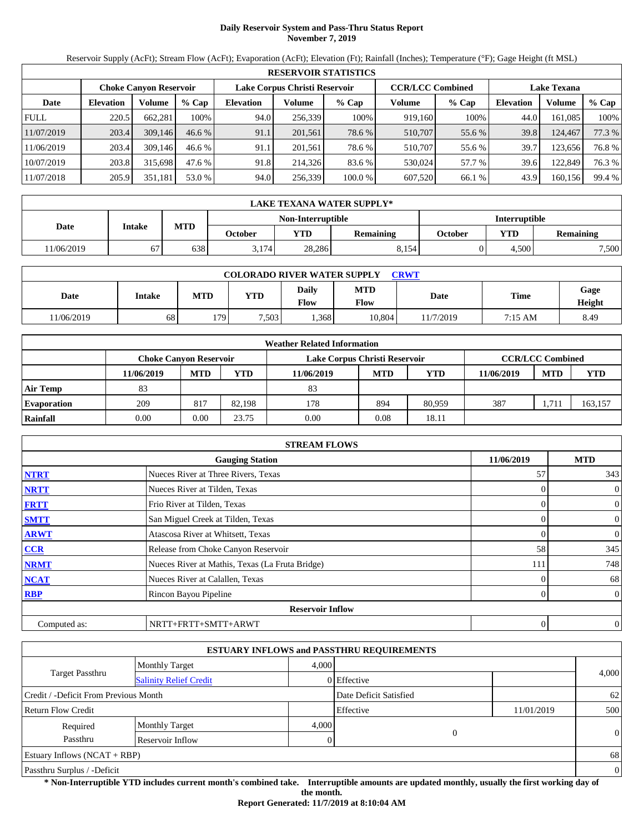# **Daily Reservoir System and Pass-Thru Status Report November 7, 2019**

Reservoir Supply (AcFt); Stream Flow (AcFt); Evaporation (AcFt); Elevation (Ft); Rainfall (Inches); Temperature (°F); Gage Height (ft MSL)

|             | <b>RESERVOIR STATISTICS</b> |                               |          |                  |                               |         |                         |         |                    |         |        |  |  |
|-------------|-----------------------------|-------------------------------|----------|------------------|-------------------------------|---------|-------------------------|---------|--------------------|---------|--------|--|--|
|             |                             | <b>Choke Canyon Reservoir</b> |          |                  | Lake Corpus Christi Reservoir |         | <b>CCR/LCC Combined</b> |         | <b>Lake Texana</b> |         |        |  |  |
| Date        | <b>Elevation</b>            | Volume                        | $%$ Cap  | <b>Elevation</b> | Volume                        | $%$ Cap | Volume                  | $%$ Cap | <b>Elevation</b>   | Volume  | % Cap  |  |  |
| <b>FULL</b> | 220.5                       | 662.281                       | 100%     | 94.0             | 256.339                       | 100%    | 919.160                 | 100%    | 44.0               | 161.085 | 100%   |  |  |
| 11/07/2019  | 203.4                       | 309,146                       | $46.6\%$ | 91.1             | 201,561                       | 78.6 %  | 510,707                 | 55.6 %  | 39.8               | 124,467 | 77.3 % |  |  |
| 11/06/2019  | 203.4                       | 309.146                       | 46.6%    | 91.1             | 201.561                       | 78.6 %  | 510.707                 | 55.6 %  | 39.7               | 123.656 | 76.8%  |  |  |
| 10/07/2019  | 203.8                       | 315.698                       | 47.6 %   | 91.8             | 214,326                       | 83.6 %  | 530.024                 | 57.7 %  | 39.6               | 122,849 | 76.3 % |  |  |
| 11/07/2018  | 205.9                       | 351,181                       | 53.0 %   | 94.0             | 256,339                       | 100.0%  | 607.520                 | 66.1 %  | 43.9               | 160,156 | 99.4 % |  |  |

|            | LAKE TEXANA WATER SUPPLY* |            |         |                   |                  |                      |            |           |  |  |  |
|------------|---------------------------|------------|---------|-------------------|------------------|----------------------|------------|-----------|--|--|--|
|            |                           |            |         | Non-Interruptible |                  | <b>Interruptible</b> |            |           |  |  |  |
| Date       | Intake                    | <b>MTD</b> | October | <b>YTD</b>        | <b>Remaining</b> | October              | <b>YTD</b> | Remaining |  |  |  |
| 11/06/2019 | 67                        | 638        | 3.174   | 28.286            | 8.154            |                      | 4.500      | 7,500     |  |  |  |

| <b>COLORADO RIVER WATER SUPPLY</b><br><b>CRWT</b> |        |            |            |                             |                    |           |         |                |  |  |  |
|---------------------------------------------------|--------|------------|------------|-----------------------------|--------------------|-----------|---------|----------------|--|--|--|
| Date                                              | Intake | <b>MTD</b> | <b>YTD</b> | <b>Daily</b><br><b>Flow</b> | <b>MTD</b><br>Flow | Date      | Time    | Gage<br>Height |  |  |  |
| 11/06/2019                                        | 68     | 179        | 7,503      | .368                        | 10.804             | 11/7/2019 | 7:15 AM | 8.49           |  |  |  |

|                    |                               |            |        | <b>Weather Related Information</b> |            |            |            |                         |            |
|--------------------|-------------------------------|------------|--------|------------------------------------|------------|------------|------------|-------------------------|------------|
|                    | <b>Choke Canvon Reservoir</b> |            |        | Lake Corpus Christi Reservoir      |            |            |            | <b>CCR/LCC Combined</b> |            |
|                    | 11/06/2019                    | <b>MTD</b> | YTD    | 11/06/2019                         | <b>MTD</b> | <b>YTD</b> | 11/06/2019 | <b>MTD</b>              | <b>YTD</b> |
| <b>Air Temp</b>    | 83                            |            |        | 83                                 |            |            |            |                         |            |
| <b>Evaporation</b> | 209                           | 817        | 82.198 | 178                                | 894        | 80,959     | 387        | 1.71                    | 163,157    |
| Rainfall           | 0.00                          | 0.00       | 23.75  | 0.00                               | 0.08       | 18.11      |            |                         |            |

|              | <b>STREAM FLOWS</b>                             |              |                |
|--------------|-------------------------------------------------|--------------|----------------|
|              | <b>Gauging Station</b>                          | 11/06/2019   | <b>MTD</b>     |
| <b>NTRT</b>  | Nueces River at Three Rivers, Texas             | 57           | 343            |
| <b>NRTT</b>  | Nueces River at Tilden, Texas                   | $\Omega$     | $\mathbf{0}$   |
| <b>FRTT</b>  | Frio River at Tilden, Texas                     | 0            | $\overline{0}$ |
| <b>SMTT</b>  | San Miguel Creek at Tilden, Texas               | $\Omega$     | $\mathbf{0}$   |
| <b>ARWT</b>  | Atascosa River at Whitsett, Texas               | 0            | $\overline{0}$ |
| CCR          | Release from Choke Canyon Reservoir             | 58           | 345            |
| <b>NRMT</b>  | Nueces River at Mathis, Texas (La Fruta Bridge) | 111          | 748            |
| <b>NCAT</b>  | Nueces River at Calallen, Texas                 | 0            | 68             |
| <b>RBP</b>   | Rincon Bayou Pipeline                           | $\mathbf{0}$ | $\overline{0}$ |
|              | <b>Reservoir Inflow</b>                         |              |                |
| Computed as: | NRTT+FRTT+SMTT+ARWT                             | 0            | $\theta$       |

|                                       |                               |       | <b>ESTUARY INFLOWS and PASSTHRU REQUIREMENTS</b> |            |                |
|---------------------------------------|-------------------------------|-------|--------------------------------------------------|------------|----------------|
|                                       | <b>Monthly Target</b>         | 4.000 |                                                  |            |                |
| Target Passthru                       | <b>Salinity Relief Credit</b> |       | 0 Effective                                      |            | 4,000          |
| Credit / -Deficit From Previous Month |                               |       | Date Deficit Satisfied                           |            | 62             |
| <b>Return Flow Credit</b>             |                               |       | Effective                                        | 11/01/2019 | 500            |
| Required                              | <b>Monthly Target</b>         | 4,000 |                                                  |            |                |
| Passthru                              | Reservoir Inflow              |       | $\overline{0}$                                   |            | $\Omega$       |
| <b>Estuary Inflows (NCAT + RBP)</b>   |                               |       |                                                  |            | 68             |
| Passthru Surplus / -Deficit           |                               |       |                                                  |            | $\overline{0}$ |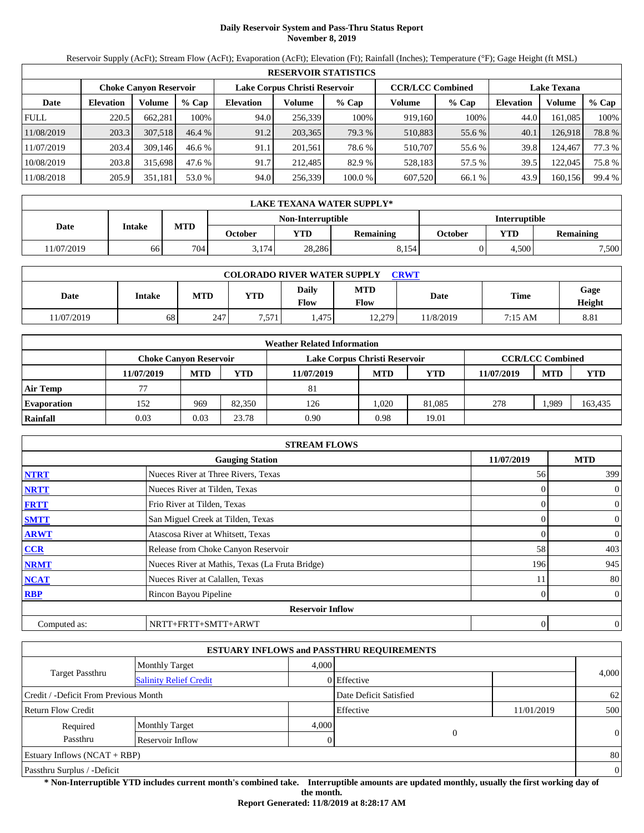# **Daily Reservoir System and Pass-Thru Status Report November 8, 2019**

Reservoir Supply (AcFt); Stream Flow (AcFt); Evaporation (AcFt); Elevation (Ft); Rainfall (Inches); Temperature (°F); Gage Height (ft MSL)

|             | <b>RESERVOIR STATISTICS</b> |                               |         |                               |         |         |                         |         |                    |         |        |  |  |
|-------------|-----------------------------|-------------------------------|---------|-------------------------------|---------|---------|-------------------------|---------|--------------------|---------|--------|--|--|
|             |                             | <b>Choke Canyon Reservoir</b> |         | Lake Corpus Christi Reservoir |         |         | <b>CCR/LCC Combined</b> |         | <b>Lake Texana</b> |         |        |  |  |
| Date        | <b>Elevation</b>            | Volume                        | $%$ Cap | <b>Elevation</b>              | Volume  | $%$ Cap | Volume                  | $%$ Cap | <b>Elevation</b>   | Volume  | % Cap  |  |  |
| <b>FULL</b> | 220.5                       | 662.281                       | 100%    | 94.0                          | 256.339 | 100%    | 919.160                 | 100%    | 44.0               | 161.085 | 100%   |  |  |
| 11/08/2019  | 203.3                       | 307.518                       | 46.4%   | 91.2                          | 203,365 | 79.3 %  | 510,883                 | 55.6 %  | 40.1               | 126.918 | 78.8%  |  |  |
| 11/07/2019  | 203.4                       | 309.146                       | 46.6%   | 91.1                          | 201.561 | 78.6 %  | 510.707                 | 55.6 %  | 39.8               | 124.467 | 77.3 % |  |  |
| 10/08/2019  | 203.8                       | 315.698                       | 47.6 %  | 91.7                          | 212.485 | 82.9 %  | 528.183                 | 57.5 %  | 39.5               | 122,045 | 75.8 % |  |  |
| 11/08/2018  | 205.9                       | 351,181                       | 53.0 %  | 94.0                          | 256,339 | 100.0%  | 607.520                 | 66.1 %  | 43.9               | 160,156 | 99.4 % |  |  |

|            | <b>LAKE TEXANA WATER SUPPLY*</b> |            |         |                   |                  |                      |            |                  |  |  |
|------------|----------------------------------|------------|---------|-------------------|------------------|----------------------|------------|------------------|--|--|
|            |                                  |            |         | Non-Interruptible |                  | <b>Interruptible</b> |            |                  |  |  |
| Date       | Intake                           | <b>MTD</b> | October | <b>YTD</b>        | <b>Remaining</b> | <b>October</b>       | <b>YTD</b> | <b>Remaining</b> |  |  |
| 11/07/2019 | 66                               | 704        | 3.174   | 28.286            | 8.154            |                      | 4.500      | 7,500            |  |  |

| <b>COLORADO RIVER WATER SUPPLY</b><br>CRWT |        |            |            |                      |                    |           |                   |                |  |  |
|--------------------------------------------|--------|------------|------------|----------------------|--------------------|-----------|-------------------|----------------|--|--|
| Date                                       | Intake | <b>MTD</b> | <b>YTD</b> | Daily<br><b>Flow</b> | <b>MTD</b><br>Flow | Date      | Time              | Gage<br>Height |  |  |
| 11/07/2019                                 | 68     | 247        | 7,571      | .475                 | 12.279             | 11/8/2019 | $7:15 \text{ AM}$ | 8.81           |  |  |

|                    |            |                               |        | <b>Weather Related Information</b> |            |            |            |                         |            |
|--------------------|------------|-------------------------------|--------|------------------------------------|------------|------------|------------|-------------------------|------------|
|                    |            | <b>Choke Canvon Reservoir</b> |        | Lake Corpus Christi Reservoir      |            |            |            | <b>CCR/LCC Combined</b> |            |
|                    | 11/07/2019 | <b>MTD</b>                    | YTD    | 11/07/2019                         | <b>MTD</b> | <b>YTD</b> | 11/07/2019 | <b>MTD</b>              | <b>YTD</b> |
| <b>Air Temp</b>    |            |                               |        | 81                                 |            |            |            |                         |            |
| <b>Evaporation</b> | 152        | 969                           | 82,350 | 126                                | 0.020      | 81,085     | 278        | .989                    | 163,435    |
| Rainfall           | 0.03       | 0.03                          | 23.78  | 0.90                               | 0.98       | 19.01      |            |                         |            |

|              | <b>STREAM FLOWS</b>                             |            |                |
|--------------|-------------------------------------------------|------------|----------------|
|              | <b>Gauging Station</b>                          | 11/07/2019 | <b>MTD</b>     |
| <b>NTRT</b>  | Nueces River at Three Rivers, Texas             | 56         | 399            |
| <b>NRTT</b>  | Nueces River at Tilden, Texas                   | $\Omega$   | $\mathbf{0}$   |
| <b>FRTT</b>  | Frio River at Tilden, Texas                     | 0          | $\overline{0}$ |
| <b>SMTT</b>  | San Miguel Creek at Tilden, Texas               | $\Omega$   | $\mathbf{0}$   |
| <b>ARWT</b>  | Atascosa River at Whitsett, Texas               | 0          | $\overline{0}$ |
| CCR          | Release from Choke Canyon Reservoir             | 58         | 403            |
| <b>NRMT</b>  | Nueces River at Mathis, Texas (La Fruta Bridge) | 196        | 945            |
| <b>NCAT</b>  | Nueces River at Calallen, Texas                 |            | 80             |
| <b>RBP</b>   | Rincon Bayou Pipeline                           | 0          | $\overline{0}$ |
|              | <b>Reservoir Inflow</b>                         |            |                |
| Computed as: | NRTT+FRTT+SMTT+ARWT                             | 0          | $\theta$       |

|                                       |                               |       | <b>ESTUARY INFLOWS and PASSTHRU REQUIREMENTS</b> |            |          |
|---------------------------------------|-------------------------------|-------|--------------------------------------------------|------------|----------|
|                                       | <b>Monthly Target</b>         | 4.000 |                                                  |            |          |
| <b>Target Passthru</b>                | <b>Salinity Relief Credit</b> |       | $0$ Effective                                    |            | 4,000    |
| Credit / -Deficit From Previous Month |                               |       | Date Deficit Satisfied                           |            | 62       |
| <b>Return Flow Credit</b>             |                               |       | Effective                                        | 11/01/2019 | 500      |
| Required                              | <b>Monthly Target</b>         | 4,000 |                                                  |            |          |
| Passthru                              | Reservoir Inflow              |       | $\overline{0}$                                   |            | $\theta$ |
| Estuary Inflows $(NCAT + RBP)$        |                               |       |                                                  |            | 80       |
| Passthru Surplus / -Deficit           |                               |       |                                                  |            | $\theta$ |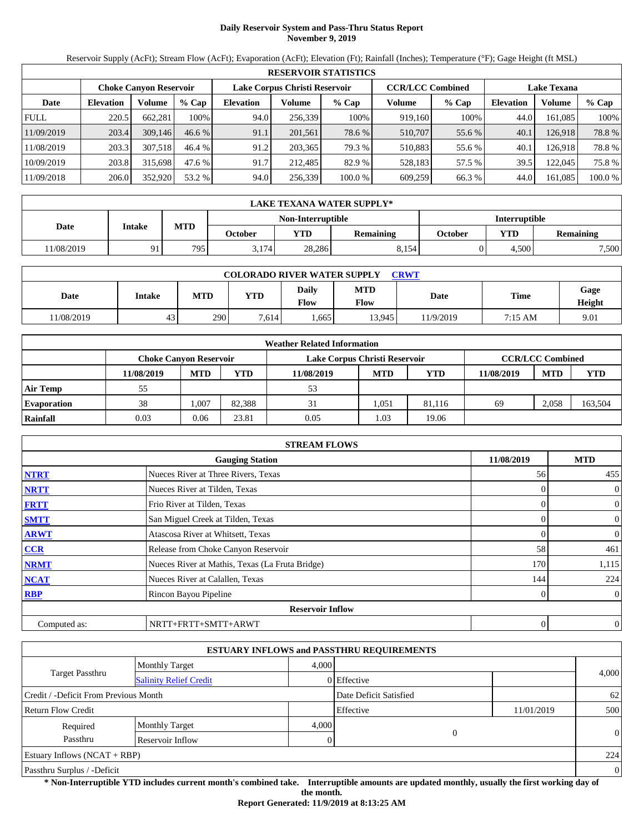# **Daily Reservoir System and Pass-Thru Status Report November 9, 2019**

Reservoir Supply (AcFt); Stream Flow (AcFt); Evaporation (AcFt); Elevation (Ft); Rainfall (Inches); Temperature (°F); Gage Height (ft MSL)

|             | <b>RESERVOIR STATISTICS</b>                                                                                     |         |          |                  |         |         |         |         |                  |               |         |  |
|-------------|-----------------------------------------------------------------------------------------------------------------|---------|----------|------------------|---------|---------|---------|---------|------------------|---------------|---------|--|
|             | Lake Corpus Christi Reservoir<br><b>CCR/LCC Combined</b><br><b>Lake Texana</b><br><b>Choke Canvon Reservoir</b> |         |          |                  |         |         |         |         |                  |               |         |  |
| Date        | <b>Elevation</b>                                                                                                | Volume  | $%$ Cap  | <b>Elevation</b> | Volume  | $%$ Cap | Volume  | $%$ Cap | <b>Elevation</b> | <b>Volume</b> | % Cap   |  |
| <b>FULL</b> | 220.5                                                                                                           | 662.281 | 100%     | 94.0             | 256,339 | 100%    | 919,160 | 100%    | 44.0             | 161.085       | 100%    |  |
| 11/09/2019  | 203.4                                                                                                           | 309,146 | $46.6\%$ | 91.1             | 201.561 | 78.6 %  | 510,707 | 55.6 %  | 40.1             | 126.918       | 78.8%   |  |
| 11/08/2019  | 203.3                                                                                                           | 307.518 | 46.4 %   | 91.2             | 203,365 | 79.3 %  | 510.883 | 55.6 %  | 40.1             | 126.9181      | 78.8%   |  |
| 10/09/2019  | 203.8                                                                                                           | 315,698 | 47.6 %   | 91.7             | 212,485 | 82.9 %  | 528.183 | 57.5 %  | 39.5             | 122,045       | 75.8 %  |  |
| 11/09/2018  | 206.0                                                                                                           | 352,920 | 53.2 %   | 94.0             | 256,339 | 100.0%  | 609.259 | 66.3 %  | 44.0             | 161.085       | 100.0 % |  |

|            | LAKE TEXANA WATER SUPPLY* |                                                  |         |            |                  |         |            |                  |  |  |
|------------|---------------------------|--------------------------------------------------|---------|------------|------------------|---------|------------|------------------|--|--|
|            |                           | <b>Non-Interruptible</b><br><b>Interruptible</b> |         |            |                  |         |            |                  |  |  |
| Date       | Intake                    | <b>MTD</b>                                       | October | <b>YTD</b> | <b>Remaining</b> | October | <b>YTD</b> | <b>Remaining</b> |  |  |
| 11/08/2019 | Q <sub>1</sub>            | 795                                              | 3.174   | 28,286     | 8.154            |         | 4.500      | 7,500            |  |  |

| <b>COLORADO RIVER WATER SUPPLY</b><br><b>CRWT</b> |        |            |            |                             |                    |           |         |                |  |
|---------------------------------------------------|--------|------------|------------|-----------------------------|--------------------|-----------|---------|----------------|--|
| Date                                              | Intake | <b>MTD</b> | <b>YTD</b> | <b>Daily</b><br><b>Flow</b> | <b>MTD</b><br>Flow | Date      | Time    | Gage<br>Height |  |
| 11/08/2019                                        | 43     | 290        | 7,614      | .665                        | 13,945             | 11/9/2019 | 7:15 AM | 9.01           |  |

|                    |                               |            |        | <b>Weather Related Information</b> |            |            |            |                         |            |
|--------------------|-------------------------------|------------|--------|------------------------------------|------------|------------|------------|-------------------------|------------|
|                    | <b>Choke Canvon Reservoir</b> |            |        | Lake Corpus Christi Reservoir      |            |            |            | <b>CCR/LCC Combined</b> |            |
|                    | 11/08/2019                    | <b>MTD</b> | YTD    | 11/08/2019                         | <b>MTD</b> | <b>YTD</b> | 11/08/2019 | <b>MTD</b>              | <b>YTD</b> |
| <b>Air Temp</b>    | 55                            |            |        | 53                                 |            |            |            |                         |            |
| <b>Evaporation</b> | 38                            | .007       | 82.388 | 31                                 | 1.051      | 81.116     | 69         | 2.058                   | 163,504    |
| Rainfall           | 0.03                          | 0.06       | 23.81  | 0.05                               | 1.03       | 19.06      |            |                         |            |

|              | <b>STREAM FLOWS</b>                             |                |                |
|--------------|-------------------------------------------------|----------------|----------------|
|              | <b>Gauging Station</b>                          | 11/08/2019     | <b>MTD</b>     |
| <b>NTRT</b>  | Nueces River at Three Rivers, Texas             | 56             | 455            |
| <b>NRTT</b>  | Nueces River at Tilden, Texas                   | $\Omega$       | $\mathbf{0}$   |
| <b>FRTT</b>  | Frio River at Tilden, Texas                     | 0              | $\overline{0}$ |
| <b>SMTT</b>  | San Miguel Creek at Tilden, Texas               | $\Omega$       | $\mathbf{0}$   |
| <b>ARWT</b>  | Atascosa River at Whitsett, Texas               | 0              | $\overline{0}$ |
| CCR          | Release from Choke Canyon Reservoir             | 58             | 461            |
| <b>NRMT</b>  | Nueces River at Mathis, Texas (La Fruta Bridge) | 170            | 1,115          |
| <b>NCAT</b>  | Nueces River at Calallen, Texas                 | 144            | 224            |
| <b>RBP</b>   | Rincon Bayou Pipeline                           | $\overline{0}$ | $\overline{0}$ |
|              | <b>Reservoir Inflow</b>                         |                |                |
| Computed as: | NRTT+FRTT+SMTT+ARWT                             | 0              | $\theta$       |

|                                       |                               |       | <b>ESTUARY INFLOWS and PASSTHRU REQUIREMENTS</b> |            |                |
|---------------------------------------|-------------------------------|-------|--------------------------------------------------|------------|----------------|
|                                       | <b>Monthly Target</b>         | 4.000 |                                                  |            |                |
| Target Passthru                       | <b>Salinity Relief Credit</b> |       | 0 Effective                                      |            | 4,000          |
| Credit / -Deficit From Previous Month |                               |       | Date Deficit Satisfied                           |            | 62             |
| <b>Return Flow Credit</b>             |                               |       | Effective                                        | 11/01/2019 | 500            |
| Required                              | <b>Monthly Target</b>         | 4,000 |                                                  |            |                |
| Passthru                              | Reservoir Inflow              |       | $\overline{0}$                                   |            | $\Omega$       |
| <b>Estuary Inflows (NCAT + RBP)</b>   |                               |       |                                                  |            | 224            |
| Passthru Surplus / -Deficit           |                               |       |                                                  |            | $\overline{0}$ |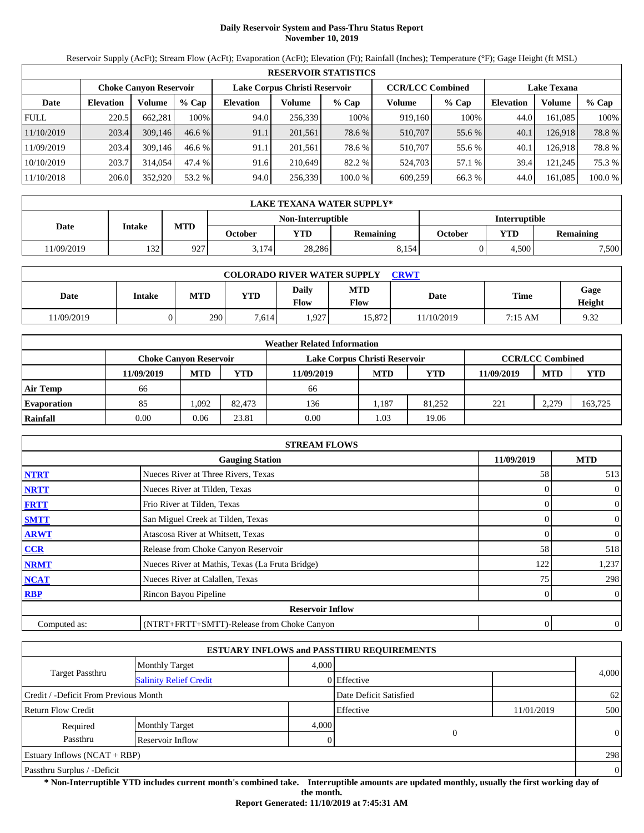# **Daily Reservoir System and Pass-Thru Status Report November 10, 2019**

Reservoir Supply (AcFt); Stream Flow (AcFt); Evaporation (AcFt); Elevation (Ft); Rainfall (Inches); Temperature (°F); Gage Height (ft MSL)

|             | <b>RESERVOIR STATISTICS</b> |                               |         |                               |         |                                               |         |        |                  |          |         |  |
|-------------|-----------------------------|-------------------------------|---------|-------------------------------|---------|-----------------------------------------------|---------|--------|------------------|----------|---------|--|
|             |                             | <b>Choke Canvon Reservoir</b> |         | Lake Corpus Christi Reservoir |         | <b>CCR/LCC Combined</b><br><b>Lake Texana</b> |         |        |                  |          |         |  |
| Date        | <b>Elevation</b>            | Volume                        | $%$ Cap | <b>Elevation</b>              | Volume  | $%$ Cap                                       | Volume  | % Cap  | <b>Elevation</b> | Volume   | $%$ Cap |  |
| <b>FULL</b> | 220.5                       | 662.281                       | 100%    | 94.0                          | 256,339 | 100%                                          | 919,160 | 100%   | 44.0             | 161.085  | 100%    |  |
| 11/10/2019  | 203.4                       | 309,146                       | 46.6%   | 91.1                          | 201,561 | 78.6 %                                        | 510,707 | 55.6 % | 40.1             | 126.918  | 78.8%   |  |
| 11/09/2019  | 203.4                       | 309,146                       | 46.6%   | 91.1                          | 201.561 | 78.6 %                                        | 510,707 | 55.6 % | 40.1             | 126.9181 | 78.8%   |  |
| 10/10/2019  | 203.7                       | 314,054                       | 47.4 %  | 91.6                          | 210.649 | 82.2 %                                        | 524,703 | 57.1 % | 39.4             | 121.245  | 75.3 %  |  |
| 11/10/2018  | 206.0                       | 352,920                       | 53.2 %  | 94.0                          | 256,339 | 100.0%                                        | 609,259 | 66.3 % | 44.0             | 161,085  | 100.0 % |  |

|            | LAKE TEXANA WATER SUPPLY* |                                                  |         |            |                  |         |            |                  |  |  |
|------------|---------------------------|--------------------------------------------------|---------|------------|------------------|---------|------------|------------------|--|--|
|            |                           | <b>Non-Interruptible</b><br><b>Interruptible</b> |         |            |                  |         |            |                  |  |  |
| Date       | Intake                    | <b>MTD</b>                                       | October | <b>YTD</b> | <b>Remaining</b> | October | <b>YTD</b> | <b>Remaining</b> |  |  |
| 11/09/2019 | 132                       | 927                                              | 3.174   | 28,286     | 8.154            |         | 4.500      | 7,500            |  |  |

| <b>COLORADO RIVER WATER SUPPLY</b><br><b>CRWT</b> |        |            |       |               |                    |           |         |                |  |  |
|---------------------------------------------------|--------|------------|-------|---------------|--------------------|-----------|---------|----------------|--|--|
| Date                                              | Intake | <b>MTD</b> | YTD   | Daily<br>Flow | <b>MTD</b><br>Flow | Date      | Time    | Gage<br>Height |  |  |
| 1/09/2019                                         |        | 290        | 7.614 | 1,927         | 15,872             | 1/10/2019 | 7:15 AM | 9.32           |  |  |

|                    | <b>Weather Related Information</b> |            |        |                               |            |            |            |                         |         |  |  |
|--------------------|------------------------------------|------------|--------|-------------------------------|------------|------------|------------|-------------------------|---------|--|--|
|                    | <b>Choke Canvon Reservoir</b>      |            |        | Lake Corpus Christi Reservoir |            |            |            | <b>CCR/LCC Combined</b> |         |  |  |
|                    | 11/09/2019                         | <b>MTD</b> | YTD    | 11/09/2019                    | <b>MTD</b> | <b>YTD</b> | 11/09/2019 | <b>MTD</b>              | YTD     |  |  |
| <b>Air Temp</b>    | 66                                 |            |        | 66                            |            |            |            |                         |         |  |  |
| <b>Evaporation</b> | 85                                 | ,092       | 82.473 | 136                           | .187       | 81.252     | 221        | 2.279                   | 163,725 |  |  |
| Rainfall           | 0.00                               | 0.06       | 23.81  | 0.00                          | 1.03       | 19.06      |            |                         |         |  |  |

|              | <b>STREAM FLOWS</b>                             |            |                |
|--------------|-------------------------------------------------|------------|----------------|
|              | <b>Gauging Station</b>                          | 11/09/2019 | <b>MTD</b>     |
| <b>NTRT</b>  | Nueces River at Three Rivers, Texas             | 58         | 513            |
| <b>NRTT</b>  | Nueces River at Tilden, Texas                   |            | $\overline{0}$ |
| <b>FRTT</b>  | Frio River at Tilden, Texas                     | 0          | $\overline{0}$ |
| <b>SMTT</b>  | San Miguel Creek at Tilden, Texas               | 0          | $\overline{0}$ |
| <b>ARWT</b>  | Atascosa River at Whitsett, Texas               |            | $\mathbf{0}$   |
| <b>CCR</b>   | Release from Choke Canyon Reservoir             | 58         | 518            |
| <b>NRMT</b>  | Nueces River at Mathis, Texas (La Fruta Bridge) | 122        | 1,237          |
| <b>NCAT</b>  | Nueces River at Calallen, Texas                 | 75         | 298            |
| <b>RBP</b>   | Rincon Bayou Pipeline                           | 0          | $\overline{0}$ |
|              | <b>Reservoir Inflow</b>                         |            |                |
| Computed as: | (NTRT+FRTT+SMTT)-Release from Choke Canyon      | 0          | $\overline{0}$ |

|                                       |                               |       | <b>ESTUARY INFLOWS and PASSTHRU REQUIREMENTS</b> |            |                |
|---------------------------------------|-------------------------------|-------|--------------------------------------------------|------------|----------------|
|                                       | <b>Monthly Target</b>         | 4.000 |                                                  |            |                |
| Target Passthru                       | <b>Salinity Relief Credit</b> |       | 0 Effective                                      |            | 4,000          |
| Credit / -Deficit From Previous Month |                               |       | Date Deficit Satisfied                           |            | 62             |
| Return Flow Credit                    |                               |       | Effective                                        | 11/01/2019 | 500            |
| Required                              | <b>Monthly Target</b>         | 4.000 |                                                  |            |                |
| Passthru                              | Reservoir Inflow              |       | $\mathbf{0}$                                     |            | $\Omega$       |
| Estuary Inflows $(NCAT + RBP)$        |                               |       |                                                  |            | 298            |
| Passthru Surplus / -Deficit           |                               |       |                                                  |            | $\overline{0}$ |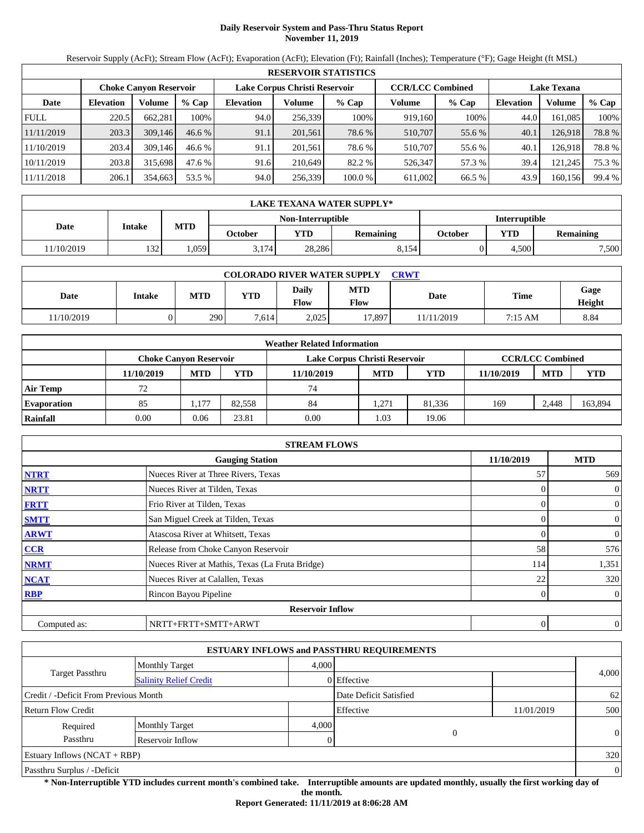# **Daily Reservoir System and Pass-Thru Status Report November 11, 2019**

Reservoir Supply (AcFt); Stream Flow (AcFt); Evaporation (AcFt); Elevation (Ft); Rainfall (Inches); Temperature (°F); Gage Height (ft MSL)

|             | <b>RESERVOIR STATISTICS</b> |                               |          |                  |                               |         |                         |         |                    |         |        |  |  |
|-------------|-----------------------------|-------------------------------|----------|------------------|-------------------------------|---------|-------------------------|---------|--------------------|---------|--------|--|--|
|             |                             | <b>Choke Canyon Reservoir</b> |          |                  | Lake Corpus Christi Reservoir |         | <b>CCR/LCC Combined</b> |         | <b>Lake Texana</b> |         |        |  |  |
| Date        | <b>Elevation</b>            | Volume                        | $%$ Cap  | <b>Elevation</b> | Volume                        | $%$ Cap | Volume                  | $%$ Cap | <b>Elevation</b>   | Volume  | % Cap  |  |  |
| <b>FULL</b> | 220.5                       | 662.281                       | 100%     | 94.0             | 256,339                       | 100%    | 919,160                 | 100%    | 44.0               | 161.085 | 100%   |  |  |
| 11/11/2019  | 203.3                       | 309,146                       | $46.6\%$ | 91.1             | 201,561                       | 78.6 %  | 510,707                 | 55.6 %  | 40.1               | 126,918 | 78.8%  |  |  |
| 11/10/2019  | 203.4                       | 309,146                       | 46.6%    | 91.1             | 201.561                       | 78.6 %  | 510.707                 | 55.6 %  | 40.1               | 126.918 | 78.8%  |  |  |
| 10/11/2019  | 203.8                       | 315.698                       | 47.6 %   | 91.6             | 210,649                       | 82.2 %  | 526,347                 | 57.3 %  | 39.4               | 121,245 | 75.3 % |  |  |
| 11/11/2018  | 206.1                       | 354,663                       | 53.5 %   | 94.0             | 256,339                       | 100.0 % | 611.002                 | 66.5 %  | 43.9               | 160,156 | 99.4 % |  |  |

|                   | <b>LAKE TEXANA WATER SUPPLY*</b> |            |         |            |                  |         |                      |                  |  |  |
|-------------------|----------------------------------|------------|---------|------------|------------------|---------|----------------------|------------------|--|--|
| Non-Interruptible |                                  |            |         |            |                  |         | <b>Interruptible</b> |                  |  |  |
| Date              | Intake                           | <b>MTD</b> | October | <b>YTD</b> | <b>Remaining</b> | October | <b>VTD</b>           | <b>Remaining</b> |  |  |
| 11/10/2019        | 132                              | .059       | 3.174   | 28.286     | 8.154            |         | 4.500                | 7,500            |  |  |

| <b>COLORADO RIVER WATER SUPPLY</b><br>CRWT |        |            |            |               |                    |            |         |                |  |  |  |
|--------------------------------------------|--------|------------|------------|---------------|--------------------|------------|---------|----------------|--|--|--|
| Date                                       | Intake | <b>MTD</b> | <b>YTD</b> | Daily<br>Flow | <b>MTD</b><br>Flow | Date       | Time    | Gage<br>Height |  |  |  |
| 11/10/2019                                 |        | 290        | 7.614      | 2,025         | 17,897             | 11/11/2019 | 7:15 AM | 8.84           |  |  |  |

|                    | <b>Weather Related Information</b> |                                                                                           |        |            |            |            |            |            |            |  |  |  |
|--------------------|------------------------------------|-------------------------------------------------------------------------------------------|--------|------------|------------|------------|------------|------------|------------|--|--|--|
|                    |                                    | <b>CCR/LCC Combined</b><br>Lake Corpus Christi Reservoir<br><b>Choke Canvon Reservoir</b> |        |            |            |            |            |            |            |  |  |  |
|                    | 11/10/2019                         | <b>MTD</b>                                                                                | YTD    | 11/10/2019 | <b>MTD</b> | <b>YTD</b> | 11/10/2019 | <b>MTD</b> | <b>YTD</b> |  |  |  |
| <b>Air Temp</b>    | 72                                 |                                                                                           |        | 74         |            |            |            |            |            |  |  |  |
| <b>Evaporation</b> | 85                                 | 1,177                                                                                     | 82.558 | 84         | .271       | 81.336     | 169        | 2.448      | 163,894    |  |  |  |
| Rainfall           | 0.00                               | 0.06                                                                                      | 23.81  | 0.00       | 1.03       | 19.06      |            |            |            |  |  |  |

|              | <b>STREAM FLOWS</b>                             |            |                          |
|--------------|-------------------------------------------------|------------|--------------------------|
|              | <b>Gauging Station</b>                          | 11/10/2019 | <b>MTD</b>               |
| <b>NTRT</b>  | Nueces River at Three Rivers, Texas             | 57         | 569                      |
| <b>NRTT</b>  | Nueces River at Tilden, Texas                   |            | $\mathbf{0}$<br>0        |
| <b>FRTT</b>  | Frio River at Tilden, Texas                     |            | $\Omega$<br>$\mathbf{0}$ |
| <b>SMTT</b>  | San Miguel Creek at Tilden, Texas               |            | $\mathbf{0}$<br>$\Omega$ |
| <b>ARWT</b>  | Atascosa River at Whitsett, Texas               |            | $\mathbf{0}$<br>$\theta$ |
| CCR          | Release from Choke Canyon Reservoir             | 58         | 576                      |
| <b>NRMT</b>  | Nueces River at Mathis, Texas (La Fruta Bridge) | 114        | 1,351                    |
| <b>NCAT</b>  | Nueces River at Calallen, Texas                 | 22         | 320                      |
| <b>RBP</b>   | Rincon Bayou Pipeline                           |            | $\overline{0}$<br>0      |
|              | <b>Reservoir Inflow</b>                         |            |                          |
| Computed as: | NRTT+FRTT+SMTT+ARWT                             |            | $\mathbf{0}$<br>$\theta$ |

|                                       |                               |       | <b>ESTUARY INFLOWS and PASSTHRU REQUIREMENTS</b> |            |                |
|---------------------------------------|-------------------------------|-------|--------------------------------------------------|------------|----------------|
|                                       | <b>Monthly Target</b>         | 4.000 |                                                  |            |                |
| <b>Target Passthru</b>                | <b>Salinity Relief Credit</b> |       | 0 Effective                                      |            | 4,000          |
| Credit / -Deficit From Previous Month |                               |       | Date Deficit Satisfied                           |            | 62             |
| <b>Return Flow Credit</b>             |                               |       | Effective                                        | 11/01/2019 | 500            |
| Required                              | <b>Monthly Target</b>         | 4.000 |                                                  |            |                |
| Passthru                              | Reservoir Inflow              |       | 0                                                |            | $\theta$       |
| Estuary Inflows $(NCAT + RBP)$        |                               |       |                                                  |            | 320            |
| Passthru Surplus / -Deficit           |                               |       |                                                  |            | $\overline{0}$ |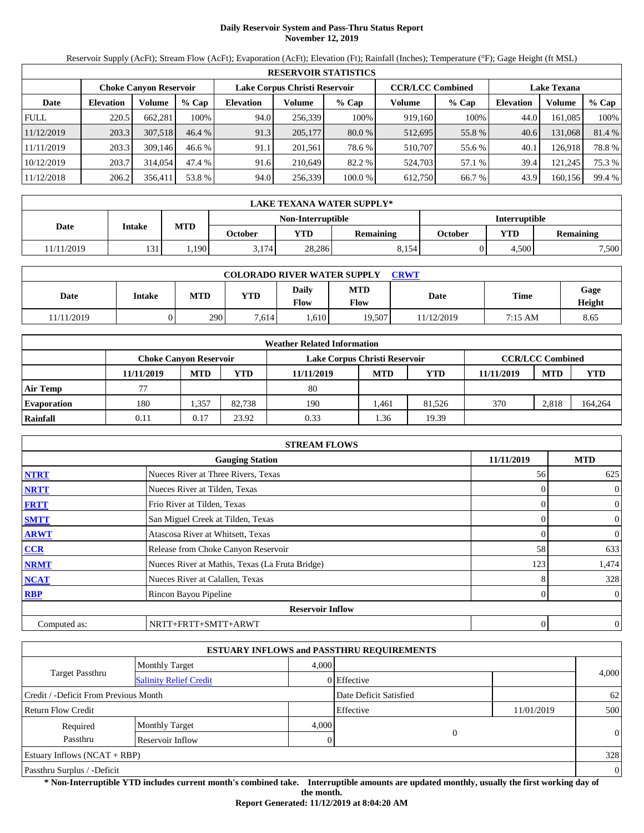# **Daily Reservoir System and Pass-Thru Status Report November 12, 2019**

Reservoir Supply (AcFt); Stream Flow (AcFt); Evaporation (AcFt); Elevation (Ft); Rainfall (Inches); Temperature (°F); Gage Height (ft MSL)

|             | <b>RESERVOIR STATISTICS</b> |                               |         |                               |         |          |                         |         |                    |         |        |  |  |
|-------------|-----------------------------|-------------------------------|---------|-------------------------------|---------|----------|-------------------------|---------|--------------------|---------|--------|--|--|
|             |                             | <b>Choke Canyon Reservoir</b> |         | Lake Corpus Christi Reservoir |         |          | <b>CCR/LCC Combined</b> |         | <b>Lake Texana</b> |         |        |  |  |
| Date        | <b>Elevation</b>            | Volume                        | $%$ Cap | <b>Elevation</b>              | Volume  | $%$ Cap  | Volume                  | $%$ Cap | <b>Elevation</b>   | Volume  | % Cap  |  |  |
| <b>FULL</b> | 220.5                       | 662.281                       | 100%    | 94.0                          | 256,339 | 100%     | 919,160                 | 100%    | 44.0               | 161.085 | 100%   |  |  |
| 11/12/2019  | 203.3                       | 307.518                       | 46.4%   | 91.3                          | 205,177 | $80.0\%$ | 512,695                 | 55.8%   | 40.6               | 131,068 | 81.4 % |  |  |
| 11/11/2019  | 203.3                       | 309,146                       | 46.6%   | 91.1                          | 201.561 | 78.6 %   | 510.707                 | 55.6 %  | 40.1               | 126.918 | 78.8%  |  |  |
| 10/12/2019  | 203.7                       | 314,054                       | 47.4 %  | 91.6                          | 210,649 | 82.2 %   | 524.703                 | 57.1 %  | 39.4               | 121,245 | 75.3 % |  |  |
| 11/12/2018  | 206.2                       | 356,411                       | 53.8 %  | 94.0                          | 256,339 | 100.0 %  | 612,750                 | 66.7 %  | 43.9               | 160,156 | 99.4 % |  |  |

|            | <b>LAKE TEXANA WATER SUPPLY*</b>          |            |         |            |           |         |            |                  |  |  |
|------------|-------------------------------------------|------------|---------|------------|-----------|---------|------------|------------------|--|--|
|            | Non-Interruptible<br><b>Interruptible</b> |            |         |            |           |         |            |                  |  |  |
| Date       | Intake                                    | <b>MTD</b> | October | <b>YTD</b> | Remaining | October | <b>YTD</b> | <b>Remaining</b> |  |  |
| 11/11/2019 | 131                                       | .190       | 3.174   | 28.286     | 8.154     |         | 4.500      | 7,500            |  |  |

| <b>COLORADO RIVER WATER SUPPLY</b><br>CRWT |        |            |            |               |                    |            |         |                |  |  |  |
|--------------------------------------------|--------|------------|------------|---------------|--------------------|------------|---------|----------------|--|--|--|
| Date                                       | Intake | <b>MTD</b> | <b>YTD</b> | Daily<br>Flow | <b>MTD</b><br>Flow | Date       | Time    | Gage<br>Height |  |  |  |
| 11/11/2019                                 |        | 290        | 7.614      | .610          | 19.507             | 11/12/2019 | 7:15 AM | 8.65           |  |  |  |

|                    | <b>Weather Related Information</b> |                                                                                           |        |            |            |        |            |            |         |  |  |  |
|--------------------|------------------------------------|-------------------------------------------------------------------------------------------|--------|------------|------------|--------|------------|------------|---------|--|--|--|
|                    |                                    | <b>CCR/LCC Combined</b><br><b>Choke Canyon Reservoir</b><br>Lake Corpus Christi Reservoir |        |            |            |        |            |            |         |  |  |  |
|                    | 11/11/2019                         | <b>MTD</b>                                                                                | YTD    | 11/11/2019 | <b>MTD</b> | YTD    | 11/11/2019 | <b>MTD</b> | YTD     |  |  |  |
| <b>Air Temp</b>    |                                    |                                                                                           |        | 80         |            |        |            |            |         |  |  |  |
| <b>Evaporation</b> | 180                                | .357                                                                                      | 82.738 | 190        | l.461      | 81.526 | 370        | 2,818      | 164,264 |  |  |  |
| Rainfall           | 0.11                               | 0.17                                                                                      | 23.92  | 0.33       | . 36       | 19.39  |            |            |         |  |  |  |

|              | <b>STREAM FLOWS</b>                             |              |                |
|--------------|-------------------------------------------------|--------------|----------------|
|              | <b>Gauging Station</b>                          | 11/11/2019   | <b>MTD</b>     |
| <b>NTRT</b>  | Nueces River at Three Rivers, Texas             | 56           | 625            |
| <b>NRTT</b>  | Nueces River at Tilden, Texas                   | $\Omega$     | $\mathbf{0}$   |
| <b>FRTT</b>  | Frio River at Tilden, Texas                     | 0            | $\mathbf{0}$   |
| <b>SMTT</b>  | San Miguel Creek at Tilden, Texas               | $\Omega$     | $\mathbf{0}$   |
| <b>ARWT</b>  | Atascosa River at Whitsett, Texas               | 0            | $\overline{0}$ |
| CCR          | Release from Choke Canyon Reservoir             | 58           | 633            |
| <b>NRMT</b>  | Nueces River at Mathis, Texas (La Fruta Bridge) | 123          | 1,474          |
| <b>NCAT</b>  | Nueces River at Calallen, Texas                 | 8            | 328            |
| <b>RBP</b>   | Rincon Bayou Pipeline                           | $\mathbf{0}$ | $\overline{0}$ |
|              | <b>Reservoir Inflow</b>                         |              |                |
| Computed as: | NRTT+FRTT+SMTT+ARWT                             | 0            | $\theta$       |

|                                       |                               |       | <b>ESTUARY INFLOWS and PASSTHRU REQUIREMENTS</b> |            |                |
|---------------------------------------|-------------------------------|-------|--------------------------------------------------|------------|----------------|
|                                       | <b>Monthly Target</b>         | 4.000 |                                                  |            |                |
| Target Passthru                       | <b>Salinity Relief Credit</b> |       | 0 Effective                                      |            | 4,000          |
| Credit / -Deficit From Previous Month |                               |       | Date Deficit Satisfied                           |            | 62             |
| <b>Return Flow Credit</b>             |                               |       | Effective                                        | 11/01/2019 | 500            |
| Required                              | <b>Monthly Target</b>         | 4,000 |                                                  |            |                |
| Passthru                              | Reservoir Inflow              |       | $\overline{0}$                                   |            | $\Omega$       |
| <b>Estuary Inflows (NCAT + RBP)</b>   |                               |       |                                                  |            | 328            |
| Passthru Surplus / -Deficit           |                               |       |                                                  |            | $\overline{0}$ |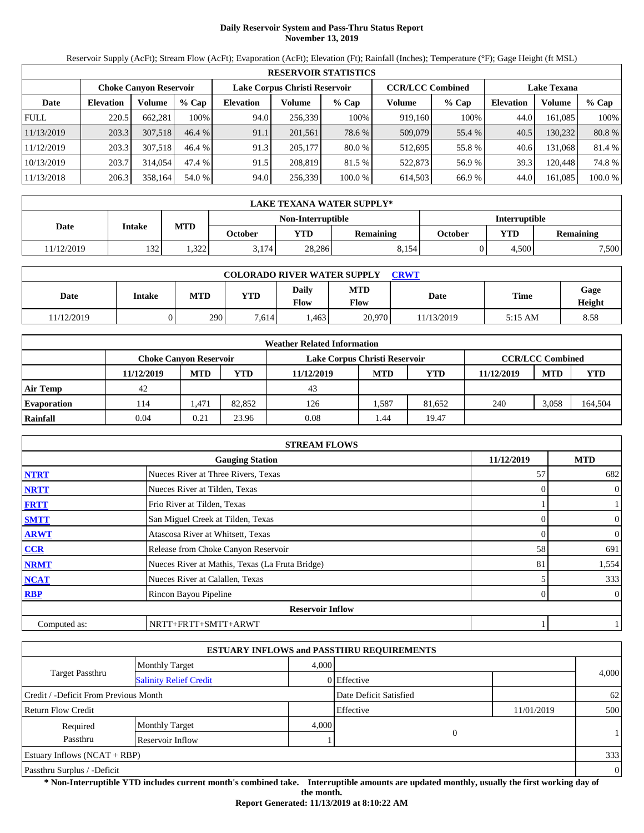# **Daily Reservoir System and Pass-Thru Status Report November 13, 2019**

Reservoir Supply (AcFt); Stream Flow (AcFt); Evaporation (AcFt); Elevation (Ft); Rainfall (Inches); Temperature (°F); Gage Height (ft MSL)

|             | <b>RESERVOIR STATISTICS</b>                                                                                     |         |         |                  |         |          |         |         |                  |          |         |  |  |
|-------------|-----------------------------------------------------------------------------------------------------------------|---------|---------|------------------|---------|----------|---------|---------|------------------|----------|---------|--|--|
|             | Lake Corpus Christi Reservoir<br><b>CCR/LCC Combined</b><br><b>Lake Texana</b><br><b>Choke Canvon Reservoir</b> |         |         |                  |         |          |         |         |                  |          |         |  |  |
| Date        | <b>Elevation</b>                                                                                                | Volume  | $%$ Cap | <b>Elevation</b> | Volume  | $%$ Cap  | Volume  | $%$ Cap | <b>Elevation</b> | Volume   | $%$ Cap |  |  |
| <b>FULL</b> | 220.5                                                                                                           | 662.281 | 100%    | 94.0             | 256,339 | 100%     | 919,160 | 100%    | 44.0             | 161.085  | 100%    |  |  |
| 11/13/2019  | 203.3                                                                                                           | 307,518 | 46.4%   | 91.1             | 201,561 | 78.6 %   | 509,079 | 55.4 %  | 40.5             | 130,2321 | 80.8%   |  |  |
| 11/12/2019  | 203.3                                                                                                           | 307.518 | 46.4%   | 91.3             | 205,177 | $80.0\%$ | 512,695 | 55.8 %  | 40.6             | 131.068  | 81.4 %  |  |  |
| 10/13/2019  | 203.7                                                                                                           | 314,054 | 47.4 %  | 91.5             | 208.819 | 81.5 %   | 522,873 | 56.9 %  | 39.3             | 120.448  | 74.8 %  |  |  |
| 11/13/2018  | 206.3                                                                                                           | 358,164 | 54.0 %  | 94.0             | 256,339 | 100.0%   | 614,503 | 66.9 %  | 44.0             | 161,085  | 100.0 % |  |  |

|            | LAKE TEXANA WATER SUPPLY* |            |         |            |                                           |         |            |                  |  |  |  |
|------------|---------------------------|------------|---------|------------|-------------------------------------------|---------|------------|------------------|--|--|--|
|            |                           |            |         |            | Non-Interruptible<br><b>Interruptible</b> |         |            |                  |  |  |  |
| Date       | Intake                    | <b>MTD</b> | October | <b>YTD</b> | <b>Remaining</b>                          | October | <b>YTD</b> | <b>Remaining</b> |  |  |  |
| 11/12/2019 | 132                       | 1.322      | 3.174   | 28,286     | 8.154                                     |         | 4.500      | 7,500            |  |  |  |

| <b>COLORADO RIVER WATER SUPPLY</b><br>CRWT |        |            |            |               |                    |             |           |                |  |  |  |
|--------------------------------------------|--------|------------|------------|---------------|--------------------|-------------|-----------|----------------|--|--|--|
| Date                                       | Intake | <b>MTD</b> | <b>YTD</b> | Daily<br>Flow | <b>MTD</b><br>Flow | <b>Date</b> | Time      | Gage<br>Height |  |  |  |
| 11/12/2019                                 |        | 290        | 7.614      | .463          | 20,970             | 11/13/2019  | $5:15$ AM | 8.58           |  |  |  |

|                    |                               |            |        | <b>Weather Related Information</b> |            |            |            |                         |            |
|--------------------|-------------------------------|------------|--------|------------------------------------|------------|------------|------------|-------------------------|------------|
|                    | <b>Choke Canvon Reservoir</b> |            |        | Lake Corpus Christi Reservoir      |            |            |            | <b>CCR/LCC Combined</b> |            |
|                    | 11/12/2019                    | <b>MTD</b> | YTD    | 11/12/2019                         | <b>MTD</b> | <b>YTD</b> | 11/12/2019 | <b>MTD</b>              | <b>YTD</b> |
| <b>Air Temp</b>    | 42                            |            |        | 43                                 |            |            |            |                         |            |
| <b>Evaporation</b> | ' 14                          | .471       | 82,852 | 126                                | .587       | 81.652     | 240        | 3.058                   | 164,504    |
| Rainfall           | 0.04                          | 0.21       | 23.96  | 0.08                               | 44.ء       | 19.47      |            |                         |            |

|              | <b>STREAM FLOWS</b>                             |            |                |
|--------------|-------------------------------------------------|------------|----------------|
|              | <b>Gauging Station</b>                          | 11/12/2019 | <b>MTD</b>     |
| <b>NTRT</b>  | Nueces River at Three Rivers, Texas             | 57         | 682            |
| <b>NRTT</b>  | Nueces River at Tilden, Texas                   | $\Omega$   | $\overline{0}$ |
| <b>FRTT</b>  | Frio River at Tilden, Texas                     |            |                |
| <b>SMTT</b>  | San Miguel Creek at Tilden, Texas               | $\Omega$   | $\mathbf{0}$   |
| <b>ARWT</b>  | Atascosa River at Whitsett, Texas               | 0          | $\overline{0}$ |
| CCR          | Release from Choke Canyon Reservoir             | 58         | 691            |
| <b>NRMT</b>  | Nueces River at Mathis, Texas (La Fruta Bridge) | 81         | 1,554          |
| <b>NCAT</b>  | Nueces River at Calallen, Texas                 |            | 333            |
| <b>RBP</b>   | Rincon Bayou Pipeline                           | 0          | $\overline{0}$ |
|              | <b>Reservoir Inflow</b>                         |            |                |
| Computed as: | NRTT+FRTT+SMTT+ARWT                             |            |                |

|                                       |                               |       | <b>ESTUARY INFLOWS and PASSTHRU REQUIREMENTS</b> |            |                |
|---------------------------------------|-------------------------------|-------|--------------------------------------------------|------------|----------------|
|                                       | <b>Monthly Target</b>         | 4,000 |                                                  |            |                |
| <b>Target Passthru</b>                | <b>Salinity Relief Credit</b> |       | 0 Effective                                      |            | 4,000          |
| Credit / -Deficit From Previous Month |                               |       | Date Deficit Satisfied                           |            | 62             |
| <b>Return Flow Credit</b>             |                               |       | Effective                                        | 11/01/2019 | 500            |
| Required                              | <b>Monthly Target</b>         | 4,000 |                                                  |            |                |
| Passthru                              | Reservoir Inflow              |       | $\overline{0}$                                   |            |                |
| Estuary Inflows $(NCAT + RBP)$        |                               |       |                                                  |            | 333            |
| Passthru Surplus / -Deficit           |                               |       |                                                  |            | $\overline{0}$ |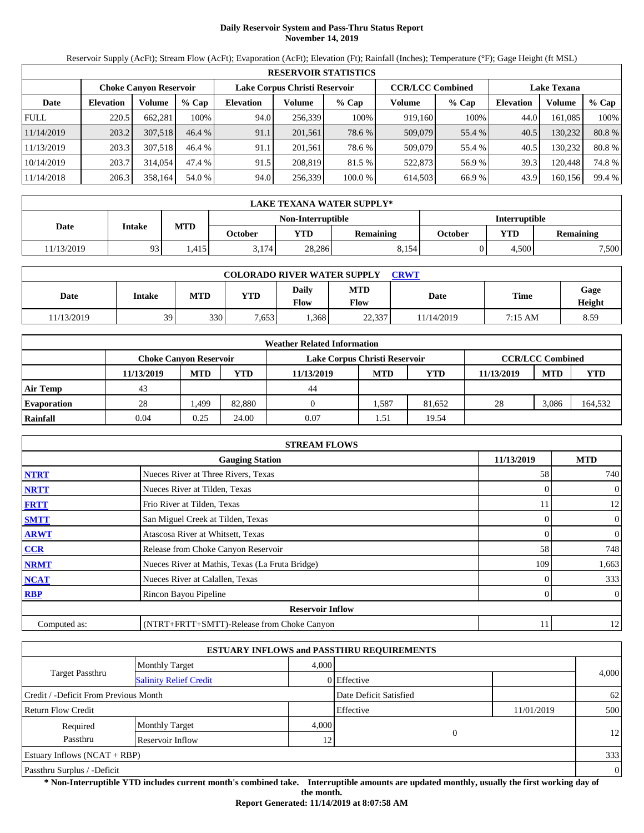# **Daily Reservoir System and Pass-Thru Status Report November 14, 2019**

Reservoir Supply (AcFt); Stream Flow (AcFt); Evaporation (AcFt); Elevation (Ft); Rainfall (Inches); Temperature (°F); Gage Height (ft MSL)

|                                                                                                                 | <b>RESERVOIR STATISTICS</b> |         |         |                  |         |         |         |         |                  |         |        |  |  |
|-----------------------------------------------------------------------------------------------------------------|-----------------------------|---------|---------|------------------|---------|---------|---------|---------|------------------|---------|--------|--|--|
| <b>CCR/LCC Combined</b><br>Lake Corpus Christi Reservoir<br><b>Lake Texana</b><br><b>Choke Canyon Reservoir</b> |                             |         |         |                  |         |         |         |         |                  |         |        |  |  |
| Date                                                                                                            | <b>Elevation</b>            | Volume  | $%$ Cap | <b>Elevation</b> | Volume  | $%$ Cap | Volume  | $%$ Cap | <b>Elevation</b> | Volume  | % Cap  |  |  |
| <b>FULL</b>                                                                                                     | 220.5                       | 662.281 | 100%    | 94.0             | 256,339 | 100%    | 919.160 | 100%    | 44.0             | 161.085 | 100%   |  |  |
| 11/14/2019                                                                                                      | 203.2                       | 307.518 | 46.4%   | 91.1             | 201,561 | 78.6 %  | 509,079 | 55.4 %  | 40.5             | 130,232 | 80.8%  |  |  |
| 11/13/2019                                                                                                      | 203.3                       | 307.518 | 46.4 %  | 91.1             | 201.561 | 78.6 %  | 509,079 | 55.4 %  | 40.5             | 130.232 | 80.8%  |  |  |
| 10/14/2019                                                                                                      | 203.7                       | 314,054 | 47.4 %  | 91.5             | 208,819 | 81.5 %  | 522,873 | 56.9 %  | 39.3             | 120.448 | 74.8%  |  |  |
| 11/14/2018                                                                                                      | 206.3                       | 358,164 | 54.0 %  | 94.0             | 256,339 | 100.0 % | 614,503 | 66.9%   | 43.9             | 160,156 | 99.4 % |  |  |

|            | LAKE TEXANA WATER SUPPLY* |            |                                           |        |           |         |            |                  |  |  |
|------------|---------------------------|------------|-------------------------------------------|--------|-----------|---------|------------|------------------|--|--|
|            |                           |            | Non-Interruptible<br><b>Interruptible</b> |        |           |         |            |                  |  |  |
| Date       | Intake                    | <b>MTD</b> | October                                   | YTD    | Remaining | October | <b>VTD</b> | <b>Remaining</b> |  |  |
| 11/13/2019 | 93                        | .415       | 3.174                                     | 28,286 | 8,154     |         | 4.500      | 7,500            |  |  |

| <b>COLORADO RIVER WATER SUPPLY</b><br>CRWT |        |            |            |               |                    |             |         |                |  |  |  |
|--------------------------------------------|--------|------------|------------|---------------|--------------------|-------------|---------|----------------|--|--|--|
| Date                                       | Intake | <b>MTD</b> | <b>YTD</b> | Daily<br>Flow | <b>MTD</b><br>Flow | <b>Date</b> | Time    | Gage<br>Height |  |  |  |
| 11/13/2019                                 | 39     | 330        | 7,653      | .368          | 22,337             | 11/14/2019  | 7:15 AM | 8.59           |  |  |  |

|                    |                               |            |        | <b>Weather Related Information</b> |            |            |            |                         |            |
|--------------------|-------------------------------|------------|--------|------------------------------------|------------|------------|------------|-------------------------|------------|
|                    | <b>Choke Canvon Reservoir</b> |            |        | Lake Corpus Christi Reservoir      |            |            |            | <b>CCR/LCC Combined</b> |            |
|                    | 11/13/2019                    | <b>MTD</b> | YTD    | 11/13/2019                         | <b>MTD</b> | <b>YTD</b> | 11/13/2019 | <b>MTD</b>              | <b>YTD</b> |
| <b>Air Temp</b>    | 43                            |            |        | 44                                 |            |            |            |                         |            |
| <b>Evaporation</b> | 28                            | . 499.     | 82,880 |                                    | 1,587      | 81.652     | 28         | 3.086                   | 164,532    |
| Rainfall           | 0.04                          | 0.25       | 24.00  | 0.07                               | 1.51       | 19.54      |            |                         |            |

|              | <b>STREAM FLOWS</b>                             |            |                |
|--------------|-------------------------------------------------|------------|----------------|
|              | <b>Gauging Station</b>                          | 11/13/2019 | <b>MTD</b>     |
| <b>NTRT</b>  | Nueces River at Three Rivers, Texas             | 58         | 740            |
| <b>NRTT</b>  | Nueces River at Tilden, Texas                   | $\Omega$   | $\overline{0}$ |
| <b>FRTT</b>  | Frio River at Tilden, Texas                     | 11         | 12             |
| <b>SMTT</b>  | San Miguel Creek at Tilden, Texas               | $\Omega$   | $\overline{0}$ |
| <b>ARWT</b>  | Atascosa River at Whitsett, Texas               | $\Omega$   | $\mathbf{0}$   |
| CCR          | Release from Choke Canyon Reservoir             | 58         | 748            |
| <b>NRMT</b>  | Nueces River at Mathis, Texas (La Fruta Bridge) | 109        | 1,663          |
| <b>NCAT</b>  | Nueces River at Calallen, Texas                 |            | 333            |
| <b>RBP</b>   | Rincon Bayou Pipeline                           |            | $\overline{0}$ |
|              | <b>Reservoir Inflow</b>                         |            |                |
| Computed as: | (NTRT+FRTT+SMTT)-Release from Choke Canyon      | 11         | 12             |

|                                       |                               |       | <b>ESTUARY INFLOWS and PASSTHRU REQUIREMENTS</b> |            |                |
|---------------------------------------|-------------------------------|-------|--------------------------------------------------|------------|----------------|
|                                       | <b>Monthly Target</b>         | 4.000 |                                                  |            |                |
| Target Passthru                       | <b>Salinity Relief Credit</b> |       | 0 Effective                                      |            | 4,000          |
| Credit / -Deficit From Previous Month |                               |       | Date Deficit Satisfied                           |            | 62             |
| <b>Return Flow Credit</b>             |                               |       | Effective                                        | 11/01/2019 | 500            |
| Required                              | <b>Monthly Target</b>         | 4,000 |                                                  |            |                |
| Passthru                              | Reservoir Inflow              | 12    | $\Omega$                                         |            | 12             |
| Estuary Inflows $(NCAT + RBP)$        |                               |       |                                                  |            | 333            |
| Passthru Surplus / -Deficit           |                               |       |                                                  |            | $\overline{0}$ |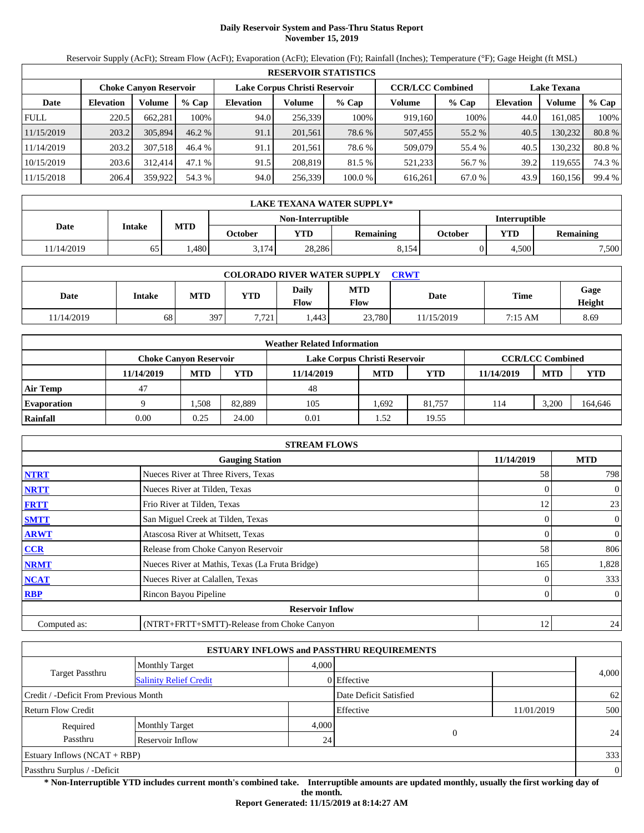# **Daily Reservoir System and Pass-Thru Status Report November 15, 2019**

Reservoir Supply (AcFt); Stream Flow (AcFt); Evaporation (AcFt); Elevation (Ft); Rainfall (Inches); Temperature (°F); Gage Height (ft MSL)

|             | <b>RESERVOIR STATISTICS</b> |                               |          |                  |                               |         |         |                         |                    |         |        |  |  |
|-------------|-----------------------------|-------------------------------|----------|------------------|-------------------------------|---------|---------|-------------------------|--------------------|---------|--------|--|--|
|             |                             | <b>Choke Canyon Reservoir</b> |          |                  | Lake Corpus Christi Reservoir |         |         | <b>CCR/LCC Combined</b> | <b>Lake Texana</b> |         |        |  |  |
| Date        | <b>Elevation</b>            | Volume                        | $%$ Cap  | <b>Elevation</b> | Volume                        | $%$ Cap | Volume  | $%$ Cap                 | <b>Elevation</b>   | Volume  | % Cap  |  |  |
| <b>FULL</b> | 220.5                       | 662.281                       | 100%     | 94.0             | 256,339                       | 100%    | 919,160 | 100%                    | 44.0               | 161.085 | 100%   |  |  |
| 11/15/2019  | 203.2                       | 305,894                       | $46.2\%$ | 91.1             | 201,561                       | 78.6 %  | 507,455 | 55.2 %                  | 40.5               | 130,232 | 80.8%  |  |  |
| 11/14/2019  | 203.2                       | 307.518                       | 46.4 %   | 91.1             | 201.561                       | 78.6 %  | 509,079 | 55.4 %                  | 40.5               | 130.232 | 80.8%  |  |  |
| 10/15/2019  | 203.6                       | 312,414                       | 47.1 %   | 91.5             | 208,819                       | 81.5 %  | 521,233 | 56.7 %                  | 39.2               | 119.655 | 74.3 % |  |  |
| 11/15/2018  | 206.4                       | 359,922                       | 54.3 %   | 94.0             | 256,339                       | 100.0 % | 616.261 | 67.0 %                  | 43.9               | 160,156 | 99.4 % |  |  |

|            | LAKE TEXANA WATER SUPPLY*                 |            |         |            |                  |         |            |                  |  |  |
|------------|-------------------------------------------|------------|---------|------------|------------------|---------|------------|------------------|--|--|
|            | Non-Interruptible<br><b>Interruptible</b> |            |         |            |                  |         |            |                  |  |  |
| Date       | Intake                                    | <b>MTD</b> | October | <b>YTD</b> | <b>Remaining</b> | October | <b>YTD</b> | <b>Remaining</b> |  |  |
| 11/14/2019 | 65                                        | .480       | 3.174   | 28,286     | 8.154            |         | 4.500      | 7,500            |  |  |

| <b>COLORADO RIVER WATER SUPPLY</b><br>CRWT |               |            |            |               |                           |             |         |                |  |  |  |
|--------------------------------------------|---------------|------------|------------|---------------|---------------------------|-------------|---------|----------------|--|--|--|
| Date                                       | <b>Intake</b> | <b>MTD</b> | <b>YTD</b> | Daily<br>Flow | <b>MTD</b><br><b>Flow</b> | <b>Date</b> | Time    | Gage<br>Height |  |  |  |
| 1/14/2019                                  | 68            | 397        | 7.721      | .443          | 23.780                    | 11/15/2019  | 7:15 AM | 8.69           |  |  |  |

|                    | <b>Weather Related Information</b> |            |        |                               |            |            |            |                         |            |  |  |  |
|--------------------|------------------------------------|------------|--------|-------------------------------|------------|------------|------------|-------------------------|------------|--|--|--|
|                    | <b>Choke Canvon Reservoir</b>      |            |        | Lake Corpus Christi Reservoir |            |            |            | <b>CCR/LCC Combined</b> |            |  |  |  |
|                    | 11/14/2019                         | <b>MTD</b> | YTD    | 11/14/2019                    | <b>MTD</b> | <b>YTD</b> | 11/14/2019 | <b>MTD</b>              | <b>YTD</b> |  |  |  |
| <b>Air Temp</b>    | 47                                 |            |        | 48                            |            |            |            |                         |            |  |  |  |
| <b>Evaporation</b> |                                    | .508       | 82.889 | 105                           | .692       | 81.757     | 114        | 3.200                   | 164,646    |  |  |  |
| Rainfall           | 0.00                               | 0.25       | 24.00  | 0.01                          | . . 52     | 19.55      |            |                         |            |  |  |  |

|              | <b>STREAM FLOWS</b>                             |            |                     |
|--------------|-------------------------------------------------|------------|---------------------|
|              | <b>Gauging Station</b>                          | 11/14/2019 | <b>MTD</b>          |
| <b>NTRT</b>  | Nueces River at Three Rivers, Texas             | 58         | 798                 |
| <b>NRTT</b>  | Nueces River at Tilden, Texas                   |            | $\mathbf{0}$<br>0   |
| <b>FRTT</b>  | Frio River at Tilden, Texas                     | 12         | 23                  |
| <b>SMTT</b>  | San Miguel Creek at Tilden, Texas               |            | $\mathbf{0}$<br>0   |
| <b>ARWT</b>  | Atascosa River at Whitsett, Texas               |            | $\mathbf{0}$<br>0   |
| CCR          | Release from Choke Canyon Reservoir             | 58         | 806                 |
| <b>NRMT</b>  | Nueces River at Mathis, Texas (La Fruta Bridge) | 165        | 1,828               |
| <b>NCAT</b>  | Nueces River at Calallen, Texas                 |            | 333                 |
| <b>RBP</b>   | Rincon Bayou Pipeline                           |            | $\overline{0}$<br>0 |
|              | <b>Reservoir Inflow</b>                         |            |                     |
| Computed as: | (NTRT+FRTT+SMTT)-Release from Choke Canyon      | 12         | 24                  |

|                                                  |                       |       | <b>ESTUARY INFLOWS and PASSTHRU REQUIREMENTS</b> |            |                |
|--------------------------------------------------|-----------------------|-------|--------------------------------------------------|------------|----------------|
|                                                  | <b>Monthly Target</b> | 4.000 |                                                  |            |                |
| Target Passthru<br><b>Salinity Relief Credit</b> |                       |       | 0 Effective                                      |            | 4,000          |
| Credit / -Deficit From Previous Month            |                       |       | Date Deficit Satisfied                           |            | 62             |
| <b>Return Flow Credit</b>                        |                       |       | Effective                                        | 11/01/2019 | 500            |
| Required                                         | <b>Monthly Target</b> | 4,000 |                                                  |            |                |
| Passthru                                         | Reservoir Inflow      | 24    | $\Omega$                                         |            | 24             |
| Estuary Inflows $(NCAT + RBP)$                   |                       |       |                                                  |            | 333            |
| Passthru Surplus / -Deficit                      |                       |       |                                                  |            | $\overline{0}$ |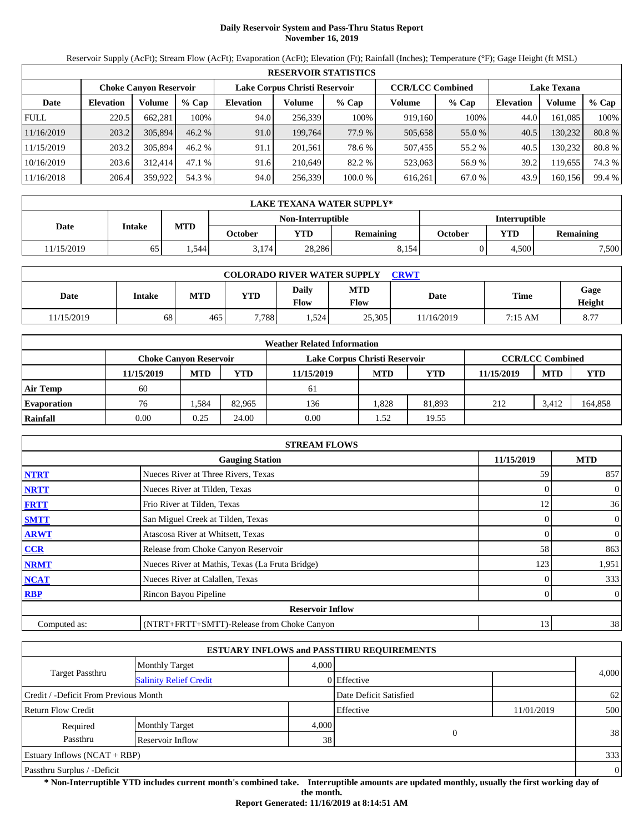# **Daily Reservoir System and Pass-Thru Status Report November 16, 2019**

Reservoir Supply (AcFt); Stream Flow (AcFt); Evaporation (AcFt); Elevation (Ft); Rainfall (Inches); Temperature (°F); Gage Height (ft MSL)

|             | <b>RESERVOIR STATISTICS</b> |                               |         |                  |                               |         |                         |         |                    |         |        |  |
|-------------|-----------------------------|-------------------------------|---------|------------------|-------------------------------|---------|-------------------------|---------|--------------------|---------|--------|--|
|             |                             | <b>Choke Canvon Reservoir</b> |         |                  | Lake Corpus Christi Reservoir |         | <b>CCR/LCC Combined</b> |         | <b>Lake Texana</b> |         |        |  |
| Date        | <b>Elevation</b>            | Volume                        | $%$ Cap | <b>Elevation</b> | Volume                        | $%$ Cap | Volume                  | $%$ Cap | <b>Elevation</b>   | Volume  | % Cap  |  |
| <b>FULL</b> | 220.5                       | 662,281                       | 100%    | 94.0             | 256,339                       | 100%    | 919,160                 | 100%    | 44.0               | 161.085 | 100%   |  |
| 11/16/2019  | 203.2                       | 305,894                       | 46.2%   | 91.0             | 199,764                       | 77.9 %  | 505,658                 | 55.0 %  | 40.5               | 130.232 | 80.8%  |  |
| 11/15/2019  | 203.2                       | 305,894                       | 46.2%   | 91.1             | 201.561                       | 78.6 %  | 507,455                 | 55.2 %  | 40.5               | 130.232 | 80.8%  |  |
| 10/16/2019  | 203.6                       | 312.414                       | 47.1%   | 91.6             | 210.649                       | 82.2 %  | 523,063                 | 56.9%   | 39.2               | 119,655 | 74.3 % |  |
| 11/16/2018  | 206.4                       | 359,922                       | 54.3 %  | 94.0             | 256,339                       | 100.0 % | 616,261                 | 67.0 %  | 43.9               | 160,156 | 99.4 % |  |

|            | LAKE TEXANA WATER SUPPLY*                 |            |         |            |                  |         |            |                  |  |  |
|------------|-------------------------------------------|------------|---------|------------|------------------|---------|------------|------------------|--|--|
|            | Non-Interruptible<br><b>Interruptible</b> |            |         |            |                  |         |            |                  |  |  |
| Date       | Intake                                    | <b>MTD</b> | October | <b>YTD</b> | <b>Remaining</b> | October | <b>YTD</b> | <b>Remaining</b> |  |  |
| 11/15/2019 | 65                                        | 1.544      | 3.174   | 28,286     | 8,154            |         | 4.500      | 7,500            |  |  |

| <b>COLORADO RIVER WATER SUPPLY</b><br>CRWT |        |            |            |               |                    |            |         |                |  |  |  |
|--------------------------------------------|--------|------------|------------|---------------|--------------------|------------|---------|----------------|--|--|--|
| Date                                       | Intake | <b>MTD</b> | <b>YTD</b> | Daily<br>Flow | <b>MTD</b><br>Flow | Date       | Time    | Gage<br>Height |  |  |  |
| 11/15/2019                                 | 68     | 465        | 7.788      | 1,524         | 25,305             | 11/16/2019 | 7:15 AM | 8.77           |  |  |  |

|                    | <b>Weather Related Information</b> |                               |        |                               |            |            |            |                         |            |  |  |  |
|--------------------|------------------------------------|-------------------------------|--------|-------------------------------|------------|------------|------------|-------------------------|------------|--|--|--|
|                    |                                    | <b>Choke Canvon Reservoir</b> |        | Lake Corpus Christi Reservoir |            |            |            | <b>CCR/LCC Combined</b> |            |  |  |  |
|                    | 11/15/2019                         | <b>MTD</b>                    | YTD    | 11/15/2019                    | <b>MTD</b> | <b>YTD</b> | 11/15/2019 | <b>MTD</b>              | <b>YTD</b> |  |  |  |
| <b>Air Temp</b>    | 60                                 |                               |        | 61                            |            |            |            |                         |            |  |  |  |
| <b>Evaporation</b> | 76                                 | .584                          | 82.965 | 136                           | .828       | 81.893     | 212        | 3.412                   | 164,858    |  |  |  |
| Rainfall           | 0.00                               | 0.25                          | 24.00  | 0.00                          | 1.52       | 19.55      |            |                         |            |  |  |  |

|              | <b>STREAM FLOWS</b>                             |            |                |
|--------------|-------------------------------------------------|------------|----------------|
|              | <b>Gauging Station</b>                          | 11/15/2019 | <b>MTD</b>     |
| <b>NTRT</b>  | Nueces River at Three Rivers, Texas             | 59         | 857            |
| <b>NRTT</b>  | Nueces River at Tilden, Texas                   | $\Omega$   | $\overline{0}$ |
| <b>FRTT</b>  | Frio River at Tilden, Texas                     | 12         | 36             |
| <b>SMTT</b>  | San Miguel Creek at Tilden, Texas               | $\Omega$   | $\overline{0}$ |
| <b>ARWT</b>  | Atascosa River at Whitsett, Texas               | $\Omega$   | $\mathbf{0}$   |
| CCR          | Release from Choke Canyon Reservoir             | 58         | 863            |
| <b>NRMT</b>  | Nueces River at Mathis, Texas (La Fruta Bridge) | 123        | 1,951          |
| <b>NCAT</b>  | Nueces River at Calallen, Texas                 |            | 333            |
| <b>RBP</b>   | Rincon Bayou Pipeline                           | $\Omega$   | $\overline{0}$ |
|              | <b>Reservoir Inflow</b>                         |            |                |
| Computed as: | (NTRT+FRTT+SMTT)-Release from Choke Canyon      | 13         | 38             |

|                                       |                               |       | <b>ESTUARY INFLOWS and PASSTHRU REQUIREMENTS</b> |            |                |
|---------------------------------------|-------------------------------|-------|--------------------------------------------------|------------|----------------|
|                                       | <b>Monthly Target</b>         | 4.000 |                                                  |            |                |
| Target Passthru                       | <b>Salinity Relief Credit</b> |       | 0 Effective                                      |            | 4,000          |
| Credit / -Deficit From Previous Month |                               |       | Date Deficit Satisfied                           |            | 62             |
| <b>Return Flow Credit</b>             |                               |       | Effective                                        | 11/01/2019 | 500            |
| Required                              | <b>Monthly Target</b>         | 4,000 |                                                  |            |                |
| Passthru                              | Reservoir Inflow              | 38    | $\Omega$                                         |            | 38             |
| Estuary Inflows $(NCAT + RBP)$        |                               |       |                                                  |            | 333            |
| Passthru Surplus / -Deficit           |                               |       |                                                  |            | $\overline{0}$ |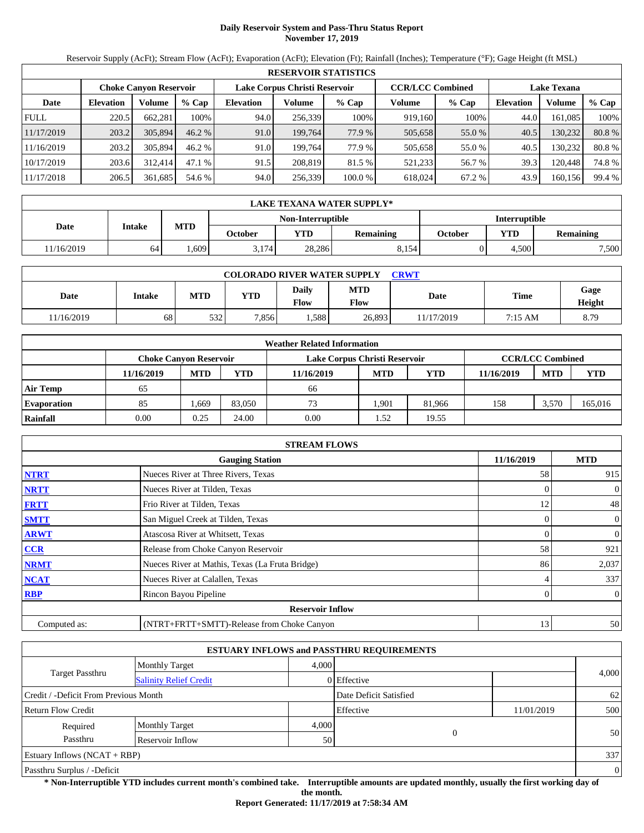# **Daily Reservoir System and Pass-Thru Status Report November 17, 2019**

Reservoir Supply (AcFt); Stream Flow (AcFt); Evaporation (AcFt); Elevation (Ft); Rainfall (Inches); Temperature (°F); Gage Height (ft MSL)

|             | <b>RESERVOIR STATISTICS</b> |                               |         |                               |         |         |                         |         |                    |         |        |  |  |
|-------------|-----------------------------|-------------------------------|---------|-------------------------------|---------|---------|-------------------------|---------|--------------------|---------|--------|--|--|
|             |                             | <b>Choke Canvon Reservoir</b> |         | Lake Corpus Christi Reservoir |         |         | <b>CCR/LCC Combined</b> |         | <b>Lake Texana</b> |         |        |  |  |
| Date        | <b>Elevation</b>            | Volume                        | $%$ Cap | <b>Elevation</b>              | Volume  | $%$ Cap | Volume                  | $%$ Cap | <b>Elevation</b>   | Volume  | % Cap  |  |  |
| <b>FULL</b> | 220.5                       | 662.281                       | 100%    | 94.0                          | 256,339 | 100%    | 919,160                 | 100%    | 44.0               | 161.085 | 100%   |  |  |
| 11/17/2019  | 203.2                       | 305,894                       | 46.2%   | 91.0                          | 199,764 | 77.9 %  | 505,658                 | 55.0 %  | 40.5               | 130,232 | 80.8%  |  |  |
| 11/16/2019  | 203.2                       | 305,894                       | 46.2%   | 91.0                          | 199.764 | 77.9 %  | 505,658                 | 55.0 %  | 40.5               | 130.232 | 80.8%  |  |  |
| 10/17/2019  | 203.6                       | 312,414                       | 47.1%   | 91.5                          | 208.819 | 81.5 %  | 521,233                 | 56.7 %  | 39.3               | 120.448 | 74.8%  |  |  |
| 11/17/2018  | 206.5                       | 361,685                       | 54.6 %  | 94.0                          | 256,339 | 100.0 % | 618,024                 | 67.2 %  | 43.9               | 160,156 | 99.4 % |  |  |

|            | LAKE TEXANA WATER SUPPLY* |            |         |                   |                  |                      |            |                  |  |  |
|------------|---------------------------|------------|---------|-------------------|------------------|----------------------|------------|------------------|--|--|
|            |                           |            |         | Non-Interruptible |                  | <b>Interruptible</b> |            |                  |  |  |
| Date       | Intake                    | <b>MTD</b> | October | <b>YTD</b>        | <b>Remaining</b> | October              | <b>YTD</b> | <b>Remaining</b> |  |  |
| 11/16/2019 | 64                        | .609       | 3.174   | 28,286            | 8.154            |                      | 4.500      | 7,500            |  |  |

| <b>COLORADO RIVER WATER SUPPLY</b><br><b>CRWT</b> |        |            |       |               |                    |           |         |                |  |  |  |
|---------------------------------------------------|--------|------------|-------|---------------|--------------------|-----------|---------|----------------|--|--|--|
| Date                                              | Intake | <b>MTD</b> | YTD   | Daily<br>Flow | <b>MTD</b><br>Flow | Date      | Time    | Gage<br>Height |  |  |  |
| 11/16/2019                                        | 68     | 532        | 7.856 | .588          | 26,893             | 1/17/2019 | 7:15 AM | 8.79           |  |  |  |

|                    | <b>Weather Related Information</b> |                               |        |                               |                         |            |            |            |            |  |  |  |
|--------------------|------------------------------------|-------------------------------|--------|-------------------------------|-------------------------|------------|------------|------------|------------|--|--|--|
|                    |                                    | <b>Choke Canvon Reservoir</b> |        | Lake Corpus Christi Reservoir | <b>CCR/LCC Combined</b> |            |            |            |            |  |  |  |
|                    | 11/16/2019                         | <b>MTD</b>                    | YTD    | 11/16/2019                    | <b>MTD</b>              | <b>YTD</b> | 11/16/2019 | <b>MTD</b> | <b>YTD</b> |  |  |  |
| <b>Air Temp</b>    | 65                                 |                               |        | 66                            |                         |            |            |            |            |  |  |  |
| <b>Evaporation</b> | 85                                 | .669                          | 83,050 | 73                            | l.901                   | 81.966     | 158        | 3.570      | 165,016    |  |  |  |
| Rainfall           | 0.00                               | 0.25                          | 24.00  | 0.00                          | 1.52                    | 19.55      |            |            |            |  |  |  |

|              | <b>STREAM FLOWS</b>                             |            |                |
|--------------|-------------------------------------------------|------------|----------------|
|              | <b>Gauging Station</b>                          | 11/16/2019 | <b>MTD</b>     |
| <b>NTRT</b>  | Nueces River at Three Rivers, Texas             | 58         | 915            |
| <b>NRTT</b>  | Nueces River at Tilden, Texas                   | $\Omega$   | $\overline{0}$ |
| <b>FRTT</b>  | Frio River at Tilden, Texas                     | 12         | 48             |
| <b>SMTT</b>  | San Miguel Creek at Tilden, Texas               | $\Omega$   | $\overline{0}$ |
| <b>ARWT</b>  | Atascosa River at Whitsett, Texas               | $\Omega$   | $\mathbf{0}$   |
| CCR          | Release from Choke Canyon Reservoir             | 58         | 921            |
| <b>NRMT</b>  | Nueces River at Mathis, Texas (La Fruta Bridge) | 86         | 2,037          |
| <b>NCAT</b>  | Nueces River at Calallen, Texas                 |            | 337            |
| <b>RBP</b>   | Rincon Bayou Pipeline                           | $\theta$   | $\overline{0}$ |
|              | <b>Reservoir Inflow</b>                         |            |                |
| Computed as: | (NTRT+FRTT+SMTT)-Release from Choke Canyon      | 13         | 50             |

|                                       |                               |       | <b>ESTUARY INFLOWS and PASSTHRU REQUIREMENTS</b> |            |                |
|---------------------------------------|-------------------------------|-------|--------------------------------------------------|------------|----------------|
|                                       | <b>Monthly Target</b>         | 4.000 |                                                  |            |                |
| <b>Target Passthru</b>                | <b>Salinity Relief Credit</b> |       | 0 Effective                                      |            | 4,000          |
| Credit / -Deficit From Previous Month |                               |       | Date Deficit Satisfied                           |            | 62             |
| <b>Return Flow Credit</b>             |                               |       | Effective                                        | 11/01/2019 | 500            |
| Required                              | <b>Monthly Target</b>         | 4,000 |                                                  |            |                |
| Passthru                              | Reservoir Inflow              | 50    | $\theta$                                         |            | 50             |
| <b>Estuary Inflows (NCAT + RBP)</b>   |                               |       |                                                  |            | 337            |
| Passthru Surplus / -Deficit           |                               |       |                                                  |            | $\overline{0}$ |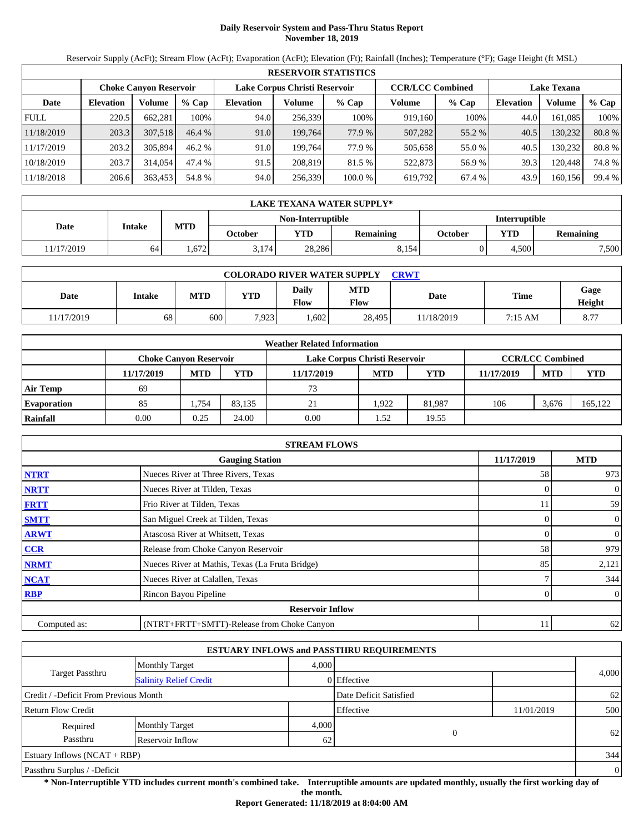# **Daily Reservoir System and Pass-Thru Status Report November 18, 2019**

Reservoir Supply (AcFt); Stream Flow (AcFt); Evaporation (AcFt); Elevation (Ft); Rainfall (Inches); Temperature (°F); Gage Height (ft MSL)

|             | <b>RESERVOIR STATISTICS</b> |                               |         |                               |         |         |                         |         |                    |         |        |  |  |
|-------------|-----------------------------|-------------------------------|---------|-------------------------------|---------|---------|-------------------------|---------|--------------------|---------|--------|--|--|
|             |                             | <b>Choke Canyon Reservoir</b> |         | Lake Corpus Christi Reservoir |         |         | <b>CCR/LCC Combined</b> |         | <b>Lake Texana</b> |         |        |  |  |
| Date        | <b>Elevation</b>            | Volume                        | $%$ Cap | <b>Elevation</b>              | Volume  | $%$ Cap | Volume                  | $%$ Cap | <b>Elevation</b>   | Volume  | % Cap  |  |  |
| <b>FULL</b> | 220.5                       | 662.281                       | 100%    | 94.0                          | 256,339 | 100%    | 919,160                 | 100%    | 44.0               | 161.085 | 100%   |  |  |
| 11/18/2019  | 203.3                       | 307.518                       | 46.4%   | 91.0                          | 199.764 | 77.9 %  | 507,282                 | 55.2 %  | 40.5               | 130,232 | 80.8%  |  |  |
| 11/17/2019  | 203.2                       | 305,894                       | 46.2%   | 91.0                          | 199.764 | 77.9 %  | 505,658                 | 55.0%   | 40.5               | 130.232 | 80.8%  |  |  |
| 10/18/2019  | 203.7                       | 314,054                       | 47.4 %  | 91.5                          | 208,819 | 81.5 %  | 522,873                 | 56.9 %  | 39.3               | 120.448 | 74.8%  |  |  |
| 11/18/2018  | 206.6                       | 363,453                       | 54.8 %  | 94.0                          | 256,339 | 100.0 % | 619,792                 | 67.4 %  | 43.9               | 160,156 | 99.4 % |  |  |

|            | LAKE TEXANA WATER SUPPLY* |            |         |                   |           |                      |            |                  |  |  |  |
|------------|---------------------------|------------|---------|-------------------|-----------|----------------------|------------|------------------|--|--|--|
|            |                           |            |         | Non-Interruptible |           | <b>Interruptible</b> |            |                  |  |  |  |
| Date       | Intake                    | <b>MTD</b> | October | <b>YTD</b>        | Remaining | October              | <b>VTD</b> | <b>Remaining</b> |  |  |  |
| 11/17/2019 | 64                        | 1.672      | 3.174   | 28.286            | 8.154     |                      | 4.500      | 7,500            |  |  |  |

| <b>COLORADO RIVER WATER SUPPLY</b><br><b>CRWT</b> |        |            |       |               |                    |           |         |                |  |  |
|---------------------------------------------------|--------|------------|-------|---------------|--------------------|-----------|---------|----------------|--|--|
| Date                                              | Intake | <b>MTD</b> | YTD   | Daily<br>Flow | <b>MTD</b><br>Flow | Date      | Time    | Gage<br>Height |  |  |
| 11/17/2019                                        | 68     | 600        | 7.923 | .602          | 28.495             | 1/18/2019 | 7:15 AM | 8.77           |  |  |

|                    | <b>Weather Related Information</b> |                               |        |                               |                         |            |            |            |            |  |  |  |
|--------------------|------------------------------------|-------------------------------|--------|-------------------------------|-------------------------|------------|------------|------------|------------|--|--|--|
|                    |                                    | <b>Choke Canvon Reservoir</b> |        | Lake Corpus Christi Reservoir | <b>CCR/LCC Combined</b> |            |            |            |            |  |  |  |
|                    | 11/17/2019                         | <b>MTD</b>                    | YTD    | 11/17/2019                    | <b>MTD</b>              | <b>YTD</b> | 11/17/2019 | <b>MTD</b> | <b>YTD</b> |  |  |  |
| <b>Air Temp</b>    | 69                                 |                               |        | 73                            |                         |            |            |            |            |  |  |  |
| <b>Evaporation</b> | 85                                 | . 754                         | 83.135 | 21                            | 1.922                   | 81.987     | 106        | 3,676      | 165,122    |  |  |  |
| Rainfall           | 0.00                               | 0.25                          | 24.00  | 0.00                          | 1.52                    | 19.55      |            |            |            |  |  |  |

|              | <b>STREAM FLOWS</b>                             |            |                |
|--------------|-------------------------------------------------|------------|----------------|
|              | <b>Gauging Station</b>                          | 11/17/2019 | <b>MTD</b>     |
| <b>NTRT</b>  | Nueces River at Three Rivers, Texas             | 58         | 973            |
| <b>NRTT</b>  | Nueces River at Tilden, Texas                   | $\Omega$   | $\overline{0}$ |
| <b>FRTT</b>  | Frio River at Tilden, Texas                     | 11         | 59             |
| <b>SMTT</b>  | San Miguel Creek at Tilden, Texas               | $\Omega$   | $\overline{0}$ |
| <b>ARWT</b>  | Atascosa River at Whitsett, Texas               | $\Omega$   | $\mathbf{0}$   |
| CCR          | Release from Choke Canyon Reservoir             | 58         | 979            |
| <b>NRMT</b>  | Nueces River at Mathis, Texas (La Fruta Bridge) | 85         | 2,121          |
| <b>NCAT</b>  | Nueces River at Calallen, Texas                 |            | 344            |
| <b>RBP</b>   | Rincon Bayou Pipeline                           | 0          | $\overline{0}$ |
|              | <b>Reservoir Inflow</b>                         |            |                |
| Computed as: | (NTRT+FRTT+SMTT)-Release from Choke Canyon      | 11         | 62             |

|                                       |                               |       | <b>ESTUARY INFLOWS and PASSTHRU REQUIREMENTS</b> |            |                |
|---------------------------------------|-------------------------------|-------|--------------------------------------------------|------------|----------------|
|                                       | <b>Monthly Target</b>         | 4.000 |                                                  |            |                |
| Target Passthru                       | <b>Salinity Relief Credit</b> |       | 0 Effective                                      |            | 4,000          |
| Credit / -Deficit From Previous Month |                               |       | Date Deficit Satisfied                           |            | 62             |
| <b>Return Flow Credit</b>             |                               |       | Effective                                        | 11/01/2019 | 500            |
| Required                              | <b>Monthly Target</b>         | 4,000 |                                                  |            |                |
| Passthru                              | Reservoir Inflow              | 62    | $\Omega$                                         |            | 62             |
| Estuary Inflows $(NCAT + RBP)$        |                               |       |                                                  |            | 344            |
| Passthru Surplus / -Deficit           |                               |       |                                                  |            | $\overline{0}$ |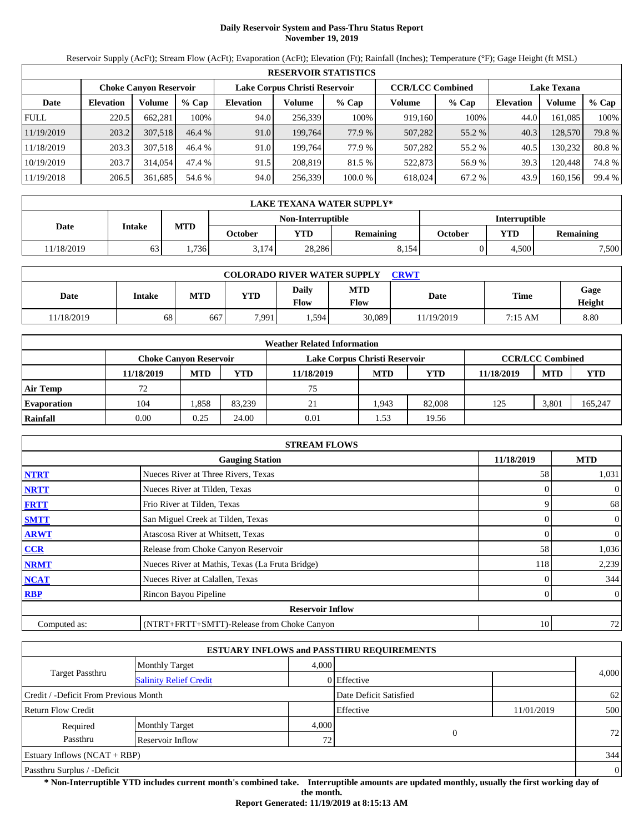# **Daily Reservoir System and Pass-Thru Status Report November 19, 2019**

Reservoir Supply (AcFt); Stream Flow (AcFt); Evaporation (AcFt); Elevation (Ft); Rainfall (Inches); Temperature (°F); Gage Height (ft MSL)

|             | <b>RESERVOIR STATISTICS</b> |                               |         |                               |         |         |                         |         |                    |         |        |  |  |
|-------------|-----------------------------|-------------------------------|---------|-------------------------------|---------|---------|-------------------------|---------|--------------------|---------|--------|--|--|
|             |                             | <b>Choke Canyon Reservoir</b> |         | Lake Corpus Christi Reservoir |         |         | <b>CCR/LCC Combined</b> |         | <b>Lake Texana</b> |         |        |  |  |
| Date        | <b>Elevation</b>            | Volume                        | $%$ Cap | <b>Elevation</b>              | Volume  | $%$ Cap | Volume                  | $%$ Cap | <b>Elevation</b>   | Volume  | % Cap  |  |  |
| <b>FULL</b> | 220.5                       | 662.281                       | 100%    | 94.0                          | 256,339 | 100%    | 919,160                 | 100%    | 44.0               | 161.085 | 100%   |  |  |
| 11/19/2019  | 203.2                       | 307.518                       | 46.4%   | 91.0                          | 199.764 | 77.9 %  | 507,282                 | 55.2 %  | 40.3               | 128,570 | 79.8%  |  |  |
| 11/18/2019  | 203.3                       | 307.518                       | 46.4 %  | 91.0                          | 199.764 | 77.9 %  | 507.282                 | 55.2 %  | 40.5               | 130.232 | 80.8%  |  |  |
| 10/19/2019  | 203.7                       | 314,054                       | 47.4 %  | 91.5                          | 208,819 | 81.5 %  | 522,873                 | 56.9 %  | 39.3               | 120.448 | 74.8%  |  |  |
| 11/19/2018  | 206.5                       | 361,685                       | 54.6 %  | 94.0                          | 256,339 | 100.0 % | 618.024                 | 67.2 %  | 43.9               | 160,156 | 99.4 % |  |  |

|            | LAKE TEXANA WATER SUPPLY* |            |         |                   |           |         |                      |                  |  |  |  |
|------------|---------------------------|------------|---------|-------------------|-----------|---------|----------------------|------------------|--|--|--|
|            |                           |            |         | Non-Interruptible |           |         | <b>Interruptible</b> |                  |  |  |  |
| Date       | Intake                    | <b>MTD</b> | October | <b>YTD</b>        | Remaining | October | YTD                  | <b>Remaining</b> |  |  |  |
| 11/18/2019 | 63                        | 1.736      | 3.174   | 28.286            | 8.154     |         | 4.500                | 7,500            |  |  |  |

| <b>COLORADO RIVER WATER SUPPLY</b><br><b>CRWT</b> |               |            |       |               |                    |           |         |                |  |  |  |
|---------------------------------------------------|---------------|------------|-------|---------------|--------------------|-----------|---------|----------------|--|--|--|
| Date                                              | <b>Intake</b> | <b>MTD</b> | YTD   | Daily<br>Flow | <b>MTD</b><br>Flow | Date      | Time    | Gage<br>Height |  |  |  |
| 11/18/2019                                        | 68            | 667        | 7,991 | . .594        | 30.089             | 1/19/2019 | 7:15 AM | 8.80           |  |  |  |

|                    |                               |            |        | <b>Weather Related Information</b> |            |            |            |                         |            |
|--------------------|-------------------------------|------------|--------|------------------------------------|------------|------------|------------|-------------------------|------------|
|                    | <b>Choke Canvon Reservoir</b> |            |        | Lake Corpus Christi Reservoir      |            |            |            | <b>CCR/LCC Combined</b> |            |
|                    | 11/18/2019                    | <b>MTD</b> | YTD    | 11/18/2019                         | <b>MTD</b> | <b>YTD</b> | 11/18/2019 | <b>MTD</b>              | <b>YTD</b> |
| <b>Air Temp</b>    | 72                            |            |        | 75                                 |            |            |            |                         |            |
| <b>Evaporation</b> | 104                           | .858       | 83.239 | 21                                 | 1.943      | 82,008     | 125        | 3.801                   | 165,247    |
| Rainfall           | 0.00                          | 0.25       | 24.00  | 0.01                               | . . 53     | 19.56      |            |                         |            |

|              | <b>STREAM FLOWS</b>                             |            |                |
|--------------|-------------------------------------------------|------------|----------------|
|              | <b>Gauging Station</b>                          | 11/18/2019 | <b>MTD</b>     |
| <b>NTRT</b>  | Nueces River at Three Rivers, Texas             | 58         | 1,031          |
| <b>NRTT</b>  | Nueces River at Tilden, Texas                   |            | $\overline{0}$ |
| <b>FRTT</b>  | Frio River at Tilden, Texas                     | 9          | 68             |
| <b>SMTT</b>  | San Miguel Creek at Tilden, Texas               | 0          | $\overline{0}$ |
| <b>ARWT</b>  | Atascosa River at Whitsett, Texas               | 0          | $\overline{0}$ |
| CCR          | Release from Choke Canyon Reservoir             | 58         | 1,036          |
| <b>NRMT</b>  | Nueces River at Mathis, Texas (La Fruta Bridge) | 118        | 2,239          |
| <b>NCAT</b>  | Nueces River at Calallen, Texas                 |            | 344            |
| <b>RBP</b>   | Rincon Bayou Pipeline                           | 0          | $\overline{0}$ |
|              | <b>Reservoir Inflow</b>                         |            |                |
| Computed as: | (NTRT+FRTT+SMTT)-Release from Choke Canyon      | 10         | 72             |

|                                       |                               |       | <b>ESTUARY INFLOWS and PASSTHRU REQUIREMENTS</b> |            |                |
|---------------------------------------|-------------------------------|-------|--------------------------------------------------|------------|----------------|
|                                       | <b>Monthly Target</b>         | 4.000 |                                                  |            |                |
| <b>Target Passthru</b>                | <b>Salinity Relief Credit</b> |       | 0 Effective                                      |            | 4,000          |
| Credit / -Deficit From Previous Month |                               |       | Date Deficit Satisfied                           |            | 62             |
| <b>Return Flow Credit</b>             |                               |       | Effective                                        | 11/01/2019 | 500            |
| Required                              | <b>Monthly Target</b>         | 4,000 |                                                  |            |                |
| Passthru                              | Reservoir Inflow              | 72    | $\overline{0}$                                   |            | 72             |
| Estuary Inflows $(NCAT + RBP)$        |                               |       |                                                  |            | 344            |
| Passthru Surplus / -Deficit           |                               |       |                                                  |            | $\overline{0}$ |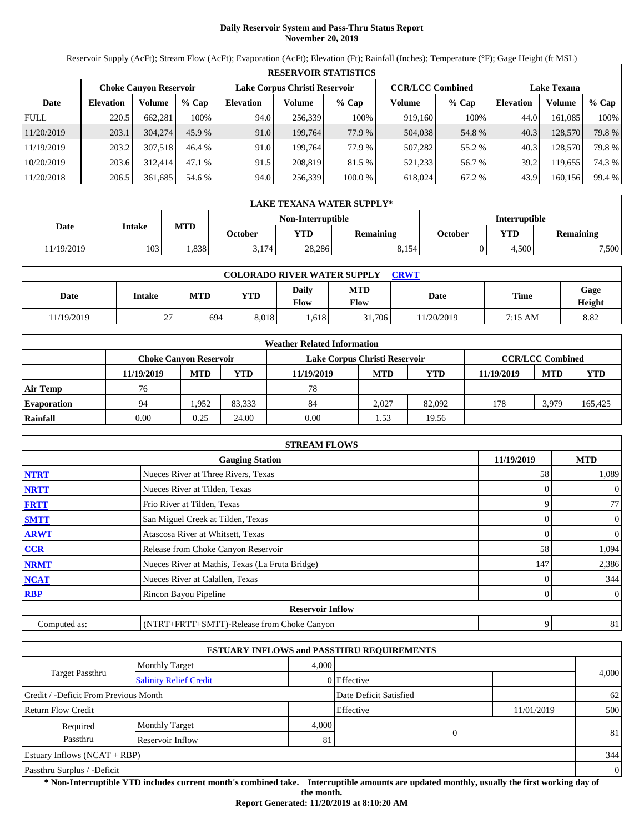# **Daily Reservoir System and Pass-Thru Status Report November 20, 2019**

Reservoir Supply (AcFt); Stream Flow (AcFt); Evaporation (AcFt); Elevation (Ft); Rainfall (Inches); Temperature (°F); Gage Height (ft MSL)

|             | <b>RESERVOIR STATISTICS</b> |                               |         |                               |         |         |                         |         |                    |         |        |  |  |
|-------------|-----------------------------|-------------------------------|---------|-------------------------------|---------|---------|-------------------------|---------|--------------------|---------|--------|--|--|
|             |                             | <b>Choke Canyon Reservoir</b> |         | Lake Corpus Christi Reservoir |         |         | <b>CCR/LCC Combined</b> |         | <b>Lake Texana</b> |         |        |  |  |
| Date        | <b>Elevation</b>            | Volume                        | $%$ Cap | <b>Elevation</b>              | Volume  | $%$ Cap | Volume                  | $%$ Cap | <b>Elevation</b>   | Volume  | % Cap  |  |  |
| <b>FULL</b> | 220.5                       | 662.281                       | 100%    | 94.0                          | 256,339 | 100%    | 919,160                 | 100%    | 44.0               | 161.085 | 100%   |  |  |
| 11/20/2019  | 203.1                       | 304,274                       | 45.9%   | 91.0                          | 199.764 | 77.9 %  | 504,038                 | 54.8%   | 40.3               | 128,570 | 79.8 % |  |  |
| 11/19/2019  | 203.2                       | 307.518                       | 46.4 %  | 91.0                          | 199.764 | 77.9 %  | 507.282                 | 55.2 %  | 40.3               | 128,570 | 79.8 % |  |  |
| 10/20/2019  | 203.6                       | 312,414                       | 47.1 %  | 91.5                          | 208,819 | 81.5 %  | 521,233                 | 56.7 %  | 39.2               | 119.655 | 74.3 % |  |  |
| 11/20/2018  | 206.5                       | 361,685                       | 54.6 %  | 94.0                          | 256,339 | 100.0 % | 618.024                 | 67.2 %  | 43.9               | 160,156 | 99.4 % |  |  |

|            | LAKE TEXANA WATER SUPPLY* |            |         |                   |           |         |                      |                  |  |  |  |
|------------|---------------------------|------------|---------|-------------------|-----------|---------|----------------------|------------------|--|--|--|
|            |                           |            |         | Non-Interruptible |           |         | <b>Interruptible</b> |                  |  |  |  |
| Date       | Intake                    | <b>MTD</b> | October | <b>YTD</b>        | Remaining | October | YTD                  | <b>Remaining</b> |  |  |  |
| 11/19/2019 | 103                       | . 838      | 3.174   | 28.286            | 8.154     |         | 4.500                | 7,500            |  |  |  |

| <b>COLORADO RIVER WATER SUPPLY</b><br>CRWT |               |            |            |               |                    |            |         |                |  |  |  |
|--------------------------------------------|---------------|------------|------------|---------------|--------------------|------------|---------|----------------|--|--|--|
| Date                                       | <b>Intake</b> | <b>MTD</b> | <b>YTD</b> | Daily<br>Flow | <b>MTD</b><br>Flow | Date       | Time    | Gage<br>Height |  |  |  |
| 11/19/2019                                 | 27            | 694        | 8.018      | .618          | 31,706             | 11/20/2019 | 7:15 AM | 8.82           |  |  |  |

|                    |            |                               |        | <b>Weather Related Information</b> |            |            |            |                         |            |
|--------------------|------------|-------------------------------|--------|------------------------------------|------------|------------|------------|-------------------------|------------|
|                    |            | <b>Choke Canvon Reservoir</b> |        | Lake Corpus Christi Reservoir      |            |            |            | <b>CCR/LCC Combined</b> |            |
|                    | 11/19/2019 | <b>MTD</b>                    | YTD    | 11/19/2019                         | <b>MTD</b> | <b>YTD</b> | 11/19/2019 | <b>MTD</b>              | <b>YTD</b> |
| <b>Air Temp</b>    | 76         |                               |        | 78                                 |            |            |            |                         |            |
| <b>Evaporation</b> | 94         | 1.952                         | 83.333 | 84                                 | 2.027      | 82,092     | 178        | 3,979                   | 165,425    |
| Rainfall           | 0.00       | 0.25                          | 24.00  | 0.00                               | 1.53       | 19.56      |            |                         |            |

|              | <b>STREAM FLOWS</b>                             |            |                |
|--------------|-------------------------------------------------|------------|----------------|
|              | <b>Gauging Station</b>                          | 11/19/2019 | <b>MTD</b>     |
| <b>NTRT</b>  | Nueces River at Three Rivers, Texas             | 58         | 1,089          |
| <b>NRTT</b>  | Nueces River at Tilden, Texas                   |            | $\overline{0}$ |
| <b>FRTT</b>  | Frio River at Tilden, Texas                     |            | 77             |
| <b>SMTT</b>  | San Miguel Creek at Tilden, Texas               | 0          | $\overline{0}$ |
| <b>ARWT</b>  | Atascosa River at Whitsett, Texas               | 0          | $\overline{0}$ |
| CCR          | Release from Choke Canyon Reservoir             | 58         | 1,094          |
| <b>NRMT</b>  | Nueces River at Mathis, Texas (La Fruta Bridge) | 147        | 2,386          |
| <b>NCAT</b>  | Nueces River at Calallen, Texas                 |            | 344            |
| <b>RBP</b>   | Rincon Bayou Pipeline                           | 0          | $\overline{0}$ |
|              | <b>Reservoir Inflow</b>                         |            |                |
| Computed as: | (NTRT+FRTT+SMTT)-Release from Choke Canyon      | 9          | 81             |

|                                       |                               |       | <b>ESTUARY INFLOWS and PASSTHRU REQUIREMENTS</b> |            |                |
|---------------------------------------|-------------------------------|-------|--------------------------------------------------|------------|----------------|
|                                       | <b>Monthly Target</b>         | 4.000 |                                                  |            |                |
| <b>Target Passthru</b>                | <b>Salinity Relief Credit</b> |       | 0 Effective                                      |            | 4,000          |
| Credit / -Deficit From Previous Month |                               |       | Date Deficit Satisfied                           |            | 62             |
| <b>Return Flow Credit</b>             |                               |       | Effective                                        | 11/01/2019 | 500            |
| Required                              | <b>Monthly Target</b>         | 4.000 |                                                  |            |                |
| Passthru                              | Reservoir Inflow              | 81    | $\theta$                                         |            | 81             |
| <b>Estuary Inflows (NCAT + RBP)</b>   |                               |       |                                                  |            | 344            |
| Passthru Surplus / -Deficit           |                               |       |                                                  |            | $\overline{0}$ |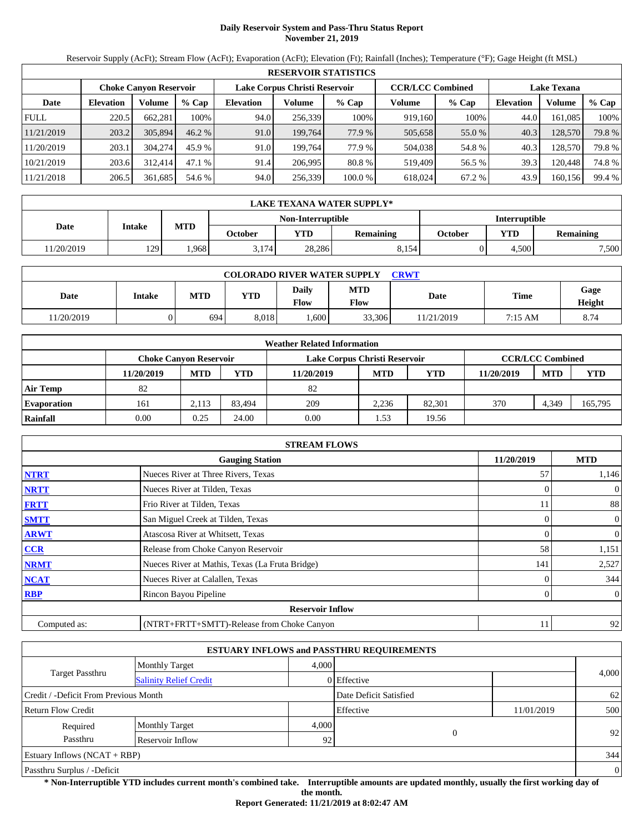# **Daily Reservoir System and Pass-Thru Status Report November 21, 2019**

Reservoir Supply (AcFt); Stream Flow (AcFt); Evaporation (AcFt); Elevation (Ft); Rainfall (Inches); Temperature (°F); Gage Height (ft MSL)

|             | <b>RESERVOIR STATISTICS</b> |                               |          |                               |         |         |                         |         |                    |         |        |  |  |
|-------------|-----------------------------|-------------------------------|----------|-------------------------------|---------|---------|-------------------------|---------|--------------------|---------|--------|--|--|
|             |                             | <b>Choke Canyon Reservoir</b> |          | Lake Corpus Christi Reservoir |         |         | <b>CCR/LCC Combined</b> |         | <b>Lake Texana</b> |         |        |  |  |
| Date        | <b>Elevation</b>            | Volume                        | $%$ Cap  | <b>Elevation</b>              | Volume  | $%$ Cap | Volume                  | $%$ Cap | <b>Elevation</b>   | Volume  | % Cap  |  |  |
| <b>FULL</b> | 220.5                       | 662.281                       | 100%     | 94.0                          | 256.339 | 100%    | 919.160                 | 100%    | 44.0               | 161.085 | 100%   |  |  |
| 11/21/2019  | 203.2                       | 305,894                       | $46.2\%$ | 91.0                          | 199.764 | 77.9 %  | 505,658                 | 55.0 %  | 40.3               | 128,570 | 79.8%  |  |  |
| 11/20/2019  | 203.1                       | 304,274                       | 45.9 %   | 91.0                          | 199.764 | 77.9 %  | 504,038                 | 54.8%   | 40.3               | 128,570 | 79.8 % |  |  |
| 10/21/2019  | 203.6                       | 312,414                       | 47.1 %   | 91.4                          | 206,995 | 80.8 %  | 519.409                 | 56.5 %  | 39.3               | 120.448 | 74.8%  |  |  |
| 11/21/2018  | 206.5                       | 361,685                       | 54.6 %   | 94.0                          | 256,339 | 100.0 % | 618.024                 | 67.2 %  | 43.9               | 160,156 | 99.4 % |  |  |

|            | <b>LAKE TEXANA WATER SUPPLY*</b> |                      |         |        |           |         |            |                  |  |  |
|------------|----------------------------------|----------------------|---------|--------|-----------|---------|------------|------------------|--|--|
|            |                                  | <b>Interruptible</b> |         |        |           |         |            |                  |  |  |
| Date       | Intake                           | <b>MTD</b>           | October | YTD    | Remaining | October | <b>VTD</b> | <b>Remaining</b> |  |  |
| 11/20/2019 | 129                              | .968                 | 3.174   | 28,286 | 8,154     |         | 4.500      | 7,500            |  |  |

| <b>COLORADO RIVER WATER SUPPLY</b><br>CRWT |        |            |            |               |                    |            |         |                |  |  |  |
|--------------------------------------------|--------|------------|------------|---------------|--------------------|------------|---------|----------------|--|--|--|
| Date                                       | Intake | <b>MTD</b> | <b>YTD</b> | Daily<br>Flow | <b>MTD</b><br>Flow | Date       | Time    | Gage<br>Height |  |  |  |
| 11/20/2019                                 |        | 694        | 8.018      | .600          | 33,306             | 11/21/2019 | 7:15 AM | 8.74           |  |  |  |

|                    | <b>Weather Related Information</b> |                                                                                           |        |            |            |            |            |            |            |  |  |  |
|--------------------|------------------------------------|-------------------------------------------------------------------------------------------|--------|------------|------------|------------|------------|------------|------------|--|--|--|
|                    |                                    | <b>CCR/LCC Combined</b><br>Lake Corpus Christi Reservoir<br><b>Choke Canvon Reservoir</b> |        |            |            |            |            |            |            |  |  |  |
|                    | 11/20/2019                         | <b>MTD</b>                                                                                | YTD    | 11/20/2019 | <b>MTD</b> | <b>YTD</b> | 11/20/2019 | <b>MTD</b> | <b>YTD</b> |  |  |  |
| <b>Air Temp</b>    | 82                                 |                                                                                           |        | 82         |            |            |            |            |            |  |  |  |
| <b>Evaporation</b> | 161                                | 2.113                                                                                     | 83.494 | 209        | 2.236      | 82.301     | 370        | 4,349      | 165,795    |  |  |  |
| Rainfall           | 0.00                               | 0.25                                                                                      | 24.00  | 0.00       | . . 53     | 19.56      |            |            |            |  |  |  |

|              | <b>STREAM FLOWS</b>                             |            |                |
|--------------|-------------------------------------------------|------------|----------------|
|              | <b>Gauging Station</b>                          | 11/20/2019 | <b>MTD</b>     |
| <b>NTRT</b>  | Nueces River at Three Rivers, Texas             | 57         | 1,146          |
| <b>NRTT</b>  | Nueces River at Tilden, Texas                   |            | $\overline{0}$ |
| <b>FRTT</b>  | Frio River at Tilden, Texas                     | 11         | 88             |
| <b>SMTT</b>  | San Miguel Creek at Tilden, Texas               | 0          | $\overline{0}$ |
| <b>ARWT</b>  | Atascosa River at Whitsett, Texas               | 0          | $\overline{0}$ |
| CCR          | Release from Choke Canyon Reservoir             | 58         | 1,151          |
| <b>NRMT</b>  | Nueces River at Mathis, Texas (La Fruta Bridge) | 141        | 2,527          |
| <b>NCAT</b>  | Nueces River at Calallen, Texas                 |            | 344            |
| <b>RBP</b>   | Rincon Bayou Pipeline                           | 0          | $\overline{0}$ |
|              | <b>Reservoir Inflow</b>                         |            |                |
| Computed as: | (NTRT+FRTT+SMTT)-Release from Choke Canyon      | 11         | 92             |

|                                       |                               |       | <b>ESTUARY INFLOWS and PASSTHRU REQUIREMENTS</b> |            |                |
|---------------------------------------|-------------------------------|-------|--------------------------------------------------|------------|----------------|
|                                       | <b>Monthly Target</b>         | 4.000 |                                                  |            |                |
| <b>Target Passthru</b>                | <b>Salinity Relief Credit</b> |       | 0 Effective                                      |            | 4,000          |
| Credit / -Deficit From Previous Month |                               |       | Date Deficit Satisfied                           |            | 62             |
| <b>Return Flow Credit</b>             |                               |       | Effective                                        | 11/01/2019 | 500            |
| Required                              | <b>Monthly Target</b>         | 4,000 |                                                  |            |                |
| Passthru                              | Reservoir Inflow              | 92    | $\overline{0}$                                   |            | 92             |
| Estuary Inflows $(NCAT + RBP)$        |                               |       |                                                  |            | 344            |
| Passthru Surplus / -Deficit           |                               |       |                                                  |            | $\overline{0}$ |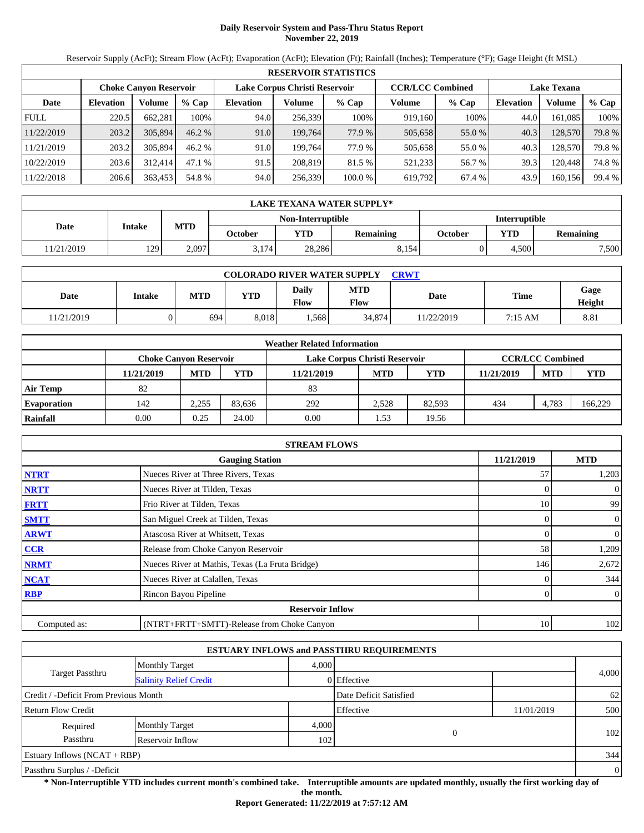# **Daily Reservoir System and Pass-Thru Status Report November 22, 2019**

Reservoir Supply (AcFt); Stream Flow (AcFt); Evaporation (AcFt); Elevation (Ft); Rainfall (Inches); Temperature (°F); Gage Height (ft MSL)

|             | <b>RESERVOIR STATISTICS</b> |                               |          |                               |         |         |                         |         |                    |         |        |  |  |
|-------------|-----------------------------|-------------------------------|----------|-------------------------------|---------|---------|-------------------------|---------|--------------------|---------|--------|--|--|
|             |                             | <b>Choke Canyon Reservoir</b> |          | Lake Corpus Christi Reservoir |         |         | <b>CCR/LCC Combined</b> |         | <b>Lake Texana</b> |         |        |  |  |
| Date        | <b>Elevation</b>            | Volume                        | $%$ Cap  | <b>Elevation</b>              | Volume  | $%$ Cap | Volume                  | $%$ Cap | <b>Elevation</b>   | Volume  | % Cap  |  |  |
| <b>FULL</b> | 220.5                       | 662.281                       | 100%     | 94.0                          | 256.339 | 100%    | 919.160                 | 100%    | 44.0               | 161.085 | 100%   |  |  |
| 11/22/2019  | 203.2                       | 305,894                       | $46.2\%$ | 91.0                          | 199.764 | 77.9 %  | 505,658                 | 55.0 %  | 40.3               | 128,570 | 79.8%  |  |  |
| 11/21/2019  | 203.2                       | 305,894                       | 46.2%    | 91.0                          | 199.764 | 77.9 %  | 505,658                 | 55.0 %  | 40.3               | 128,570 | 79.8 % |  |  |
| 10/22/2019  | 203.6                       | 312,414                       | 47.1 %   | 91.5                          | 208,819 | 81.5 %  | 521,233                 | 56.7 %  | 39.3               | 120.448 | 74.8%  |  |  |
| 11/22/2018  | 206.6                       | 363,453                       | 54.8 %   | 94.0                          | 256,339 | 100.0 % | 619,792                 | 67.4 %  | 43.9               | 160,156 | 99.4 % |  |  |

|            | LAKE TEXANA WATER SUPPLY* |            |         |            |                  |         |            |                  |  |  |  |
|------------|---------------------------|------------|---------|------------|------------------|---------|------------|------------------|--|--|--|
|            | <b>Interruptible</b>      |            |         |            |                  |         |            |                  |  |  |  |
| Date       | Intake                    | <b>MTD</b> | October | <b>YTD</b> | <b>Remaining</b> | October | <b>YTD</b> | <b>Remaining</b> |  |  |  |
| 11/21/2019 | 129                       | 2.097      | 3.174   | 28,286     | 8.154            |         | 4.500      | 7,500            |  |  |  |

| <b>COLORADO RIVER WATER SUPPLY</b><br>CRWT |               |            |            |               |                    |             |         |                |  |  |  |
|--------------------------------------------|---------------|------------|------------|---------------|--------------------|-------------|---------|----------------|--|--|--|
| Date                                       | <b>Intake</b> | <b>MTD</b> | <b>YTD</b> | Daily<br>Flow | <b>MTD</b><br>Flow | <b>Date</b> | Time    | Gage<br>Height |  |  |  |
| 11/21/2019                                 |               | 694        | 8.018      | .568          | 34,874             | 11/22/2019  | 7:15 AM | 8.81           |  |  |  |

|                    | <b>Weather Related Information</b>                                                        |            |        |            |            |            |            |            |            |  |  |  |
|--------------------|-------------------------------------------------------------------------------------------|------------|--------|------------|------------|------------|------------|------------|------------|--|--|--|
|                    | <b>CCR/LCC Combined</b><br>Lake Corpus Christi Reservoir<br><b>Choke Canvon Reservoir</b> |            |        |            |            |            |            |            |            |  |  |  |
|                    | 11/21/2019                                                                                | <b>MTD</b> | YTD    | 11/21/2019 | <b>MTD</b> | <b>YTD</b> | 11/21/2019 | <b>MTD</b> | <b>YTD</b> |  |  |  |
| <b>Air Temp</b>    | 82                                                                                        |            |        | 83         |            |            |            |            |            |  |  |  |
| <b>Evaporation</b> | 142                                                                                       | 2.255      | 83.636 | 292        | 2.528      | 82.593     | 434        | 4.783      | 166,229    |  |  |  |
| Rainfall           | 0.00                                                                                      | 0.25       | 24.00  | 0.00       | . . 53     | 19.56      |            |            |            |  |  |  |

|              | <b>STREAM FLOWS</b>                             |            |                |
|--------------|-------------------------------------------------|------------|----------------|
|              | <b>Gauging Station</b>                          | 11/21/2019 | <b>MTD</b>     |
| <b>NTRT</b>  | Nueces River at Three Rivers, Texas             | 57         | 1,203          |
| <b>NRTT</b>  | Nueces River at Tilden, Texas                   |            | $\overline{0}$ |
| <b>FRTT</b>  | Frio River at Tilden, Texas                     | 10         | 99             |
| <b>SMTT</b>  | San Miguel Creek at Tilden, Texas               | 0          | $\overline{0}$ |
| <b>ARWT</b>  | Atascosa River at Whitsett, Texas               | 0          | $\overline{0}$ |
| CCR          | Release from Choke Canyon Reservoir             | 58         | 1,209          |
| <b>NRMT</b>  | Nueces River at Mathis, Texas (La Fruta Bridge) | 146        | 2,672          |
| <b>NCAT</b>  | Nueces River at Calallen, Texas                 |            | 344            |
| <b>RBP</b>   | Rincon Bayou Pipeline                           | 0          | $\overline{0}$ |
|              | <b>Reservoir Inflow</b>                         |            |                |
| Computed as: | (NTRT+FRTT+SMTT)-Release from Choke Canyon      | 10         | 102            |

|                                                         |                       |       | <b>ESTUARY INFLOWS and PASSTHRU REQUIREMENTS</b> |            |                |
|---------------------------------------------------------|-----------------------|-------|--------------------------------------------------|------------|----------------|
|                                                         | <b>Monthly Target</b> | 4.000 |                                                  |            |                |
| <b>Target Passthru</b><br><b>Salinity Relief Credit</b> |                       |       | 0 Effective                                      |            | 4,000          |
| Credit / -Deficit From Previous Month                   |                       |       | Date Deficit Satisfied                           |            | 62             |
| <b>Return Flow Credit</b>                               |                       |       | Effective                                        | 11/01/2019 | 500            |
| Required                                                | <b>Monthly Target</b> | 4,000 |                                                  |            |                |
| Passthru                                                | Reservoir Inflow      | 102   | $\Omega$                                         |            | 102            |
| Estuary Inflows $(NCAT + RBP)$                          |                       |       |                                                  |            | 344            |
| Passthru Surplus / -Deficit                             |                       |       |                                                  |            | $\overline{0}$ |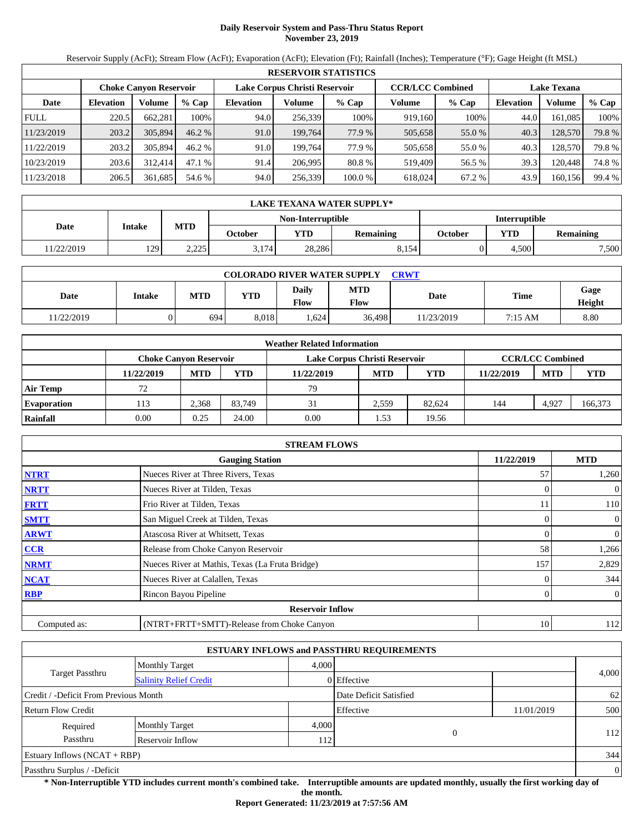# **Daily Reservoir System and Pass-Thru Status Report November 23, 2019**

Reservoir Supply (AcFt); Stream Flow (AcFt); Evaporation (AcFt); Elevation (Ft); Rainfall (Inches); Temperature (°F); Gage Height (ft MSL)

|             | <b>RESERVOIR STATISTICS</b> |                               |          |                               |         |         |                         |         |                    |         |        |  |  |
|-------------|-----------------------------|-------------------------------|----------|-------------------------------|---------|---------|-------------------------|---------|--------------------|---------|--------|--|--|
|             |                             | <b>Choke Canyon Reservoir</b> |          | Lake Corpus Christi Reservoir |         |         | <b>CCR/LCC Combined</b> |         | <b>Lake Texana</b> |         |        |  |  |
| Date        | <b>Elevation</b>            | Volume                        | $%$ Cap  | <b>Elevation</b>              | Volume  | $%$ Cap | Volume                  | $%$ Cap | <b>Elevation</b>   | Volume  | % Cap  |  |  |
| <b>FULL</b> | 220.5                       | 662.281                       | 100%     | 94.0                          | 256,339 | 100%    | 919,160                 | 100%    | 44.0               | 161.085 | 100%   |  |  |
| 11/23/2019  | 203.2                       | 305,894                       | $46.2\%$ | 91.0                          | 199.764 | 77.9 %  | 505,658                 | 55.0 %  | 40.3               | 128,570 | 79.8 % |  |  |
| 11/22/2019  | 203.2                       | 305,894                       | 46.2%    | 91.0                          | 199.764 | 77.9 %  | 505,658                 | 55.0%   | 40.3               | 128,570 | 79.8 % |  |  |
| 10/23/2019  | 203.6                       | 312,414                       | 47.1 %   | 91.4                          | 206,995 | 80.8 %  | 519.409                 | 56.5 %  | 39.3               | 120.448 | 74.8%  |  |  |
| 11/23/2018  | 206.5                       | 361,685                       | 54.6 %   | 94.0                          | 256,339 | 100.0 % | 618.024                 | 67.2 %  | 43.9               | 160,156 | 99.4 % |  |  |

|            | LAKE TEXANA WATER SUPPLY* |            |         |                   |                  |                      |       |                  |  |  |  |
|------------|---------------------------|------------|---------|-------------------|------------------|----------------------|-------|------------------|--|--|--|
|            |                           |            |         | Non-Interruptible |                  | <b>Interruptible</b> |       |                  |  |  |  |
| Date       | Intake                    | <b>MTD</b> | October | <b>YTD</b>        | <b>Remaining</b> | October              | YTD   | <b>Remaining</b> |  |  |  |
| 11/22/2019 | 129                       | 2,225      | 3.174   | 28,286            | 8.154            |                      | 4.500 | 7,500            |  |  |  |

| <b>COLORADO RIVER WATER SUPPLY</b><br>CRWT |               |            |            |               |                    |            |         |                |  |  |  |
|--------------------------------------------|---------------|------------|------------|---------------|--------------------|------------|---------|----------------|--|--|--|
| Date                                       | <b>Intake</b> | <b>MTD</b> | <b>YTD</b> | Daily<br>Flow | <b>MTD</b><br>Flow | Date       | Time    | Gage<br>Height |  |  |  |
| 1/22/2019                                  |               | 694        | 8.018      | .624          | 36,498             | 11/23/2019 | 7:15 AM | 8.80           |  |  |  |

|                    | <b>Weather Related Information</b> |                               |        |                               |            |            |            |                         |            |  |  |  |
|--------------------|------------------------------------|-------------------------------|--------|-------------------------------|------------|------------|------------|-------------------------|------------|--|--|--|
|                    |                                    | <b>Choke Canvon Reservoir</b> |        | Lake Corpus Christi Reservoir |            |            |            | <b>CCR/LCC Combined</b> |            |  |  |  |
|                    | 11/22/2019                         | <b>MTD</b>                    | YTD    | 11/22/2019                    | <b>MTD</b> | <b>YTD</b> | 11/22/2019 | <b>MTD</b>              | <b>YTD</b> |  |  |  |
| <b>Air Temp</b>    | 72                                 |                               |        | 79                            |            |            |            |                         |            |  |  |  |
| <b>Evaporation</b> | . 13                               | 2.368                         | 83.749 | 31                            | 2.559      | 82.624     | 144        | 4.927                   | 166,373    |  |  |  |
| Rainfall           | 0.00                               | 0.25                          | 24.00  | 0.00                          | . . 53     | 19.56      |            |                         |            |  |  |  |

|              | <b>STREAM FLOWS</b>                             |            |                |
|--------------|-------------------------------------------------|------------|----------------|
|              | <b>Gauging Station</b>                          | 11/22/2019 | <b>MTD</b>     |
| <b>NTRT</b>  | Nueces River at Three Rivers, Texas             | 57         | 1,260          |
| <b>NRTT</b>  | Nueces River at Tilden, Texas                   |            | $\overline{0}$ |
| <b>FRTT</b>  | Frio River at Tilden, Texas                     | 11         | 110            |
| <b>SMTT</b>  | San Miguel Creek at Tilden, Texas               | 0          | $\overline{0}$ |
| <b>ARWT</b>  | Atascosa River at Whitsett, Texas               | 0          | $\overline{0}$ |
| CCR          | Release from Choke Canyon Reservoir             | 58         | 1,266          |
| <b>NRMT</b>  | Nueces River at Mathis, Texas (La Fruta Bridge) | 157        | 2,829          |
| <b>NCAT</b>  | Nueces River at Calallen, Texas                 |            | 344            |
| <b>RBP</b>   | Rincon Bayou Pipeline                           | 0          | $\overline{0}$ |
|              | <b>Reservoir Inflow</b>                         |            |                |
| Computed as: | (NTRT+FRTT+SMTT)-Release from Choke Canyon      | 10         | 112            |

|                                                         |                       |       | <b>ESTUARY INFLOWS and PASSTHRU REQUIREMENTS</b> |            |                |
|---------------------------------------------------------|-----------------------|-------|--------------------------------------------------|------------|----------------|
|                                                         | <b>Monthly Target</b> | 4.000 |                                                  |            |                |
| <b>Target Passthru</b><br><b>Salinity Relief Credit</b> |                       |       | 0 Effective                                      |            | 4,000          |
| Credit / -Deficit From Previous Month                   |                       |       | Date Deficit Satisfied                           |            | 62             |
| <b>Return Flow Credit</b>                               |                       |       | Effective                                        | 11/01/2019 | 500            |
| Required                                                | <b>Monthly Target</b> | 4,000 |                                                  |            |                |
| Passthru                                                | Reservoir Inflow      | 112   | $\Omega$                                         |            | 112            |
| Estuary Inflows $(NCAT + RBP)$                          |                       |       |                                                  |            | 344            |
| Passthru Surplus / -Deficit                             |                       |       |                                                  |            | $\overline{0}$ |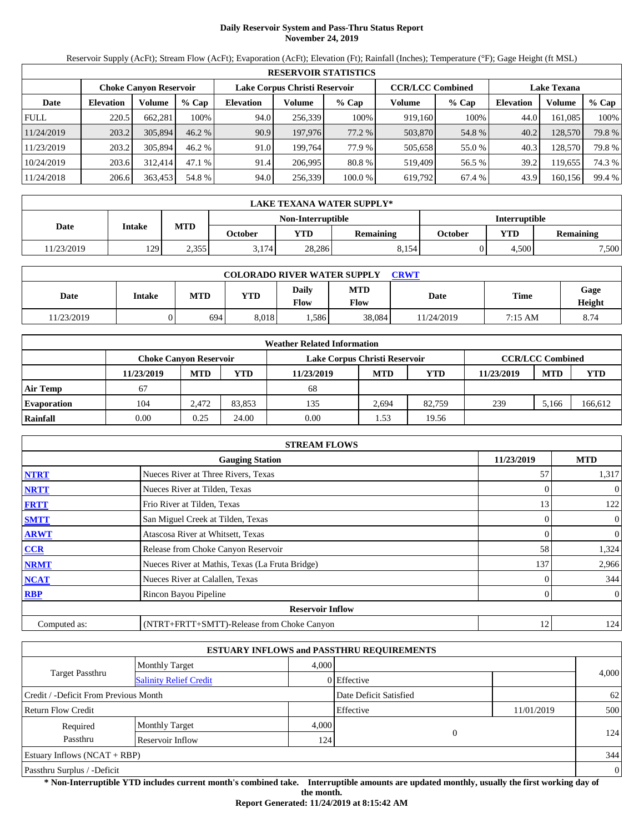# **Daily Reservoir System and Pass-Thru Status Report November 24, 2019**

Reservoir Supply (AcFt); Stream Flow (AcFt); Evaporation (AcFt); Elevation (Ft); Rainfall (Inches); Temperature (°F); Gage Height (ft MSL)

|             | <b>RESERVOIR STATISTICS</b> |                               |         |                               |         |         |                         |         |                    |         |        |  |  |
|-------------|-----------------------------|-------------------------------|---------|-------------------------------|---------|---------|-------------------------|---------|--------------------|---------|--------|--|--|
|             |                             | <b>Choke Canvon Reservoir</b> |         | Lake Corpus Christi Reservoir |         |         | <b>CCR/LCC Combined</b> |         | <b>Lake Texana</b> |         |        |  |  |
| Date        | <b>Elevation</b>            | Volume                        | $%$ Cap | <b>Elevation</b>              | Volume  | % Cap   | Volume                  | $%$ Cap | <b>Elevation</b>   | Volume  | % Cap  |  |  |
| <b>FULL</b> | 220.5                       | 662.281                       | 100%    | 94.0                          | 256.339 | 100%    | 919.160                 | 100%    | 44.0               | 161.085 | 100%   |  |  |
| 11/24/2019  | 203.2                       | 305,894                       | 46.2%   | 90.9                          | 197,976 | 77.2 %  | 503,870                 | 54.8 %  | 40.2               | 128.570 | 79.8%  |  |  |
| 11/23/2019  | 203.2                       | 305,894                       | 46.2%   | 91.0                          | 199.764 | 77.9 %  | 505,658                 | 55.0 %  | 40.3               | 128,570 | 79.8 % |  |  |
| 10/24/2019  | 203.6                       | 312,414                       | 47.1%   | 91.4                          | 206.995 | 80.8%   | 519.409                 | 56.5 %  | 39.2               | 119.655 | 74.3 % |  |  |
| 11/24/2018  | 206.6                       | 363,453                       | 54.8 %  | 94.0                          | 256,339 | 100.0 % | 619,792                 | 67.4 %  | 43.9               | 160,156 | 99.4 % |  |  |

|            | LAKE TEXANA WATER SUPPLY* |            |         |                   |           |                      |       |                  |  |  |
|------------|---------------------------|------------|---------|-------------------|-----------|----------------------|-------|------------------|--|--|
|            |                           |            |         | Non-Interruptible |           | <b>Interruptible</b> |       |                  |  |  |
| Date       | Intake                    | <b>MTD</b> | October | <b>YTD</b>        | Remaining | October              | YTD   | <b>Remaining</b> |  |  |
| 11/23/2019 | 129                       | 2.355      | 3.174   | 28.286            | 8.154     |                      | 4.500 | 7,500            |  |  |

| <b>COLORADO RIVER WATER SUPPLY</b><br><b>CRWT</b> |               |            |       |               |                    |           |         |                |  |  |  |
|---------------------------------------------------|---------------|------------|-------|---------------|--------------------|-----------|---------|----------------|--|--|--|
| Date                                              | <b>Intake</b> | <b>MTD</b> | YTD   | Daily<br>Flow | <b>MTD</b><br>Flow | Date      | Time    | Gage<br>Height |  |  |  |
| 11/23/2019                                        |               | 694        | 8.018 | .586          | 38,084             | 1/24/2019 | 7:15 AM | 8.74           |  |  |  |

|                    | <b>Weather Related Information</b> |                               |        |                               |            |            |            |                         |            |  |  |  |
|--------------------|------------------------------------|-------------------------------|--------|-------------------------------|------------|------------|------------|-------------------------|------------|--|--|--|
|                    |                                    | <b>Choke Canvon Reservoir</b> |        | Lake Corpus Christi Reservoir |            |            |            | <b>CCR/LCC Combined</b> |            |  |  |  |
|                    | 11/23/2019                         | <b>MTD</b>                    | YTD    | 11/23/2019                    | <b>MTD</b> | <b>YTD</b> | 11/23/2019 | <b>MTD</b>              | <b>YTD</b> |  |  |  |
| <b>Air Temp</b>    | 67                                 |                               |        | 68                            |            |            |            |                         |            |  |  |  |
| <b>Evaporation</b> | 104                                | 2.472                         | 83.853 | 135                           | 2.694      | 82.759     | 239        | 5.166                   | 166,612    |  |  |  |
| Rainfall           | 0.00                               | 0.25                          | 24.00  | 0.00                          | . . 53     | 19.56      |            |                         |            |  |  |  |

|              | <b>STREAM FLOWS</b>                             |            |                |
|--------------|-------------------------------------------------|------------|----------------|
|              | <b>Gauging Station</b>                          | 11/23/2019 | <b>MTD</b>     |
| <b>NTRT</b>  | Nueces River at Three Rivers, Texas             | 57         | 1,317          |
| <b>NRTT</b>  | Nueces River at Tilden, Texas                   | $\Omega$   | $\overline{0}$ |
| <b>FRTT</b>  | Frio River at Tilden, Texas                     | 13         | 122            |
| <b>SMTT</b>  | San Miguel Creek at Tilden, Texas               | $\Omega$   | $\overline{0}$ |
| <b>ARWT</b>  | Atascosa River at Whitsett, Texas               | $\Omega$   | $\mathbf{0}$   |
| <b>CCR</b>   | Release from Choke Canyon Reservoir             | 58         | 1,324          |
| <b>NRMT</b>  | Nueces River at Mathis, Texas (La Fruta Bridge) | 137        | 2,966          |
| <b>NCAT</b>  | Nueces River at Calallen, Texas                 |            | 344            |
| <b>RBP</b>   | Rincon Bayou Pipeline                           | $\Omega$   | $\overline{0}$ |
|              | <b>Reservoir Inflow</b>                         |            |                |
| Computed as: | (NTRT+FRTT+SMTT)-Release from Choke Canyon      | 12         | 124            |

|                                       |                               |       | <b>ESTUARY INFLOWS and PASSTHRU REQUIREMENTS</b> |            |                |
|---------------------------------------|-------------------------------|-------|--------------------------------------------------|------------|----------------|
|                                       | <b>Monthly Target</b>         | 4.000 |                                                  |            |                |
| <b>Target Passthru</b>                | <b>Salinity Relief Credit</b> |       | 0 Effective                                      |            | 4,000          |
| Credit / -Deficit From Previous Month |                               |       | Date Deficit Satisfied                           |            | 62             |
| <b>Return Flow Credit</b>             |                               |       | Effective                                        | 11/01/2019 | 500            |
| Required                              | <b>Monthly Target</b>         | 4,000 |                                                  |            |                |
| Passthru                              | Reservoir Inflow              | 124   | $\overline{0}$                                   |            | 124            |
| Estuary Inflows $(NCAT + RBP)$        |                               |       |                                                  |            | 344            |
| Passthru Surplus / -Deficit           |                               |       |                                                  |            | $\overline{0}$ |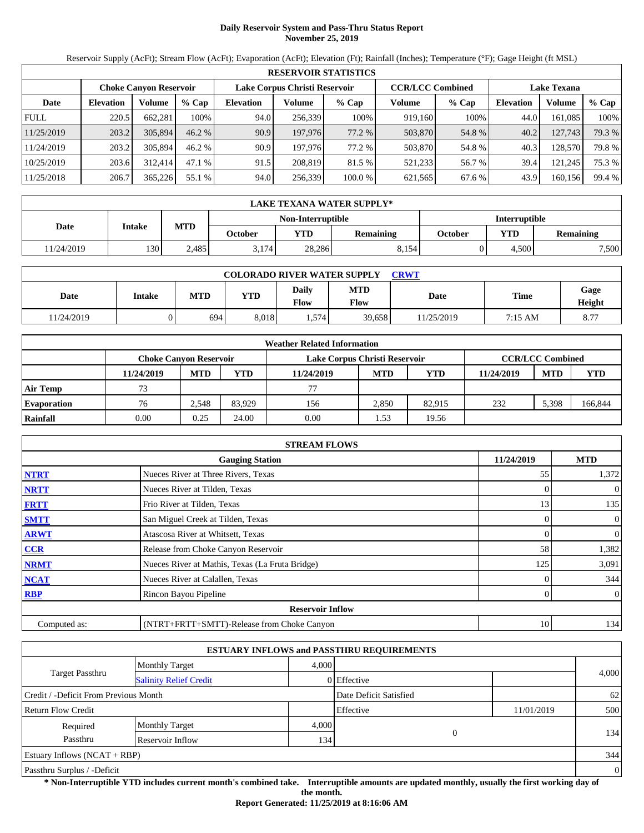# **Daily Reservoir System and Pass-Thru Status Report November 25, 2019**

Reservoir Supply (AcFt); Stream Flow (AcFt); Evaporation (AcFt); Elevation (Ft); Rainfall (Inches); Temperature (°F); Gage Height (ft MSL)

|             | <b>RESERVOIR STATISTICS</b> |                               |          |                               |         |         |                         |         |                    |         |        |  |
|-------------|-----------------------------|-------------------------------|----------|-------------------------------|---------|---------|-------------------------|---------|--------------------|---------|--------|--|
|             |                             | <b>Choke Canyon Reservoir</b> |          | Lake Corpus Christi Reservoir |         |         | <b>CCR/LCC Combined</b> |         | <b>Lake Texana</b> |         |        |  |
| Date        | <b>Elevation</b>            | Volume                        | $%$ Cap  | <b>Elevation</b>              | Volume  | $%$ Cap | Volume                  | $%$ Cap | <b>Elevation</b>   | Volume  | % Cap  |  |
| <b>FULL</b> | 220.5                       | 662.281                       | 100%     | 94.0                          | 256,339 | 100%    | 919,160                 | 100%    | 44.0               | 161.085 | 100%   |  |
| 11/25/2019  | 203.2                       | 305,894                       | $46.2\%$ | 90.9                          | 197,976 | 77.2 %  | 503,870                 | 54.8%   | 40.2               | 127,743 | 79.3 % |  |
| 11/24/2019  | 203.2                       | 305,894                       | 46.2%    | 90.9                          | 197.976 | 77.2 %  | 503,870                 | 54.8%   | 40.3               | 128,570 | 79.8 % |  |
| 10/25/2019  | 203.6                       | 312,414                       | 47.1 %   | 91.5                          | 208,819 | 81.5 %  | 521,233                 | 56.7 %  | 39.4               | 121,245 | 75.3 % |  |
| 11/25/2018  | 206.7                       | 365,226                       | 55.1 %   | 94.0                          | 256,339 | 100.0 % | 621,565                 | 67.6 %  | 43.9               | 160,156 | 99.4 % |  |

|            | LAKE TEXANA WATER SUPPLY* |            |         |                                           |                  |         |            |                  |  |  |
|------------|---------------------------|------------|---------|-------------------------------------------|------------------|---------|------------|------------------|--|--|
|            |                           |            |         | Non-Interruptible<br><b>Interruptible</b> |                  |         |            |                  |  |  |
| Date       | Intake                    | <b>MTD</b> | October | <b>YTD</b>                                | <b>Remaining</b> | October | <b>YTD</b> | <b>Remaining</b> |  |  |
| 11/24/2019 | 130 <sup>1</sup>          | 2.485      | 3.174   | 28,286                                    | 8.154            |         | 4.500      | 7,500            |  |  |

| <b>COLORADO RIVER WATER SUPPLY</b><br>CRWT |               |            |            |               |                    |             |         |                |  |  |  |
|--------------------------------------------|---------------|------------|------------|---------------|--------------------|-------------|---------|----------------|--|--|--|
| Date                                       | <b>Intake</b> | <b>MTD</b> | <b>YTD</b> | Daily<br>Flow | <b>MTD</b><br>Flow | <b>Date</b> | Time    | Gage<br>Height |  |  |  |
| 1/24/2019                                  |               | 694        | 8.018      | 1,574         | 39.658             | 11/25/2019  | 7:15 AM | 8.77           |  |  |  |

|                    |            |                               |        | <b>Weather Related Information</b> |            |            |            |                         |            |
|--------------------|------------|-------------------------------|--------|------------------------------------|------------|------------|------------|-------------------------|------------|
|                    |            | <b>Choke Canvon Reservoir</b> |        | Lake Corpus Christi Reservoir      |            |            |            | <b>CCR/LCC Combined</b> |            |
|                    | 11/24/2019 | <b>MTD</b>                    | YTD    | 11/24/2019                         | <b>MTD</b> | <b>YTD</b> | 11/24/2019 | <b>MTD</b>              | <b>YTD</b> |
| <b>Air Temp</b>    | 73         |                               |        | 77                                 |            |            |            |                         |            |
| <b>Evaporation</b> | 76         | 2.548                         | 83.929 | 156                                | 2.850      | 82.915     | 232        | 5.398                   | 166,844    |
| Rainfall           | 0.00       | 0.25                          | 24.00  | 0.00                               | . . 53     | 19.56      |            |                         |            |

|              | <b>STREAM FLOWS</b>                             |            |                |
|--------------|-------------------------------------------------|------------|----------------|
|              | <b>Gauging Station</b>                          | 11/24/2019 | <b>MTD</b>     |
| <b>NTRT</b>  | Nueces River at Three Rivers, Texas             | 55         | 1,372          |
| <b>NRTT</b>  | Nueces River at Tilden, Texas                   | $\Omega$   | $\overline{0}$ |
| <b>FRTT</b>  | Frio River at Tilden, Texas                     | 13         | 135            |
| <b>SMTT</b>  | San Miguel Creek at Tilden, Texas               | $\Omega$   | $\overline{0}$ |
| <b>ARWT</b>  | Atascosa River at Whitsett, Texas               | $\Omega$   | $\mathbf{0}$   |
| <b>CCR</b>   | Release from Choke Canyon Reservoir             | 58         | 1,382          |
| <b>NRMT</b>  | Nueces River at Mathis, Texas (La Fruta Bridge) | 125        | 3,091          |
| <b>NCAT</b>  | Nueces River at Calallen, Texas                 |            | 344            |
| <b>RBP</b>   | Rincon Bayou Pipeline                           | $\Omega$   | $\overline{0}$ |
|              | <b>Reservoir Inflow</b>                         |            |                |
| Computed as: | (NTRT+FRTT+SMTT)-Release from Choke Canyon      | 10         | 134            |

|                                                         |                       |       | <b>ESTUARY INFLOWS and PASSTHRU REQUIREMENTS</b> |            |                |
|---------------------------------------------------------|-----------------------|-------|--------------------------------------------------|------------|----------------|
|                                                         | <b>Monthly Target</b> | 4.000 |                                                  |            |                |
| <b>Target Passthru</b><br><b>Salinity Relief Credit</b> |                       |       | 0 Effective                                      |            | 4,000          |
| Credit / -Deficit From Previous Month                   |                       |       | Date Deficit Satisfied                           |            | 62             |
| <b>Return Flow Credit</b>                               |                       |       | Effective                                        | 11/01/2019 | 500            |
| Required                                                | <b>Monthly Target</b> | 4,000 |                                                  |            |                |
| Passthru                                                | Reservoir Inflow      | 134   | 0                                                |            | 134            |
| Estuary Inflows $(NCAT + RBP)$                          |                       |       |                                                  |            | 344            |
| Passthru Surplus / -Deficit                             |                       |       |                                                  |            | $\overline{0}$ |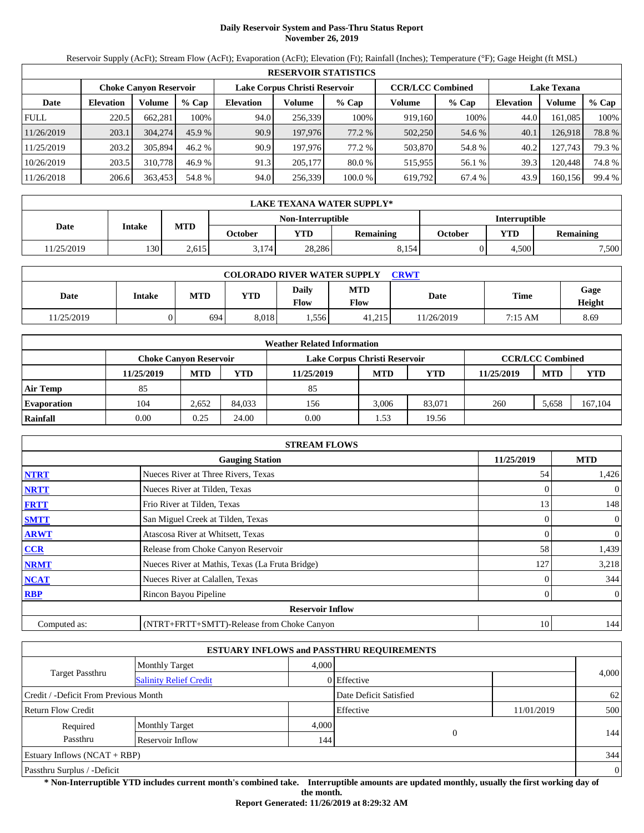# **Daily Reservoir System and Pass-Thru Status Report November 26, 2019**

Reservoir Supply (AcFt); Stream Flow (AcFt); Evaporation (AcFt); Elevation (Ft); Rainfall (Inches); Temperature (°F); Gage Height (ft MSL)

|             | <b>RESERVOIR STATISTICS</b> |                               |         |                               |         |         |                         |         |                    |         |        |  |
|-------------|-----------------------------|-------------------------------|---------|-------------------------------|---------|---------|-------------------------|---------|--------------------|---------|--------|--|
|             |                             | <b>Choke Canyon Reservoir</b> |         | Lake Corpus Christi Reservoir |         |         | <b>CCR/LCC Combined</b> |         | <b>Lake Texana</b> |         |        |  |
| Date        | <b>Elevation</b>            | Volume                        | $%$ Cap | <b>Elevation</b>              | Volume  | $%$ Cap | Volume                  | $%$ Cap | <b>Elevation</b>   | Volume  | % Cap  |  |
| <b>FULL</b> | 220.5                       | 662.281                       | 100%    | 94.0                          | 256,339 | 100%    | 919,160                 | 100%    | 44.0               | 161.085 | 100%   |  |
| 11/26/2019  | 203.1                       | 304,274                       | 45.9%   | 90.9                          | 197,976 | 77.2 %  | 502,250                 | 54.6 %  | 40.1               | 126,918 | 78.8%  |  |
| 11/25/2019  | 203.2                       | 305,894                       | 46.2%   | 90.9                          | 197.976 | 77.2 %  | 503,870                 | 54.8%   | 40.2               | 127.743 | 79.3 % |  |
| 10/26/2019  | 203.5                       | 310,778                       | 46.9 %  | 91.3                          | 205,177 | 80.0 %  | 515,955                 | 56.1 %  | 39.3               | 120.448 | 74.8%  |  |
| 11/26/2018  | 206.6                       | 363,453                       | 54.8 %  | 94.0                          | 256,339 | 100.0 % | 619,792                 | 67.4 %  | 43.9               | 160,156 | 99.4 % |  |

|            | LAKE TEXANA WATER SUPPLY* |            |         |                   |           |                      |       |                  |  |  |
|------------|---------------------------|------------|---------|-------------------|-----------|----------------------|-------|------------------|--|--|
|            |                           |            |         | Non-Interruptible |           | <b>Interruptible</b> |       |                  |  |  |
| Date       | Intake                    | <b>MTD</b> | October | <b>YTD</b>        | Remaining | October              | YTD   | <b>Remaining</b> |  |  |
| 11/25/2019 | 130                       | 2.615      | 3.174   | 28.286            | 8.154     |                      | 4.500 | 7,500            |  |  |

| <b>COLORADO RIVER WATER SUPPLY</b><br>CRWT |               |            |            |               |                    |           |         |                |  |  |  |
|--------------------------------------------|---------------|------------|------------|---------------|--------------------|-----------|---------|----------------|--|--|--|
| Date                                       | <b>Intake</b> | <b>MTD</b> | <b>YTD</b> | Daily<br>Flow | <b>MTD</b><br>Flow | Date      | Time    | Gage<br>Height |  |  |  |
| 1/25/2019                                  |               | 694        | 8.018      | 1.556         | 41.215             | 1/26/2019 | 7:15 AM | 8.69           |  |  |  |

|                    |            |                               |        | <b>Weather Related Information</b> |            |            |            |                         |            |
|--------------------|------------|-------------------------------|--------|------------------------------------|------------|------------|------------|-------------------------|------------|
|                    |            | <b>Choke Canvon Reservoir</b> |        | Lake Corpus Christi Reservoir      |            |            |            | <b>CCR/LCC Combined</b> |            |
|                    | 11/25/2019 | <b>MTD</b>                    | YTD    | 11/25/2019                         | <b>MTD</b> | <b>YTD</b> | 11/25/2019 | <b>MTD</b>              | <b>YTD</b> |
| <b>Air Temp</b>    | 85         |                               |        | 85                                 |            |            |            |                         |            |
| <b>Evaporation</b> | 104        | 2.652                         | 84.033 | 156                                | 3.006      | 83.071     | 260        | 5.658                   | 167,104    |
| Rainfall           | 0.00       | 0.25                          | 24.00  | 0.00                               | . . 53     | 19.56      |            |                         |            |

|              | <b>STREAM FLOWS</b>                             |            |                |
|--------------|-------------------------------------------------|------------|----------------|
|              | <b>Gauging Station</b>                          | 11/25/2019 | <b>MTD</b>     |
| <b>NTRT</b>  | Nueces River at Three Rivers, Texas             | 54         | 1,426          |
| <b>NRTT</b>  | Nueces River at Tilden, Texas                   |            | $\overline{0}$ |
| <b>FRTT</b>  | Frio River at Tilden, Texas                     | 13         | 148            |
| <b>SMTT</b>  | San Miguel Creek at Tilden, Texas               | 0          | $\overline{0}$ |
| <b>ARWT</b>  | Atascosa River at Whitsett, Texas               | 0          | $\overline{0}$ |
| CCR          | Release from Choke Canyon Reservoir             | 58         | 1,439          |
| <b>NRMT</b>  | Nueces River at Mathis, Texas (La Fruta Bridge) | 127        | 3,218          |
| <b>NCAT</b>  | Nueces River at Calallen, Texas                 |            | 344            |
| <b>RBP</b>   | Rincon Bayou Pipeline                           | 0          | $\overline{0}$ |
|              | <b>Reservoir Inflow</b>                         |            |                |
| Computed as: | (NTRT+FRTT+SMTT)-Release from Choke Canyon      | 10         | 144            |

|                                                         |                       |       | <b>ESTUARY INFLOWS and PASSTHRU REQUIREMENTS</b> |            |                |
|---------------------------------------------------------|-----------------------|-------|--------------------------------------------------|------------|----------------|
|                                                         | <b>Monthly Target</b> | 4.000 |                                                  |            |                |
| <b>Target Passthru</b><br><b>Salinity Relief Credit</b> |                       |       | 0 Effective                                      |            | 4,000          |
| Credit / -Deficit From Previous Month                   |                       |       | Date Deficit Satisfied                           |            | 62             |
| <b>Return Flow Credit</b>                               |                       |       | Effective                                        | 11/01/2019 | 500            |
| Required                                                | <b>Monthly Target</b> | 4,000 |                                                  |            |                |
| Passthru                                                | Reservoir Inflow      | 144   | 0                                                |            | 144            |
| Estuary Inflows $(NCAT + RBP)$                          |                       |       |                                                  |            | 344            |
| Passthru Surplus / -Deficit                             |                       |       |                                                  |            | $\overline{0}$ |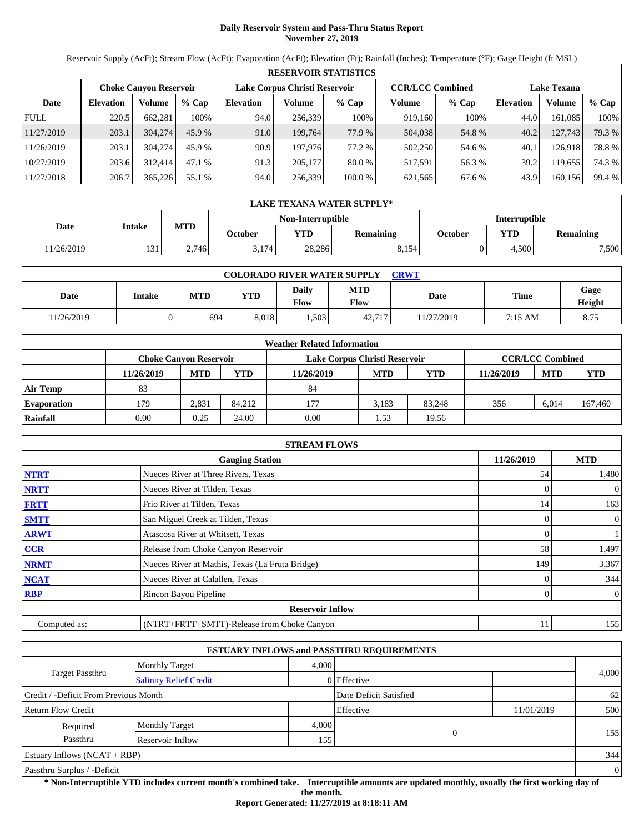# **Daily Reservoir System and Pass-Thru Status Report November 27, 2019**

Reservoir Supply (AcFt); Stream Flow (AcFt); Evaporation (AcFt); Elevation (Ft); Rainfall (Inches); Temperature (°F); Gage Height (ft MSL)

|             | <b>RESERVOIR STATISTICS</b> |                               |         |                               |         |         |                         |         |                    |         |        |  |  |
|-------------|-----------------------------|-------------------------------|---------|-------------------------------|---------|---------|-------------------------|---------|--------------------|---------|--------|--|--|
|             |                             | <b>Choke Canyon Reservoir</b> |         | Lake Corpus Christi Reservoir |         |         | <b>CCR/LCC Combined</b> |         | <b>Lake Texana</b> |         |        |  |  |
| Date        | <b>Elevation</b>            | Volume                        | $%$ Cap | <b>Elevation</b>              | Volume  | $%$ Cap | Volume                  | $%$ Cap | <b>Elevation</b>   | Volume  | % Cap  |  |  |
| <b>FULL</b> | 220.5                       | 662.281                       | 100%    | 94.0                          | 256.339 | 100%    | 919,160                 | 100%    | 44.0               | 161.085 | 100%   |  |  |
| 11/27/2019  | 203.1                       | 304,274                       | 45.9%   | 91.0                          | 199.764 | 77.9 %  | 504,038                 | 54.8%   | 40.2               | 127,743 | 79.3 % |  |  |
| 11/26/2019  | 203.1                       | 304,274                       | 45.9 %  | 90.9                          | 197.976 | 77.2 %  | 502,250                 | 54.6 %  | 40.1               | 126.918 | 78.8%  |  |  |
| 10/27/2019  | 203.6                       | 312,414                       | 47.1 %  | 91.3                          | 205,177 | 80.0 %  | 517.591                 | 56.3 %  | 39.2               | 119.655 | 74.3 % |  |  |
| 11/27/2018  | 206.7                       | 365,226                       | 55.1 %  | 94.0                          | 256,339 | 100.0 % | 621,565                 | 67.6 %  | 43.9               | 160,156 | 99.4 % |  |  |

|            | LAKE TEXANA WATER SUPPLY* |            |         |                   |           |         |                      |                  |  |  |
|------------|---------------------------|------------|---------|-------------------|-----------|---------|----------------------|------------------|--|--|
|            |                           |            |         | Non-Interruptible |           |         | <b>Interruptible</b> |                  |  |  |
| Date       | Intake                    | <b>MTD</b> | October | <b>YTD</b>        | Remaining | October | <b>VTD</b>           | <b>Remaining</b> |  |  |
| 11/26/2019 | 131                       | 2.746      | 3.174   | 28.286            | 8.154     |         | 4.500                | 7,500            |  |  |

| <b>COLORADO RIVER WATER SUPPLY</b><br>CRWT |               |            |            |               |                           |             |         |                |  |  |  |
|--------------------------------------------|---------------|------------|------------|---------------|---------------------------|-------------|---------|----------------|--|--|--|
| Date                                       | <b>Intake</b> | <b>MTD</b> | <b>YTD</b> | Daily<br>Flow | <b>MTD</b><br><b>Flow</b> | <b>Date</b> | Time    | Gage<br>Height |  |  |  |
| 1/26/2019                                  |               | 694        | 8.018      | 1.503         | 42.717                    | 11/27/2019  | 7:15 AM | 8.75           |  |  |  |

|                    |                               |            |        | <b>Weather Related Information</b> |            |            |            |                         |            |
|--------------------|-------------------------------|------------|--------|------------------------------------|------------|------------|------------|-------------------------|------------|
|                    | <b>Choke Canvon Reservoir</b> |            |        | Lake Corpus Christi Reservoir      |            |            |            | <b>CCR/LCC Combined</b> |            |
|                    | 11/26/2019                    | <b>MTD</b> | YTD    | 11/26/2019                         | <b>MTD</b> | <b>YTD</b> | 11/26/2019 | <b>MTD</b>              | <b>YTD</b> |
| <b>Air Temp</b>    | 83                            |            |        | 84                                 |            |            |            |                         |            |
| <b>Evaporation</b> | 179.                          | 2.831      | 84.212 | 177                                | 3.183      | 83.248     | 356        | 6.014                   | 167,460    |
| Rainfall           | 0.00                          | 0.25       | 24.00  | 0.00                               | . . 53     | 19.56      |            |                         |            |

|              | <b>STREAM FLOWS</b>                             |            |                |
|--------------|-------------------------------------------------|------------|----------------|
|              | <b>Gauging Station</b>                          | 11/26/2019 | <b>MTD</b>     |
| <b>NTRT</b>  | Nueces River at Three Rivers, Texas             | 54         | 1,480          |
| <b>NRTT</b>  | Nueces River at Tilden, Texas                   |            | $\overline{0}$ |
| <b>FRTT</b>  | Frio River at Tilden, Texas                     | 14         | 163            |
| <b>SMTT</b>  | San Miguel Creek at Tilden, Texas               | 0          | $\overline{0}$ |
| <b>ARWT</b>  | Atascosa River at Whitsett, Texas               | 0          |                |
| CCR          | Release from Choke Canyon Reservoir             | 58         | 1,497          |
| <b>NRMT</b>  | Nueces River at Mathis, Texas (La Fruta Bridge) | 149        | 3,367          |
| <b>NCAT</b>  | Nueces River at Calallen, Texas                 |            | 344            |
| <b>RBP</b>   | Rincon Bayou Pipeline                           | 0          | $\overline{0}$ |
|              | <b>Reservoir Inflow</b>                         |            |                |
| Computed as: | (NTRT+FRTT+SMTT)-Release from Choke Canyon      | 11         | 155            |

|                                       |                               |       | <b>ESTUARY INFLOWS and PASSTHRU REQUIREMENTS</b> |            |                |
|---------------------------------------|-------------------------------|-------|--------------------------------------------------|------------|----------------|
|                                       | Monthly Target                | 4.000 |                                                  |            |                |
| <b>Target Passthru</b>                | <b>Salinity Relief Credit</b> |       | 0 Effective                                      |            | 4,000          |
| Credit / -Deficit From Previous Month |                               |       | Date Deficit Satisfied                           |            | 62             |
| <b>Return Flow Credit</b>             |                               |       | Effective                                        | 11/01/2019 | 500            |
| Required                              | <b>Monthly Target</b>         | 4,000 |                                                  |            |                |
| Passthru                              | Reservoir Inflow              | 155   | $\Omega$                                         |            | 155            |
| Estuary Inflows $(NCAT + RBP)$        |                               |       |                                                  |            | 344            |
| Passthru Surplus / -Deficit           |                               |       |                                                  |            | $\overline{0}$ |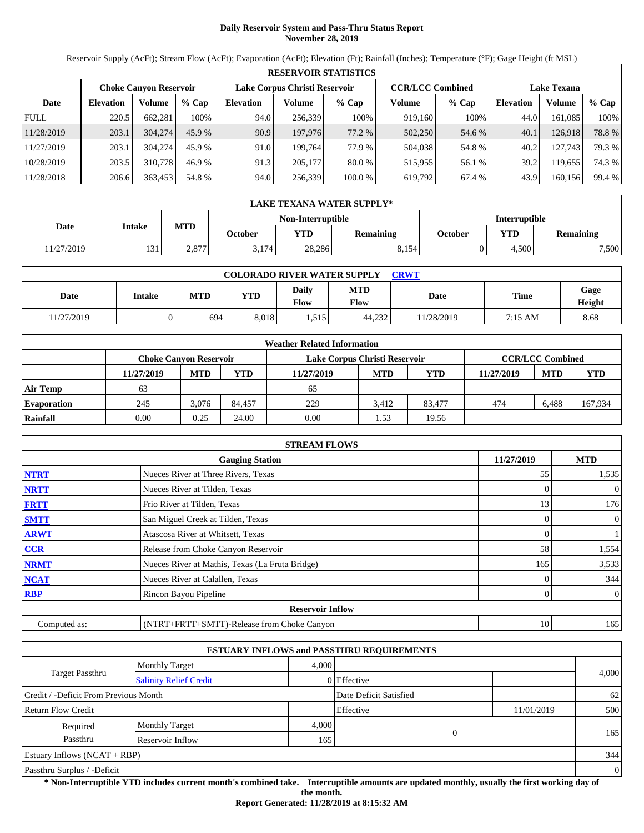# **Daily Reservoir System and Pass-Thru Status Report November 28, 2019**

Reservoir Supply (AcFt); Stream Flow (AcFt); Evaporation (AcFt); Elevation (Ft); Rainfall (Inches); Temperature (°F); Gage Height (ft MSL)

|             | <b>RESERVOIR STATISTICS</b> |                               |         |                               |         |         |                         |         |                    |         |        |  |  |
|-------------|-----------------------------|-------------------------------|---------|-------------------------------|---------|---------|-------------------------|---------|--------------------|---------|--------|--|--|
|             |                             | <b>Choke Canyon Reservoir</b> |         | Lake Corpus Christi Reservoir |         |         | <b>CCR/LCC Combined</b> |         | <b>Lake Texana</b> |         |        |  |  |
| Date        | <b>Elevation</b>            | Volume                        | $%$ Cap | <b>Elevation</b>              | Volume  | $%$ Cap | Volume                  | $%$ Cap | <b>Elevation</b>   | Volume  | % Cap  |  |  |
| <b>FULL</b> | 220.5                       | 662.281                       | 100%    | 94.0                          | 256.339 | 100%    | 919.160                 | 100%    | 44.0               | 161.085 | 100%   |  |  |
| 11/28/2019  | 203.1                       | 304,274                       | 45.9%   | 90.9                          | 197,976 | 77.2 %  | 502,250                 | 54.6 %  | 40.1               | 126.918 | 78.8%  |  |  |
| 11/27/2019  | 203.1                       | 304,274                       | 45.9 %  | 91.0                          | 199.764 | 77.9 %  | 504,038                 | 54.8%   | 40.2               | 127.743 | 79.3 % |  |  |
| 10/28/2019  | 203.5                       | 310,778                       | 46.9 %  | 91.3                          | 205,177 | 80.0 %  | 515.955                 | 56.1 %  | 39.2               | 119.655 | 74.3 % |  |  |
| 11/28/2018  | 206.6                       | 363,453                       | 54.8 %  | 94.0                          | 256,339 | 100.0 % | 619,792                 | 67.4 %  | 43.9               | 160,156 | 99.4 % |  |  |

|            | LAKE TEXANA WATER SUPPLY* |            |         |                   |           |         |                      |                  |  |  |
|------------|---------------------------|------------|---------|-------------------|-----------|---------|----------------------|------------------|--|--|
|            |                           |            |         | Non-Interruptible |           |         | <b>Interruptible</b> |                  |  |  |
| Date       | Intake                    | <b>MTD</b> | October | <b>YTD</b>        | Remaining | October | <b>VTD</b>           | <b>Remaining</b> |  |  |
| 11/27/2019 | 131                       | 2.877      | 3.174   | 28.286            | 8.154     |         | 4.500                | 7,500            |  |  |

| <b>COLORADO RIVER WATER SUPPLY</b><br>CRWT |               |            |            |               |                           |             |         |                |  |  |  |
|--------------------------------------------|---------------|------------|------------|---------------|---------------------------|-------------|---------|----------------|--|--|--|
| Date                                       | <b>Intake</b> | <b>MTD</b> | <b>YTD</b> | Daily<br>Flow | <b>MTD</b><br><b>Flow</b> | <b>Date</b> | Time    | Gage<br>Height |  |  |  |
| 1/27/2019                                  |               | 694        | 8.018      | 1,515         | 44.232                    | 11/28/2019  | 7:15 AM | 8.68           |  |  |  |

|                    |            |                               |        | <b>Weather Related Information</b> |            |            |            |                         |            |
|--------------------|------------|-------------------------------|--------|------------------------------------|------------|------------|------------|-------------------------|------------|
|                    |            | <b>Choke Canvon Reservoir</b> |        | Lake Corpus Christi Reservoir      |            |            |            | <b>CCR/LCC Combined</b> |            |
|                    | 11/27/2019 | <b>MTD</b>                    | YTD    | 11/27/2019                         | <b>MTD</b> | <b>YTD</b> | 11/27/2019 | <b>MTD</b>              | <b>YTD</b> |
| <b>Air Temp</b>    | 63         |                               |        | 65                                 |            |            |            |                         |            |
| <b>Evaporation</b> | 245        | 3.076                         | 84.457 | 229                                | 3.412      | 83.477     | 474        | 6.488                   | 167,934    |
| Rainfall           | 0.00       | 0.25                          | 24.00  | 0.00                               | . . 53     | 19.56      |            |                         |            |

|              | <b>STREAM FLOWS</b>                             |            |                |
|--------------|-------------------------------------------------|------------|----------------|
|              | <b>Gauging Station</b>                          | 11/27/2019 | <b>MTD</b>     |
| <b>NTRT</b>  | Nueces River at Three Rivers, Texas             | 55         | 1,535          |
| <b>NRTT</b>  | Nueces River at Tilden, Texas                   |            | $\theta$       |
| <b>FRTT</b>  | Frio River at Tilden, Texas                     | 13         | 176            |
| <b>SMTT</b>  | San Miguel Creek at Tilden, Texas               |            | $\mathbf{0}$   |
| <b>ARWT</b>  | Atascosa River at Whitsett, Texas               | 0          |                |
| <b>CCR</b>   | Release from Choke Canyon Reservoir             | 58         | 1,554          |
| <b>NRMT</b>  | Nueces River at Mathis, Texas (La Fruta Bridge) | 165        | 3,533          |
| <b>NCAT</b>  | Nueces River at Calallen, Texas                 |            | 344            |
| <b>RBP</b>   | Rincon Bayou Pipeline                           |            | $\overline{0}$ |
|              | <b>Reservoir Inflow</b>                         |            |                |
| Computed as: | (NTRT+FRTT+SMTT)-Release from Choke Canyon      | 10         | 165            |

|                                       |                               |       | <b>ESTUARY INFLOWS and PASSTHRU REQUIREMENTS</b> |            |                |
|---------------------------------------|-------------------------------|-------|--------------------------------------------------|------------|----------------|
|                                       | <b>Monthly Target</b>         | 4.000 |                                                  |            |                |
| <b>Target Passthru</b>                | <b>Salinity Relief Credit</b> |       | 0 Effective                                      |            | 4,000          |
| Credit / -Deficit From Previous Month |                               |       | Date Deficit Satisfied                           |            | 62             |
| <b>Return Flow Credit</b>             |                               |       | Effective                                        | 11/01/2019 | 500            |
| Required                              | <b>Monthly Target</b>         | 4,000 |                                                  |            |                |
| Passthru                              | Reservoir Inflow              | 165   | $\overline{0}$                                   |            | 165            |
| Estuary Inflows $(NCAT + RBP)$        |                               |       |                                                  |            | 344            |
| Passthru Surplus / -Deficit           |                               |       |                                                  |            | $\overline{0}$ |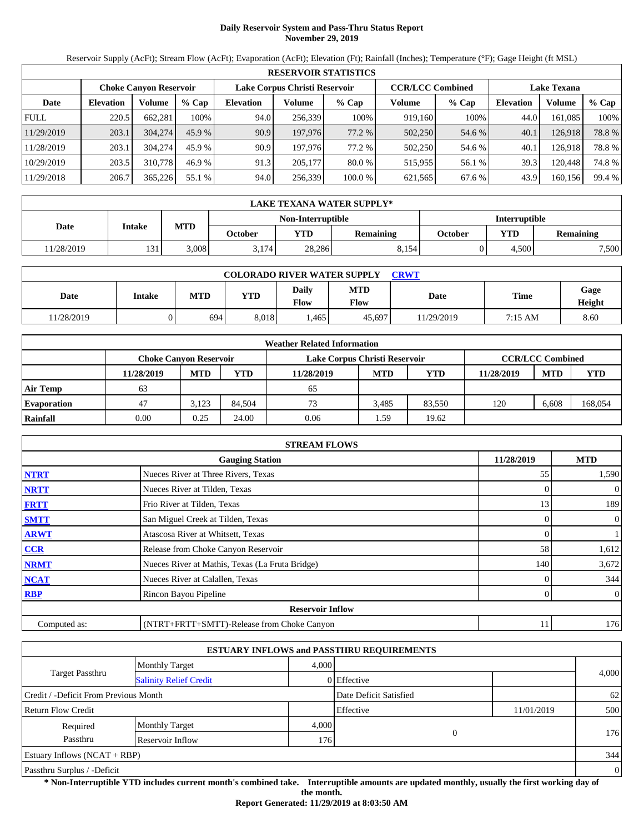# **Daily Reservoir System and Pass-Thru Status Report November 29, 2019**

Reservoir Supply (AcFt); Stream Flow (AcFt); Evaporation (AcFt); Elevation (Ft); Rainfall (Inches); Temperature (°F); Gage Height (ft MSL)

|             | <b>RESERVOIR STATISTICS</b> |                               |         |                               |         |          |                         |         |                    |         |        |  |
|-------------|-----------------------------|-------------------------------|---------|-------------------------------|---------|----------|-------------------------|---------|--------------------|---------|--------|--|
|             |                             | <b>Choke Canyon Reservoir</b> |         | Lake Corpus Christi Reservoir |         |          | <b>CCR/LCC Combined</b> |         | <b>Lake Texana</b> |         |        |  |
| Date        | <b>Elevation</b>            | Volume                        | $%$ Cap | <b>Elevation</b>              | Volume  | $%$ Cap  | Volume                  | $%$ Cap | <b>Elevation</b>   | Volume  | % Cap  |  |
| <b>FULL</b> | 220.5                       | 662.281                       | 100%    | 94.0                          | 256,339 | 100%     | 919.160                 | 100%    | 44.0               | 161.085 | 100%   |  |
| 11/29/2019  | 203.1                       | 304,274                       | 45.9%   | 90.9                          | 197,976 | 77.2 %   | 502,250                 | 54.6 %  | 40.1               | 126.918 | 78.8%  |  |
| 11/28/2019  | 203.1                       | 304,274                       | 45.9 %  | 90.9                          | 197.976 | 77.2 %   | 502,250                 | 54.6 %  | 40.1               | 126,918 | 78.8%  |  |
| 10/29/2019  | 203.5                       | 310,778                       | 46.9 %  | 91.3                          | 205,177 | $80.0\%$ | 515,955                 | 56.1 %  | 39.3               | 120.448 | 74.8%  |  |
| 11/29/2018  | 206.7                       | 365,226                       | 55.1 %  | 94.0                          | 256,339 | 100.0 %  | 621,565                 | 67.6 %  | 43.9               | 160,156 | 99.4 % |  |

|            | LAKE TEXANA WATER SUPPLY* |            |         |                   |                  |         |                      |                  |  |  |  |
|------------|---------------------------|------------|---------|-------------------|------------------|---------|----------------------|------------------|--|--|--|
|            |                           |            |         | Non-Interruptible |                  |         | <b>Interruptible</b> |                  |  |  |  |
| Date       | Intake                    | <b>MTD</b> | October | <b>YTD</b>        | <b>Remaining</b> | October | <b>YTD</b>           | <b>Remaining</b> |  |  |  |
| 11/28/2019 | 131                       | 3.008      | 3.174   | 28,286            | 8.154            |         | 4.500                | 7,500            |  |  |  |

| <b>COLORADO RIVER WATER SUPPLY</b><br>CRWT |               |            |            |               |                           |             |         |                |  |  |  |
|--------------------------------------------|---------------|------------|------------|---------------|---------------------------|-------------|---------|----------------|--|--|--|
| Date                                       | <b>Intake</b> | <b>MTD</b> | <b>YTD</b> | Daily<br>Flow | <b>MTD</b><br><b>Flow</b> | <b>Date</b> | Time    | Gage<br>Height |  |  |  |
| 1/28/2019                                  |               | 694        | 8.018      | .465          | 45.697                    | 11/29/2019  | 7:15 AM | 8.60           |  |  |  |

|                    |                               |            |        | <b>Weather Related Information</b> |            |            |            |                         |            |
|--------------------|-------------------------------|------------|--------|------------------------------------|------------|------------|------------|-------------------------|------------|
|                    | <b>Choke Canvon Reservoir</b> |            |        | Lake Corpus Christi Reservoir      |            |            |            | <b>CCR/LCC Combined</b> |            |
|                    | 11/28/2019                    | <b>MTD</b> | YTD    | 11/28/2019                         | <b>MTD</b> | <b>YTD</b> | 11/28/2019 | <b>MTD</b>              | <b>YTD</b> |
| <b>Air Temp</b>    | 63                            |            |        | 65                                 |            |            |            |                         |            |
| <b>Evaporation</b> | 47                            | 3.123      | 84.504 | 73                                 | 3.485      | 83.550     | 120        | 6.608                   | 168,054    |
| Rainfall           | 0.00                          | 0.25       | 24.00  | 0.06                               | 1.59       | 19.62      |            |                         |            |

|              | <b>STREAM FLOWS</b>                             |            |                |
|--------------|-------------------------------------------------|------------|----------------|
|              | <b>Gauging Station</b>                          | 11/28/2019 | <b>MTD</b>     |
| <b>NTRT</b>  | Nueces River at Three Rivers, Texas             | 55         | 1,590          |
| <b>NRTT</b>  | Nueces River at Tilden, Texas                   |            | $\overline{0}$ |
| <b>FRTT</b>  | Frio River at Tilden, Texas                     | 13         | 189            |
| <b>SMTT</b>  | San Miguel Creek at Tilden, Texas               | 0          | $\overline{0}$ |
| <b>ARWT</b>  | Atascosa River at Whitsett, Texas               | 0          |                |
| <b>CCR</b>   | Release from Choke Canyon Reservoir             | 58         | 1,612          |
| <b>NRMT</b>  | Nueces River at Mathis, Texas (La Fruta Bridge) | 140        | 3,672          |
| <b>NCAT</b>  | Nueces River at Calallen, Texas                 |            | 344            |
| <b>RBP</b>   | Rincon Bayou Pipeline                           | 0          | $\overline{0}$ |
|              | <b>Reservoir Inflow</b>                         |            |                |
| Computed as: | (NTRT+FRTT+SMTT)-Release from Choke Canyon      | 11         | 176            |

|                                       |                               |       | <b>ESTUARY INFLOWS and PASSTHRU REQUIREMENTS</b> |            |                |
|---------------------------------------|-------------------------------|-------|--------------------------------------------------|------------|----------------|
|                                       | <b>Monthly Target</b>         | 4.000 |                                                  |            |                |
| <b>Target Passthru</b>                | <b>Salinity Relief Credit</b> |       | 0 Effective                                      |            | 4,000          |
| Credit / -Deficit From Previous Month |                               |       | Date Deficit Satisfied                           |            | 62             |
| <b>Return Flow Credit</b>             |                               |       | Effective                                        | 11/01/2019 | 500            |
| Required                              | <b>Monthly Target</b>         | 4,000 |                                                  |            |                |
| Passthru                              | Reservoir Inflow              | 176   | $\overline{0}$                                   |            | 176            |
| Estuary Inflows $(NCAT + RBP)$        |                               |       |                                                  |            | 344            |
| Passthru Surplus / -Deficit           |                               |       |                                                  |            | $\overline{0}$ |